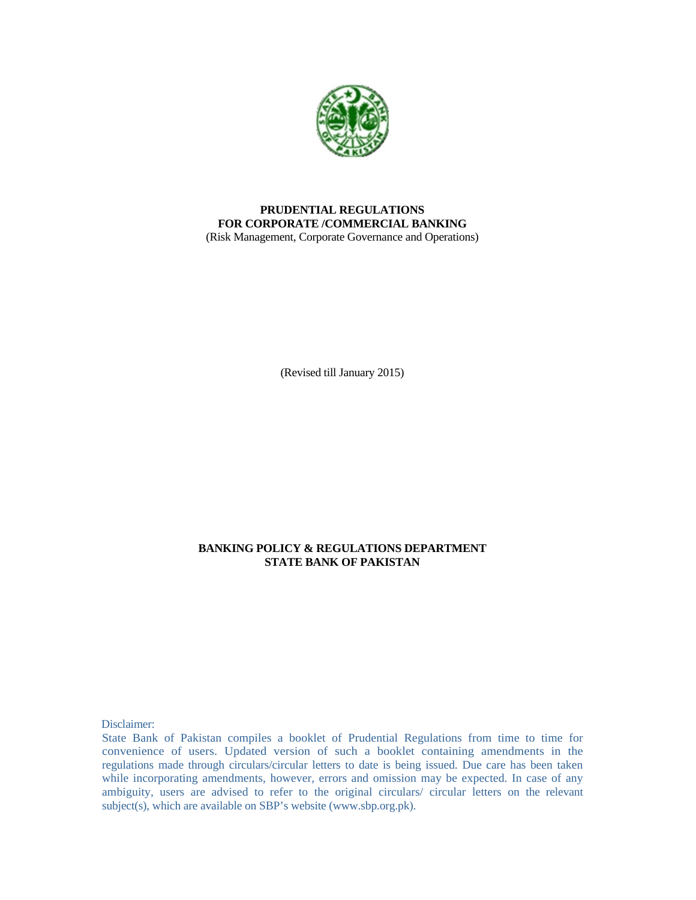

### **PRUDENTIAL REGULATIONS FOR CORPORATE /COMMERCIAL BANKING**  (Risk Management, Corporate Governance and Operations)

(Revised till January 2015)

### **BANKING POLICY & REGULATIONS DEPARTMENT STATE BANK OF PAKISTAN**

Disclaimer:

State Bank of Pakistan compiles a booklet of Prudential Regulations from time to time for convenience of users. Updated version of such a booklet containing amendments in the regulations made through circulars/circular letters to date is being issued. Due care has been taken while incorporating amendments, however, errors and omission may be expected. In case of any ambiguity, users are advised to refer to the original circulars/ circular letters on the relevant subject(s), which are available on SBP's website (www.sbp.org.pk).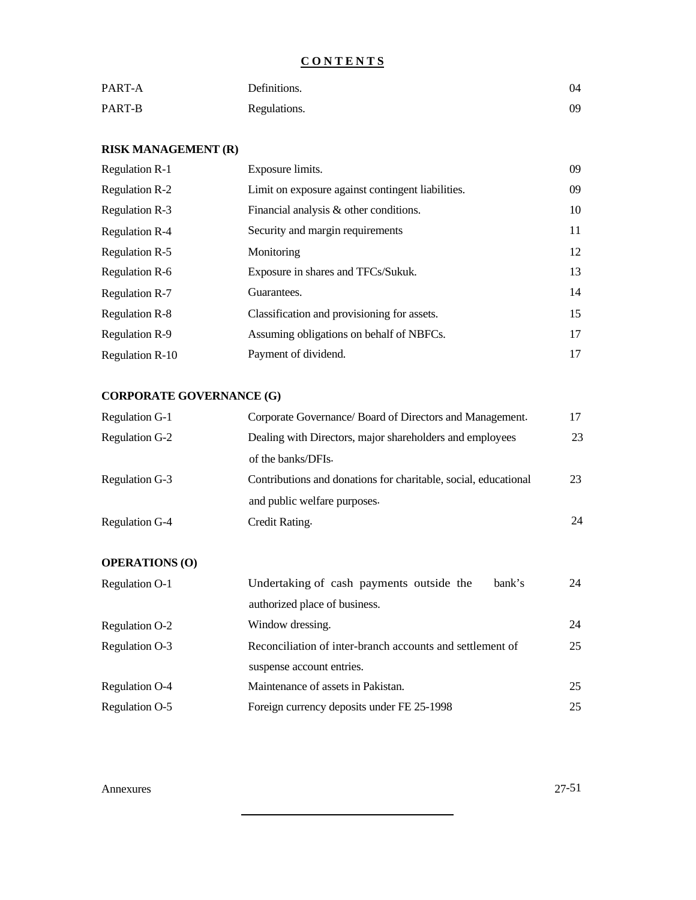# **C O N T E N T S**

| PART-A | Definitions. | 04 |
|--------|--------------|----|
| PART-B | Regulations. | 09 |

## **RISK MANAGEMENT (R)**

| <b>Regulation R-1</b>  | Exposure limits.                                  | 09 |
|------------------------|---------------------------------------------------|----|
| <b>Regulation R-2</b>  | Limit on exposure against contingent liabilities. | 09 |
| <b>Regulation R-3</b>  | Financial analysis & other conditions.            | 10 |
| <b>Regulation R-4</b>  | Security and margin requirements                  | 11 |
| <b>Regulation R-5</b>  | Monitoring                                        | 12 |
| <b>Regulation R-6</b>  | Exposure in shares and TFCs/Sukuk.                | 13 |
| <b>Regulation R-7</b>  | Guarantees.                                       | 14 |
| <b>Regulation R-8</b>  | Classification and provisioning for assets.       | 15 |
| <b>Regulation R-9</b>  | Assuming obligations on behalf of NBFCs.          | 17 |
| <b>Regulation R-10</b> | Payment of dividend.                              | 17 |

# **CORPORATE GOVERNANCE (G)**

| Regulation G-1 | Corporate Governance/ Board of Directors and Management.        |    |
|----------------|-----------------------------------------------------------------|----|
| Regulation G-2 | Dealing with Directors, major shareholders and employees        | 23 |
|                | of the banks/DFIs.                                              |    |
| Regulation G-3 | Contributions and donations for charitable, social, educational | 23 |
|                | and public welfare purposes.                                    |    |
| Regulation G-4 | Credit Rating.                                                  | 24 |

# **OPERATIONS (O)**

| Undertaking of cash payments outside the<br>bank's        | 24 |
|-----------------------------------------------------------|----|
| authorized place of business.                             |    |
| Window dressing.                                          | 24 |
| Reconciliation of inter-branch accounts and settlement of | 25 |
| suspense account entries.                                 |    |
| Maintenance of assets in Pakistan.                        | 25 |
| Foreign currency deposits under FE 25-1998                | 25 |
|                                                           |    |

Annexures 27-51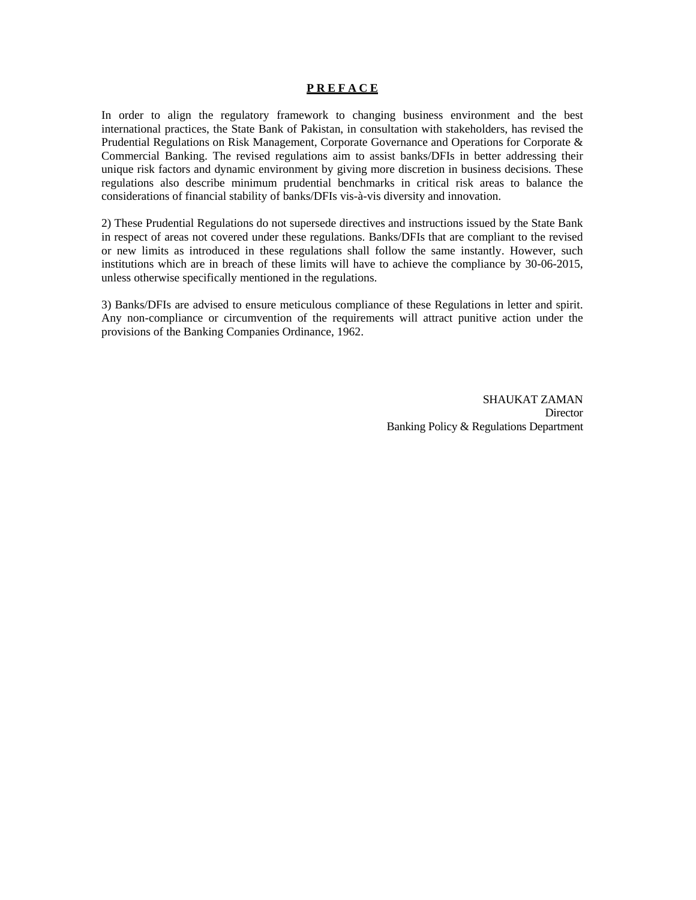#### **P R E F A C E**

In order to align the regulatory framework to changing business environment and the best international practices, the State Bank of Pakistan, in consultation with stakeholders, has revised the Prudential Regulations on Risk Management, Corporate Governance and Operations for Corporate & Commercial Banking. The revised regulations aim to assist banks/DFIs in better addressing their unique risk factors and dynamic environment by giving more discretion in business decisions. These regulations also describe minimum prudential benchmarks in critical risk areas to balance the considerations of financial stability of banks/DFIs vis-à-vis diversity and innovation.

2) These Prudential Regulations do not supersede directives and instructions issued by the State Bank in respect of areas not covered under these regulations. Banks/DFIs that are compliant to the revised or new limits as introduced in these regulations shall follow the same instantly. However, such institutions which are in breach of these limits will have to achieve the compliance by 30-06-2015, unless otherwise specifically mentioned in the regulations.

3) Banks/DFIs are advised to ensure meticulous compliance of these Regulations in letter and spirit. Any non-compliance or circumvention of the requirements will attract punitive action under the provisions of the Banking Companies Ordinance, 1962.

> SHAUKAT ZAMAN Director Banking Policy & Regulations Department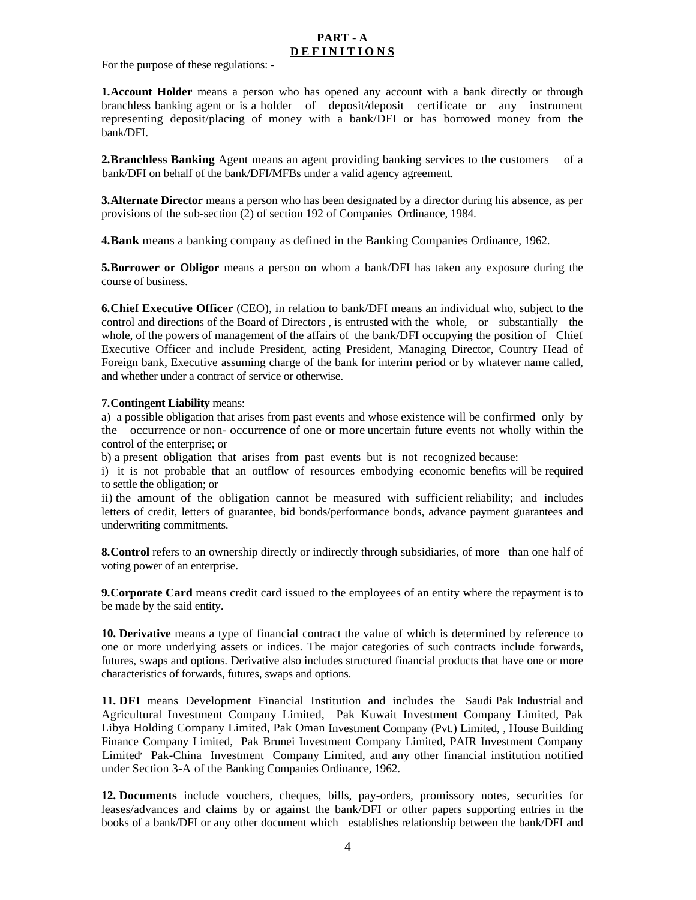### **PART - A D E F I N I T I O N S**

For the purpose of these regulations: -

**1. Account Holder** means a person who has opened any account with a bank directly or through branchless banking agent or is a holder of deposit/deposit certificate or any instrument representing deposit/placing of money with a bank/DFI or has borrowed money from the bank/DFI.

**2.Branchless Banking** Agent means an agent providing banking services to the customers of a bank/DFI on behalf of the bank/DFI/MFBs under a valid agency agreement.

**3.Alternate Director** means a person who has been designated by a director during his absence, as per provisions of the sub-section (2) of section 192 of Companies Ordinance, 1984.

**4.Bank** means a banking company as defined in the Banking Companies Ordinance, 1962.

**5.Borrower or Obligor** means a person on whom a bank/DFI has taken any exposure during the course of business.

**6.Chief Executive Officer** (CEO), in relation to bank/DFI means an individual who, subject to the control and directions of the Board of Directors , is entrusted with the whole, or substantially the whole, of the powers of management of the affairs of the bank/DFI occupying the position of Chief Executive Officer and include President, acting President, Managing Director, Country Head of Foreign bank, Executive assuming charge of the bank for interim period or by whatever name called, and whether under a contract of service or otherwise.

#### **7.Contingent Liability** means:

a) a possible obligation that arises from past events and whose existence will be confirmed only by the occurrence or non- occurrence of one or more uncertain future events not wholly within the control of the enterprise; or

b) a present obligation that arises from past events but is not recognized because:

i) it is not probable that an outflow of resources embodying economic benefits will be required to settle the obligation; or

ii) the amount of the obligation cannot be measured with sufficient reliability; and includes letters of credit, letters of guarantee, bid bonds/performance bonds, advance payment guarantees and underwriting commitments.

**8. Control** refers to an ownership directly or indirectly through subsidiaries, of more than one half of voting power of an enterprise.

**9.Corporate Card** means credit card issued to the employees of an entity where the repayment is to be made by the said entity.

**10. Derivative** means a type of financial contract the value of which is determined by reference to one or more underlying assets or indices. The major categories of such contracts include forwards, futures, swaps and options. Derivative also includes structured financial products that have one or more characteristics of forwards, futures, swaps and options.

**11. DFI** means Development Financial Institution and includes the Saudi Pak Industrial and Agricultural Investment Company Limited, Pak Kuwait Investment Company Limited, Pak Libya Holding Company Limited, Pak Oman Investment Company (Pvt.) Limited, , House Building Finance Company Limited, Pak Brunei Investment Company Limited, PAIR Investment Company Limited<sup>,</sup> Pak-China Investment Company Limited, and any other financial institution notified under Section 3-A of the Banking Companies Ordinance, 1962.

**12. Documents** include vouchers, cheques, bills, pay-orders, promissory notes, securities for leases/advances and claims by or against the bank/DFI or other papers supporting entries in the books of a bank/DFI or any other document which establishes relationship between the bank/DFI and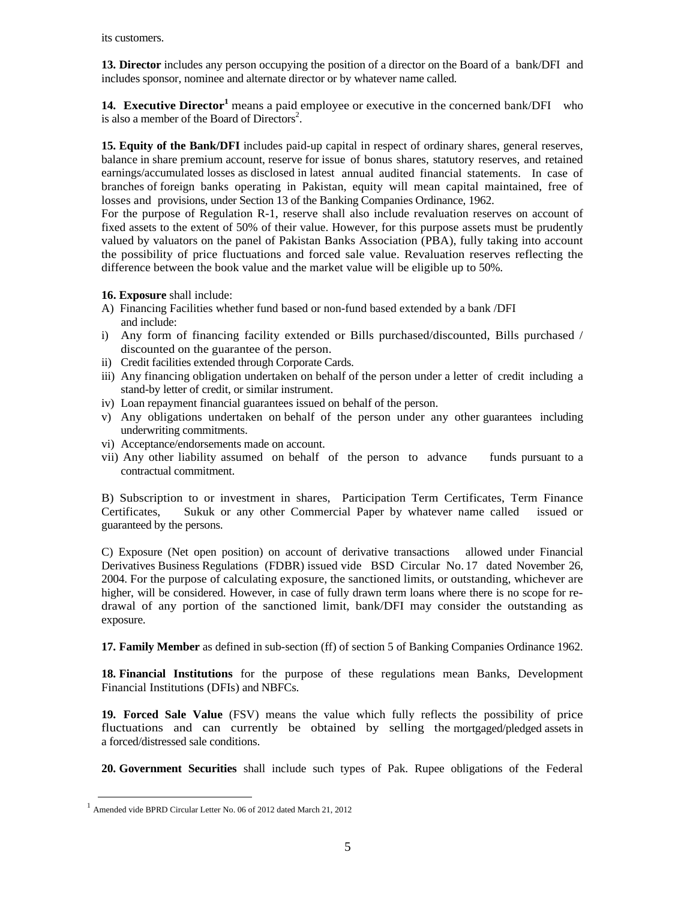its customers.

**13. Director** includes any person occupying the position of a director on the Board of a bank/DFI and includes sponsor, nominee and alternate director or by whatever name called.

**14. Executive Director**<sup>1</sup> means a paid employee or executive in the concerned bank/DFI who is also a member of the Board of Directors<sup>2</sup>.

**15. Equity of the Bank/DFI** includes paid-up capital in respect of ordinary shares, general reserves, balance in share premium account, reserve for issue of bonus shares, statutory reserves, and retained earnings/accumulated losses as disclosed in latest annual audited financial statements. In case of branches of foreign banks operating in Pakistan, equity will mean capital maintained, free of losses and provisions, under Section 13 of the Banking Companies Ordinance, 1962.

For the purpose of Regulation R-1, reserve shall also include revaluation reserves on account of fixed assets to the extent of 50% of their value. However, for this purpose assets must be prudently valued by valuators on the panel of Pakistan Banks Association (PBA), fully taking into account the possibility of price fluctuations and forced sale value. Revaluation reserves reflecting the difference between the book value and the market value will be eligible up to 50%.

**16. Exposure** shall include:

- A) Financing Facilities whether fund based or non-fund based extended by a bank /DFI and include:
- i) Any form of financing facility extended or Bills purchased/discounted, Bills purchased / discounted on the guarantee of the person.
- ii) Credit facilities extended through Corporate Cards.
- iii) Any financing obligation undertaken on behalf of the person under a letter of credit including a stand-by letter of credit, or similar instrument.
- iv) Loan repayment financial guarantees issued on behalf of the person.
- v) Any obligations undertaken on behalf of the person under any other guarantees including underwriting commitments.
- vi) Acceptance/endorsements made on account.
- vii) Any other liability assumed on behalf of the person to advance funds pursuant to a contractual commitment.

B) Subscription to or investment in shares, Participation Term Certificates, Term Finance Certificates, Sukuk or any other Commercial Paper by whatever name called issued or guaranteed by the persons.

C) Exposure (Net open position) on account of derivative transactions allowed under Financial Derivatives Business Regulations (FDBR) issued vide BSD Circular No. 17 dated November 26, 2004. For the purpose of calculating exposure, the sanctioned limits, or outstanding, whichever are higher, will be considered. However, in case of fully drawn term loans where there is no scope for redrawal of any portion of the sanctioned limit, bank/DFI may consider the outstanding as exposure.

**17. Family Member** as defined in sub-section (ff) of section 5 of Banking Companies Ordinance 1962.

**18. Financial Institutions** for the purpose of these regulations mean Banks, Development Financial Institutions (DFIs) and NBFCs.

**19. Forced Sale Value** (FSV) means the value which fully reflects the possibility of price fluctuations and can currently be obtained by selling the mortgaged/pledged assets in a forced/distressed sale conditions.

**20. Government Securities** shall include such types of Pak. Rupee obligations of the Federal

 <sup>1</sup> Amended vide BPRD Circular Letter No. 06 of 2012 dated March 21, 2012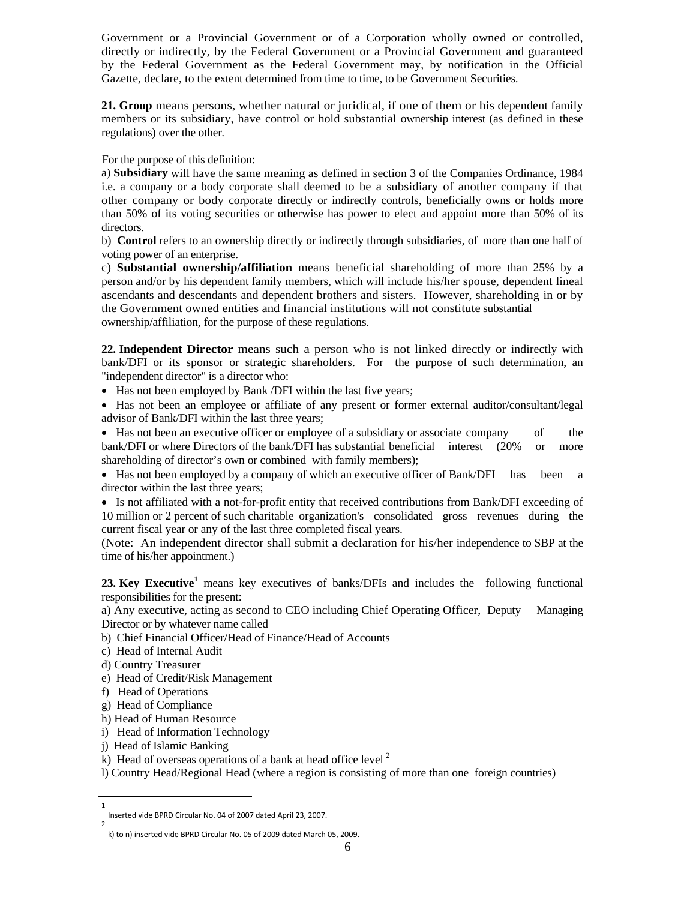Government or a Provincial Government or of a Corporation wholly owned or controlled, directly or indirectly, by the Federal Government or a Provincial Government and guaranteed by the Federal Government as the Federal Government may, by notification in the Official Gazette, declare, to the extent determined from time to time, to be Government Securities.

**21. Group** means persons, whether natural or juridical, if one of them or his dependent family members or its subsidiary, have control or hold substantial ownership interest (as defined in these regulations) over the other.

For the purpose of this definition:

a) **Subsidiary** will have the same meaning as defined in section 3 of the Companies Ordinance, 1984 i.e. a company or a body corporate shall deemed to be a subsidiary of another company if that other company or body corporate directly or indirectly controls, beneficially owns or holds more than 50% of its voting securities or otherwise has power to elect and appoint more than 50% of its directors.

b) **Control** refers to an ownership directly or indirectly through subsidiaries, of more than one half of voting power of an enterprise.

c) **Substantial ownership/affiliation** means beneficial shareholding of more than 25% by a person and/or by his dependent family members, which will include his/her spouse, dependent lineal ascendants and descendants and dependent brothers and sisters. However, shareholding in or by the Government owned entities and financial institutions will not constitute substantial ownership/affiliation, for the purpose of these regulations.

**22. Independent Director** means such a person who is not linked directly or indirectly with bank/DFI or its sponsor or strategic shareholders. For the purpose of such determination, an "independent director" is a director who:

• Has not been employed by Bank /DFI within the last five years;

• Has not been an employee or affiliate of any present or former external auditor/consultant/legal advisor of Bank/DFI within the last three years;

• Has not been an executive officer or employee of a subsidiary or associate company of the bank/DFI or where Directors of the bank/DFI has substantial beneficial interest (20% or more shareholding of director's own or combined with family members);

• Has not been employed by a company of which an executive officer of Bank/DFI has been a director within the last three years;

• Is not affiliated with a not-for-profit entity that received contributions from Bank/DFI exceeding of 10 million or 2 percent of such charitable organization's consolidated gross revenues during the current fiscal year or any of the last three completed fiscal years.

(Note: An independent director shall submit a declaration for his/her independence to SBP at the time of his/her appointment.)

23. Key Executive<sup>1</sup> means key executives of banks/DFIs and includes the following functional responsibilities for the present:

a) Any executive, acting as second to CEO including Chief Operating Officer, Deputy Managing Director or by whatever name called

b) Chief Financial Officer/Head of Finance/Head of Accounts

- c) Head of Internal Audit
- d) Country Treasurer
- e) Head of Credit/Risk Management
- f) Head of Operations
- g) Head of Compliance
- h) Head of Human Resource
- i) Head of Information Technology
- j) Head of Islamic Banking

1

k) Head of overseas operations of a bank at head office level  $2$ 

l) Country Head/Regional Head (where a region is consisting of more than one foreign countries)

Inserted vide BPRD Circular No. 04 of 2007 dated April 23, 2007. 2

k) to n) inserted vide BPRD Circular No. 05 of 2009 dated March 05, 2009.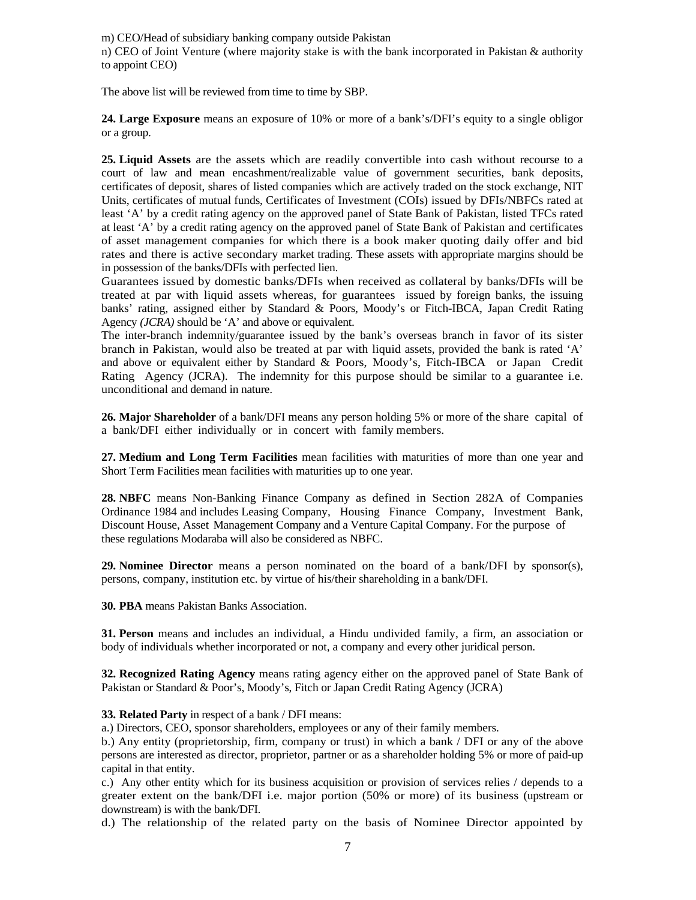m) CEO/Head of subsidiary banking company outside Pakistan

n) CEO of Joint Venture (where majority stake is with the bank incorporated in Pakistan & authority to appoint CEO)

The above list will be reviewed from time to time by SBP.

**24. Large Exposure** means an exposure of 10% or more of a bank's/DFI's equity to a single obligor or a group.

**25. Liquid Assets** are the assets which are readily convertible into cash without recourse to a court of law and mean encashment/realizable value of government securities, bank deposits, certificates of deposit, shares of listed companies which are actively traded on the stock exchange, NIT Units, certificates of mutual funds, Certificates of Investment (COIs) issued by DFIs/NBFCs rated at least 'A' by a credit rating agency on the approved panel of State Bank of Pakistan, listed TFCs rated at least 'A' by a credit rating agency on the approved panel of State Bank of Pakistan and certificates of asset management companies for which there is a book maker quoting daily offer and bid rates and there is active secondary market trading. These assets with appropriate margins should be in possession of the banks/DFIs with perfected lien.

Guarantees issued by domestic banks/DFIs when received as collateral by banks/DFIs will be treated at par with liquid assets whereas, for guarantees issued by foreign banks, the issuing banks' rating, assigned either by Standard & Poors, Moody's or Fitch-IBCA, Japan Credit Rating Agency *(JCRA)* should be 'A' and above or equivalent.

The inter-branch indemnity/guarantee issued by the bank's overseas branch in favor of its sister branch in Pakistan, would also be treated at par with liquid assets, provided the bank is rated 'A' and above or equivalent either by Standard & Poors, Moody's, Fitch-IBCA or Japan Credit Rating Agency (JCRA). The indemnity for this purpose should be similar to a guarantee i.e. unconditional and demand in nature.

**26. Major Shareholder** of a bank/DFI means any person holding 5% or more of the share capital of a bank/DFI either individually or in concert with family members.

**27. Medium and Long Term Facilities** mean facilities with maturities of more than one year and Short Term Facilities mean facilities with maturities up to one year.

**28. NBFC** means Non-Banking Finance Company as defined in Section 282A of Companies Ordinance 1984 and includes Leasing Company, Housing Finance Company, Investment Bank, Discount House, Asset Management Company and a Venture Capital Company. For the purpose of these regulations Modaraba will also be considered as NBFC.

**29. Nominee Director** means a person nominated on the board of a bank/DFI by sponsor(s), persons, company, institution etc. by virtue of his/their shareholding in a bank/DFI.

**30. PBA** means Pakistan Banks Association.

**31. Person** means and includes an individual, a Hindu undivided family, a firm, an association or body of individuals whether incorporated or not, a company and every other juridical person.

**32. Recognized Rating Agency** means rating agency either on the approved panel of State Bank of Pakistan or Standard & Poor's, Moody's, Fitch or Japan Credit Rating Agency (JCRA)

**33. Related Party** in respect of a bank / DFI means:

a.) Directors, CEO, sponsor shareholders, employees or any of their family members.

b.) Any entity (proprietorship, firm, company or trust) in which a bank / DFI or any of the above persons are interested as director, proprietor, partner or as a shareholder holding 5% or more of paid-up capital in that entity.

c.) Any other entity which for its business acquisition or provision of services relies / depends to a greater extent on the bank/DFI i.e. major portion (50% or more) of its business (upstream or downstream) is with the bank/DFI.

d.) The relationship of the related party on the basis of Nominee Director appointed by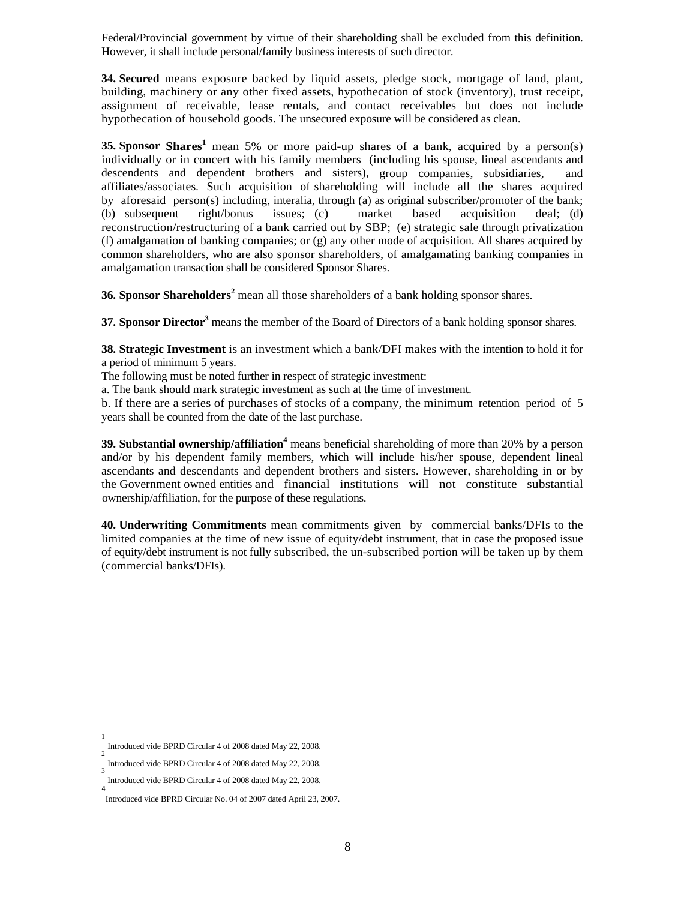Federal/Provincial government by virtue of their shareholding shall be excluded from this definition. However, it shall include personal/family business interests of such director.

**34. Secured** means exposure backed by liquid assets, pledge stock, mortgage of land, plant, building, machinery or any other fixed assets, hypothecation of stock (inventory), trust receipt, assignment of receivable, lease rentals, and contact receivables but does not include hypothecation of household goods. The unsecured exposure will be considered as clean.

**35. Sponsor Shares<sup>1</sup>** mean 5% or more paid-up shares of a bank, acquired by a person(s) individually or in concert with his family members (including his spouse, lineal ascendants and descendents and dependent brothers and sisters), group companies, subsidiaries, and affiliates/associates. Such acquisition of shareholding will include all the shares acquired by aforesaid person(s) including, interalia, through (a) as original subscriber/promoter of the bank; (b) subsequent right/bonus issues; (c) market based acquisition deal; (d) reconstruction/restructuring of a bank carried out by SBP; (e) strategic sale through privatization (f) amalgamation of banking companies; or  $(g)$  any other mode of acquisition. All shares acquired by common shareholders, who are also sponsor shareholders, of amalgamating banking companies in amalgamation transaction shall be considered Sponsor Shares.

**36. Sponsor Shareholders<sup>2</sup>** mean all those shareholders of a bank holding sponsor shares.

**37. Sponsor Director**<sup>3</sup> means the member of the Board of Directors of a bank holding sponsor shares.

**38. Strategic Investment** is an investment which a bank/DFI makes with the intention to hold it for a period of minimum 5 years.

The following must be noted further in respect of strategic investment:

a. The bank should mark strategic investment as such at the time of investment.

b. If there are a series of purchases of stocks of a company, the minimum retention period of 5 years shall be counted from the date of the last purchase.

**39. Substantial ownership/affiliation<sup>4</sup>** means beneficial shareholding of more than 20% by a person and/or by his dependent family members, which will include his/her spouse, dependent lineal ascendants and descendants and dependent brothers and sisters. However, shareholding in or by the Government owned entities and financial institutions will not constitute substantial ownership/affiliation, for the purpose of these regulations.

**40. Underwriting Commitments** mean commitments given by commercial banks/DFIs to the limited companies at the time of new issue of equity/debt instrument, that in case the proposed issue of equity/debt instrument is not fully subscribed, the un-subscribed portion will be taken up by them (commercial banks/DFIs).

1

Introduced vide BPRD Circular 4 of 2008 dated May 22, 2008. 2

Introduced vide BPRD Circular 4 of 2008 dated May 22, 2008. 3

Introduced vide BPRD Circular 4 of 2008 dated May 22, 2008. 4

Introduced vide BPRD Circular No. 04 of 2007 dated April 23, 2007.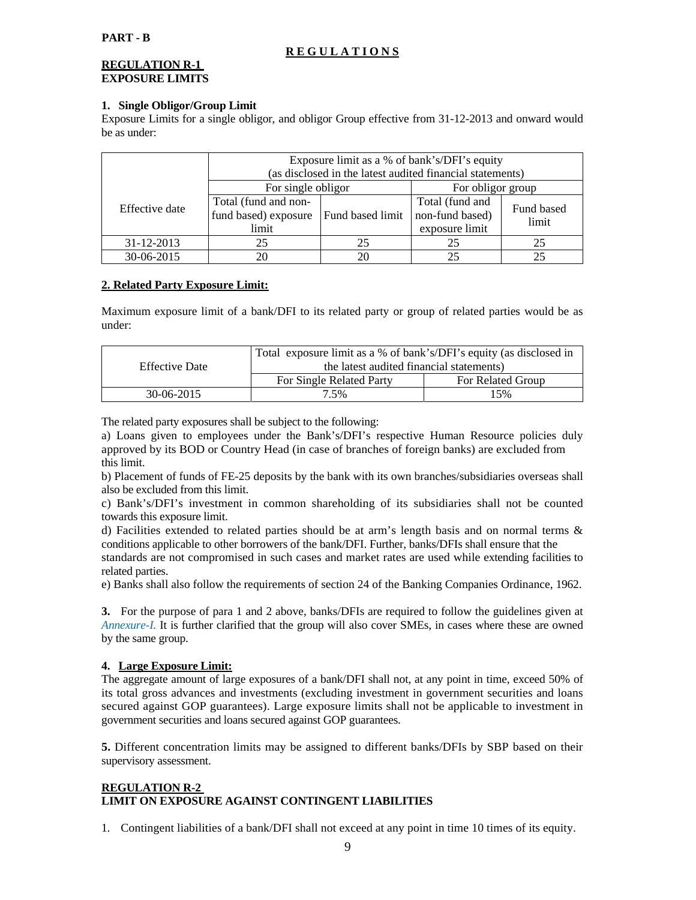### **R E G U L A T I O N S**

### **REGULATION R-1 EXPOSURE LIMITS**

### **1. Single Obligor/Group Limit**

Exposure Limits for a single obligor, and obligor Group effective from 31-12-2013 and onward would be as under:

|                                                                         | Exposure limit as a % of bank's/DFI's equity<br>(as disclosed in the latest audited financial statements) |                  |                                                      |                     |
|-------------------------------------------------------------------------|-----------------------------------------------------------------------------------------------------------|------------------|------------------------------------------------------|---------------------|
|                                                                         | For single obligor<br>For obligor group                                                                   |                  |                                                      |                     |
| Total (fund and non-<br>Effective date<br>fund based) exposure<br>limit |                                                                                                           | Fund based limit | Total (fund and<br>non-fund based)<br>exposure limit | Fund based<br>limit |
| 31-12-2013                                                              | 25                                                                                                        |                  | 25                                                   | 25                  |
| 30-06-2015                                                              | 20                                                                                                        | 20               | 25                                                   | 25                  |

### **2. Related Party Exposure Limit:**

Maximum exposure limit of a bank/DFI to its related party or group of related parties would be as under:

|                       | Total exposure limit as a % of bank's/DFI's equity (as disclosed in |                          |  |
|-----------------------|---------------------------------------------------------------------|--------------------------|--|
| <b>Effective Date</b> | the latest audited financial statements)                            |                          |  |
|                       | For Single Related Party                                            | <b>For Related Group</b> |  |
| $30-06-2015$          | 7.5%                                                                | 15%                      |  |

The related party exposures shall be subject to the following:

a) Loans given to employees under the Bank's/DFI's respective Human Resource policies duly approved by its BOD or Country Head (in case of branches of foreign banks) are excluded from this limit.

b) Placement of funds of FE-25 deposits by the bank with its own branches/subsidiaries overseas shall also be excluded from this limit.

c) Bank's/DFI's investment in common shareholding of its subsidiaries shall not be counted towards this exposure limit.

d) Facilities extended to related parties should be at arm's length basis and on normal terms & conditions applicable to other borrowers of the bank/DFI. Further, banks/DFIs shall ensure that the

standards are not compromised in such cases and market rates are used while extending facilities to related parties.

e) Banks shall also follow the requirements of section 24 of the Banking Companies Ordinance, 1962.

**3.** For the purpose of para 1 and 2 above, banks/DFIs are required to follow the guidelines given at *Annexure-I.* It is further clarified that the group will also cover SMEs, in cases where these are owned by the same group.

### **4. Large Exposure Limit:**

The aggregate amount of large exposures of a bank/DFI shall not, at any point in time, exceed 50% of its total gross advances and investments (excluding investment in government securities and loans secured against GOP guarantees). Large exposure limits shall not be applicable to investment in government securities and loans secured against GOP guarantees.

**5.** Different concentration limits may be assigned to different banks/DFIs by SBP based on their supervisory assessment.

### **REGULATION R-2 LIMIT ON EXPOSURE AGAINST CONTINGENT LIABILITIES**

1. Contingent liabilities of a bank/DFI shall not exceed at any point in time 10 times of its equity.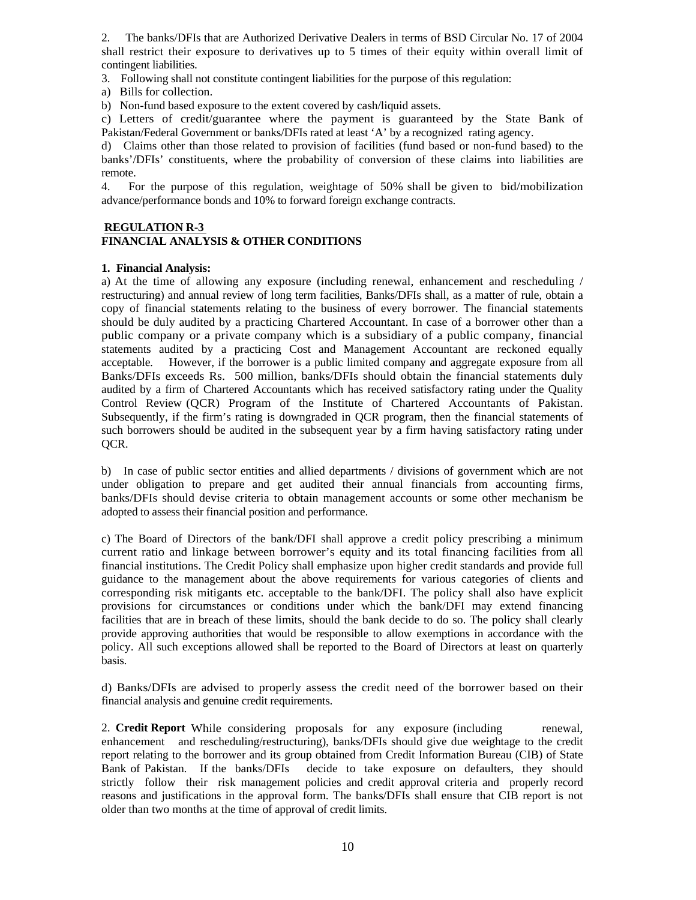2. The banks/DFIs that are Authorized Derivative Dealers in terms of BSD Circular No. 17 of 2004 shall restrict their exposure to derivatives up to 5 times of their equity within overall limit of contingent liabilities.

3. Following shall not constitute contingent liabilities for the purpose of this regulation:

a) Bills for collection.

b) Non-fund based exposure to the extent covered by cash/liquid assets.

c) Letters of credit/guarantee where the payment is guaranteed by the State Bank of Pakistan/Federal Government or banks/DFIs rated at least 'A' by a recognized rating agency.

d) Claims other than those related to provision of facilities (fund based or non-fund based) to the banks'/DFIs' constituents, where the probability of conversion of these claims into liabilities are remote.

4. For the purpose of this regulation, weightage of 50% shall be given to bid/mobilization advance/performance bonds and 10% to forward foreign exchange contracts.

### **REGULATION R-3**

### **FINANCIAL ANALYSIS & OTHER CONDITIONS**

#### **1. Financial Analysis:**

a) At the time of allowing any exposure (including renewal, enhancement and rescheduling / restructuring) and annual review of long term facilities, Banks/DFIs shall, as a matter of rule, obtain a copy of financial statements relating to the business of every borrower. The financial statements should be duly audited by a practicing Chartered Accountant. In case of a borrower other than a public company or a private company which is a subsidiary of a public company, financial statements audited by a practicing Cost and Management Accountant are reckoned equally acceptable. However, if the borrower is a public limited company and aggregate exposure from all Banks/DFIs exceeds Rs. 500 million, banks/DFIs should obtain the financial statements duly audited by a firm of Chartered Accountants which has received satisfactory rating under the Quality Control Review (QCR) Program of the Institute of Chartered Accountants of Pakistan. Subsequently, if the firm's rating is downgraded in QCR program, then the financial statements of such borrowers should be audited in the subsequent year by a firm having satisfactory rating under OCR.

b) In case of public sector entities and allied departments / divisions of government which are not under obligation to prepare and get audited their annual financials from accounting firms, banks/DFIs should devise criteria to obtain management accounts or some other mechanism be adopted to assess their financial position and performance.

c) The Board of Directors of the bank/DFI shall approve a credit policy prescribing a minimum current ratio and linkage between borrower's equity and its total financing facilities from all financial institutions. The Credit Policy shall emphasize upon higher credit standards and provide full guidance to the management about the above requirements for various categories of clients and corresponding risk mitigants etc. acceptable to the bank/DFI. The policy shall also have explicit provisions for circumstances or conditions under which the bank/DFI may extend financing facilities that are in breach of these limits, should the bank decide to do so. The policy shall clearly provide approving authorities that would be responsible to allow exemptions in accordance with the policy. All such exceptions allowed shall be reported to the Board of Directors at least on quarterly basis.

d) Banks/DFIs are advised to properly assess the credit need of the borrower based on their financial analysis and genuine credit requirements.

2. **Credit Report** While considering proposals for any exposure (including renewal, enhancement and rescheduling/restructuring), banks/DFIs should give due weightage to the credit report relating to the borrower and its group obtained from Credit Information Bureau (CIB) of State Bank of Pakistan. If the banks/DFIs decide to take exposure on defaulters, they should strictly follow their risk management policies and credit approval criteria and properly record reasons and justifications in the approval form. The banks/DFIs shall ensure that CIB report is not older than two months at the time of approval of credit limits.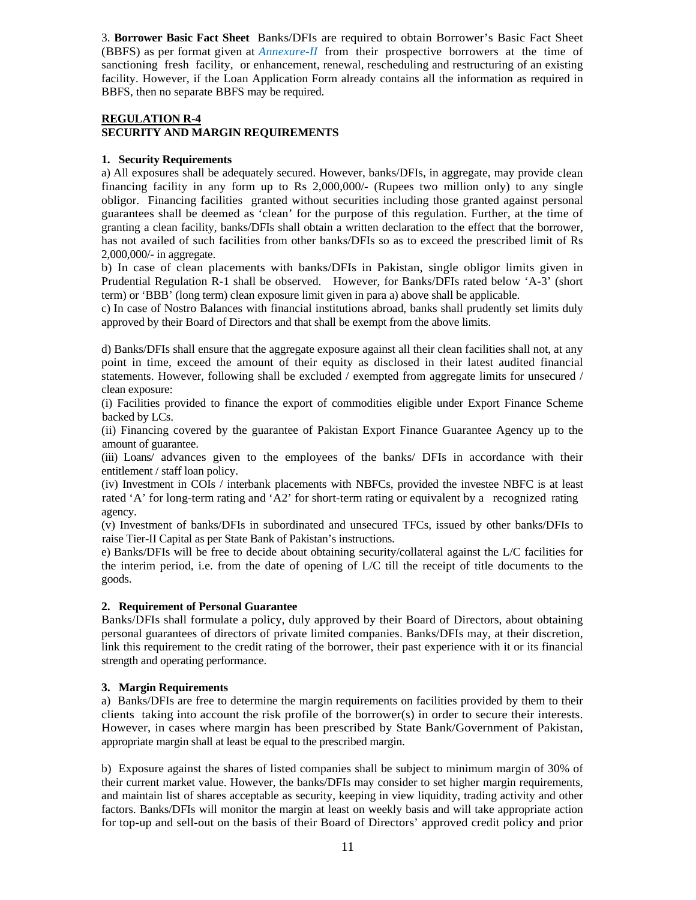3. **Borrower Basic Fact Sheet** Banks/DFIs are required to obtain Borrower's Basic Fact Sheet (BBFS) as per format given at *Annexure-II* from their prospective borrowers at the time of sanctioning fresh facility, or enhancement, renewal, rescheduling and restructuring of an existing facility. However, if the Loan Application Form already contains all the information as required in BBFS, then no separate BBFS may be required.

### **REGULATION R-4 SECURITY AND MARGIN REQUIREMENTS**

### **1. Security Requirements**

a) All exposures shall be adequately secured. However, banks/DFIs, in aggregate, may provide clean financing facility in any form up to Rs 2,000,000/- (Rupees two million only) to any single obligor. Financing facilities granted without securities including those granted against personal guarantees shall be deemed as 'clean' for the purpose of this regulation. Further, at the time of granting a clean facility, banks/DFIs shall obtain a written declaration to the effect that the borrower, has not availed of such facilities from other banks/DFIs so as to exceed the prescribed limit of Rs 2,000,000/- in aggregate.

b) In case of clean placements with banks/DFIs in Pakistan, single obligor limits given in Prudential Regulation R-1 shall be observed. However, for Banks/DFIs rated below 'A-3' (short term) or 'BBB' (long term) clean exposure limit given in para a) above shall be applicable.

c) In case of Nostro Balances with financial institutions abroad, banks shall prudently set limits duly approved by their Board of Directors and that shall be exempt from the above limits.

d) Banks/DFIs shall ensure that the aggregate exposure against all their clean facilities shall not, at any point in time, exceed the amount of their equity as disclosed in their latest audited financial statements. However, following shall be excluded / exempted from aggregate limits for unsecured / clean exposure:

(i) Facilities provided to finance the export of commodities eligible under Export Finance Scheme backed by LCs.

(ii) Financing covered by the guarantee of Pakistan Export Finance Guarantee Agency up to the amount of guarantee.

(iii) Loans/ advances given to the employees of the banks/ DFIs in accordance with their entitlement / staff loan policy.

(iv) Investment in COIs / interbank placements with NBFCs, provided the investee NBFC is at least rated 'A' for long-term rating and 'A2' for short-term rating or equivalent by a recognized rating agency.

(v) Investment of banks/DFIs in subordinated and unsecured TFCs, issued by other banks/DFIs to raise Tier-II Capital as per State Bank of Pakistan's instructions.

e) Banks/DFIs will be free to decide about obtaining security/collateral against the L/C facilities for the interim period, i.e. from the date of opening of L/C till the receipt of title documents to the goods.

### **2. Requirement of Personal Guarantee**

Banks/DFIs shall formulate a policy, duly approved by their Board of Directors, about obtaining personal guarantees of directors of private limited companies. Banks/DFIs may, at their discretion, link this requirement to the credit rating of the borrower, their past experience with it or its financial strength and operating performance.

### **3. Margin Requirements**

a) Banks/DFIs are free to determine the margin requirements on facilities provided by them to their clients taking into account the risk profile of the borrower(s) in order to secure their interests. However, in cases where margin has been prescribed by State Bank/Government of Pakistan, appropriate margin shall at least be equal to the prescribed margin.

b) Exposure against the shares of listed companies shall be subject to minimum margin of 30% of their current market value. However, the banks/DFIs may consider to set higher margin requirements, and maintain list of shares acceptable as security, keeping in view liquidity, trading activity and other factors. Banks/DFIs will monitor the margin at least on weekly basis and will take appropriate action for top-up and sell-out on the basis of their Board of Directors' approved credit policy and prior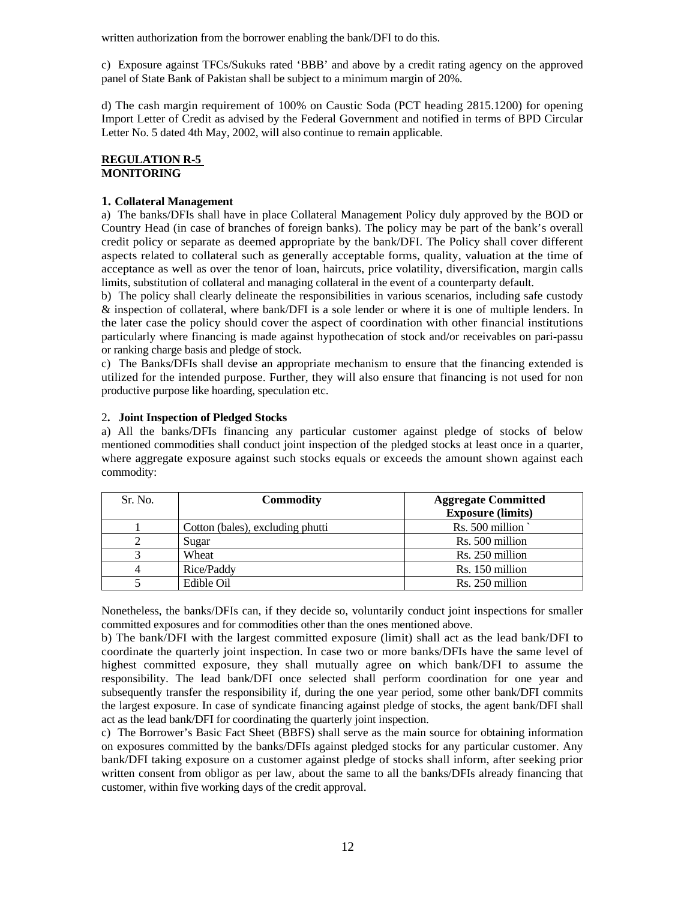written authorization from the borrower enabling the bank/DFI to do this.

c) Exposure against TFCs/Sukuks rated 'BBB' and above by a credit rating agency on the approved panel of State Bank of Pakistan shall be subject to a minimum margin of 20%.

d) The cash margin requirement of 100% on Caustic Soda (PCT heading 2815.1200) for opening Import Letter of Credit as advised by the Federal Government and notified in terms of BPD Circular Letter No. 5 dated 4th May, 2002, will also continue to remain applicable.

#### **REGULATION R-5 MONITORING**

### **1. Collateral Management**

a) The banks/DFIs shall have in place Collateral Management Policy duly approved by the BOD or Country Head (in case of branches of foreign banks). The policy may be part of the bank's overall credit policy or separate as deemed appropriate by the bank/DFI. The Policy shall cover different aspects related to collateral such as generally acceptable forms, quality, valuation at the time of acceptance as well as over the tenor of loan, haircuts, price volatility, diversification, margin calls limits, substitution of collateral and managing collateral in the event of a counterparty default.

b) The policy shall clearly delineate the responsibilities in various scenarios, including safe custody & inspection of collateral, where bank/DFI is a sole lender or where it is one of multiple lenders. In the later case the policy should cover the aspect of coordination with other financial institutions particularly where financing is made against hypothecation of stock and/or receivables on pari-passu or ranking charge basis and pledge of stock.

c) The Banks/DFIs shall devise an appropriate mechanism to ensure that the financing extended is utilized for the intended purpose. Further, they will also ensure that financing is not used for non productive purpose like hoarding, speculation etc.

### 2**. Joint Inspection of Pledged Stocks**

a) All the banks/DFIs financing any particular customer against pledge of stocks of below mentioned commodities shall conduct joint inspection of the pledged stocks at least once in a quarter, where aggregate exposure against such stocks equals or exceeds the amount shown against each commodity:

| Sr. No. | <b>Commodity</b>                 | <b>Aggregate Committed</b><br><b>Exposure (limits)</b> |
|---------|----------------------------------|--------------------------------------------------------|
|         | Cotton (bales), excluding phutti | Rs. 500 million                                        |
|         | Sugar                            | Rs. 500 million                                        |
|         | Wheat                            | Rs. 250 million                                        |
|         | Rice/Paddy                       | Rs. 150 million                                        |
|         | Edible Oil                       | Rs. 250 million                                        |

Nonetheless, the banks/DFIs can, if they decide so, voluntarily conduct joint inspections for smaller committed exposures and for commodities other than the ones mentioned above.

b) The bank/DFI with the largest committed exposure (limit) shall act as the lead bank/DFI to coordinate the quarterly joint inspection. In case two or more banks/DFIs have the same level of highest committed exposure, they shall mutually agree on which bank/DFI to assume the responsibility. The lead bank/DFI once selected shall perform coordination for one year and subsequently transfer the responsibility if, during the one year period, some other bank/DFI commits the largest exposure. In case of syndicate financing against pledge of stocks, the agent bank/DFI shall act as the lead bank/DFI for coordinating the quarterly joint inspection.

c) The Borrower's Basic Fact Sheet (BBFS) shall serve as the main source for obtaining information on exposures committed by the banks/DFIs against pledged stocks for any particular customer. Any bank/DFI taking exposure on a customer against pledge of stocks shall inform, after seeking prior written consent from obligor as per law, about the same to all the banks/DFIs already financing that customer, within five working days of the credit approval.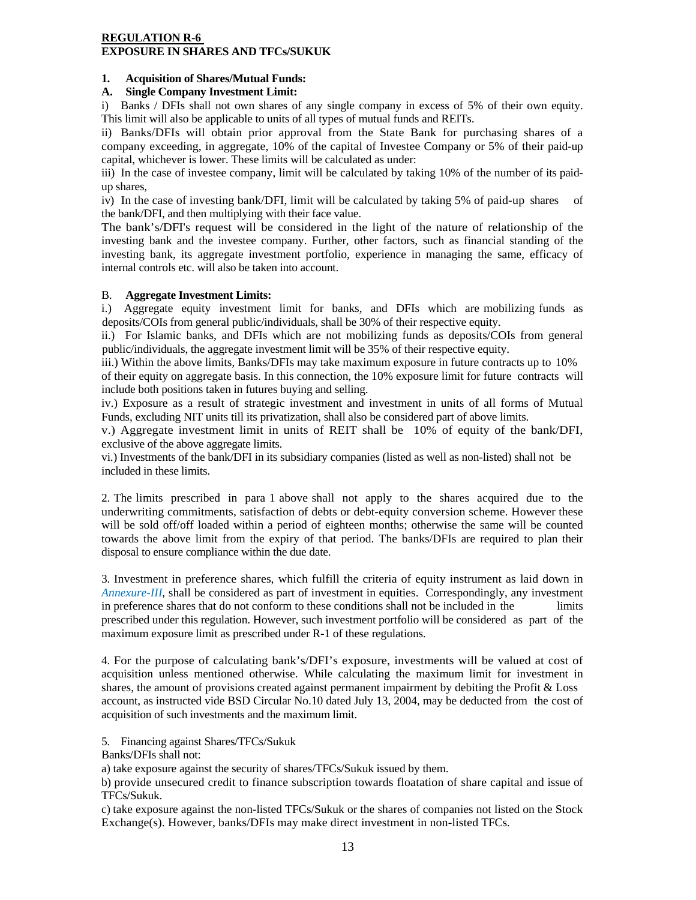### **REGULATION R-6 EXPOSURE IN SHARES AND TFCs/SUKUK**

### **1. Acquisition of Shares/Mutual Funds:**

### **A. Single Company Investment Limit:**

i) Banks / DFIs shall not own shares of any single company in excess of 5% of their own equity. This limit will also be applicable to units of all types of mutual funds and REITs.

ii) Banks/DFIs will obtain prior approval from the State Bank for purchasing shares of a company exceeding, in aggregate, 10% of the capital of Investee Company or 5% of their paid-up capital, whichever is lower. These limits will be calculated as under:

iii) In the case of investee company, limit will be calculated by taking 10% of the number of its paidup shares,

iv) In the case of investing bank/DFI, limit will be calculated by taking 5% of paid-up shares of the bank/DFI, and then multiplying with their face value.

The bank's/DFI's request will be considered in the light of the nature of relationship of the investing bank and the investee company. Further, other factors, such as financial standing of the investing bank, its aggregate investment portfolio, experience in managing the same, efficacy of internal controls etc. will also be taken into account.

### B. **Aggregate Investment Limits:**

i.) Aggregate equity investment limit for banks, and DFIs which are mobilizing funds as deposits/COIs from general public/individuals, shall be 30% of their respective equity.

ii.) For Islamic banks, and DFIs which are not mobilizing funds as deposits/COIs from general public/individuals, the aggregate investment limit will be 35% of their respective equity.

iii.) Within the above limits, Banks/DFIs may take maximum exposure in future contracts up to 10% of their equity on aggregate basis. In this connection, the 10% exposure limit for future contracts will include both positions taken in futures buying and selling.

iv.) Exposure as a result of strategic investment and investment in units of all forms of Mutual Funds, excluding NIT units till its privatization, shall also be considered part of above limits.

v.) Aggregate investment limit in units of REIT shall be 10% of equity of the bank/DFI, exclusive of the above aggregate limits.

vi.) Investments of the bank/DFI in its subsidiary companies (listed as well as non-listed) shall not be included in these limits.

2. The limits prescribed in para 1 above shall not apply to the shares acquired due to the underwriting commitments, satisfaction of debts or debt-equity conversion scheme. However these will be sold off/off loaded within a period of eighteen months; otherwise the same will be counted towards the above limit from the expiry of that period. The banks/DFIs are required to plan their disposal to ensure compliance within the due date.

3. Investment in preference shares, which fulfill the criteria of equity instrument as laid down in *Annexure-III*, shall be considered as part of investment in equities. Correspondingly, any investment in preference shares that do not conform to these conditions shall not be included in the limits prescribed under this regulation. However, such investment portfolio will be considered as part of the maximum exposure limit as prescribed under R-1 of these regulations.

4. For the purpose of calculating bank's/DFI's exposure, investments will be valued at cost of acquisition unless mentioned otherwise. While calculating the maximum limit for investment in shares, the amount of provisions created against permanent impairment by debiting the Profit & Loss account, as instructed vide BSD Circular No.10 dated July 13, 2004, may be deducted from the cost of acquisition of such investments and the maximum limit.

5. Financing against Shares/TFCs/Sukuk

Banks/DFIs shall not:

a) take exposure against the security of shares/TFCs/Sukuk issued by them.

b) provide unsecured credit to finance subscription towards floatation of share capital and issue of TFCs/Sukuk.

c) take exposure against the non-listed TFCs/Sukuk or the shares of companies not listed on the Stock Exchange(s). However, banks/DFIs may make direct investment in non-listed TFCs.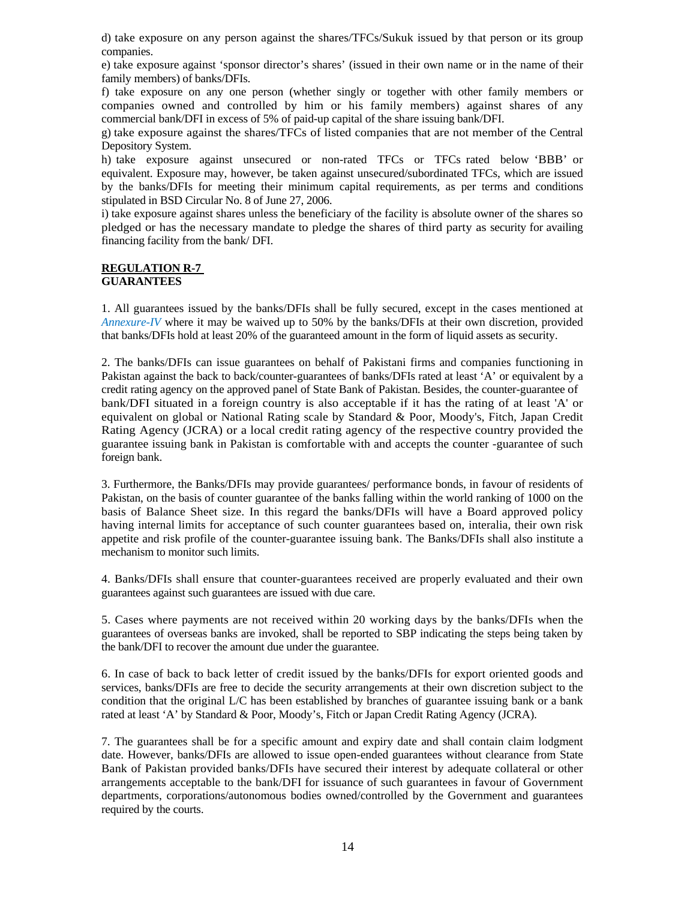d) take exposure on any person against the shares/TFCs/Sukuk issued by that person or its group companies.

e) take exposure against 'sponsor director's shares' (issued in their own name or in the name of their family members) of banks/DFIs.

f) take exposure on any one person (whether singly or together with other family members or companies owned and controlled by him or his family members) against shares of any commercial bank/DFI in excess of 5% of paid-up capital of the share issuing bank/DFI.

g) take exposure against the shares/TFCs of listed companies that are not member of the Central Depository System.

h) take exposure against unsecured or non-rated TFCs or TFCs rated below 'BBB' or equivalent. Exposure may, however, be taken against unsecured/subordinated TFCs, which are issued by the banks/DFIs for meeting their minimum capital requirements, as per terms and conditions stipulated in BSD Circular No. 8 of June 27, 2006.

i) take exposure against shares unless the beneficiary of the facility is absolute owner of the shares so pledged or has the necessary mandate to pledge the shares of third party as security for availing financing facility from the bank/ DFI.

#### **REGULATION R-7 GUARANTEES**

1. All guarantees issued by the banks/DFIs shall be fully secured, except in the cases mentioned at *Annexure-IV* where it may be waived up to 50% by the banks/DFIs at their own discretion, provided that banks/DFIs hold at least 20% of the guaranteed amount in the form of liquid assets as security.

2. The banks/DFIs can issue guarantees on behalf of Pakistani firms and companies functioning in Pakistan against the back to back/counter-guarantees of banks/DFIs rated at least 'A' or equivalent by a credit rating agency on the approved panel of State Bank of Pakistan. Besides, the counter-guarantee of bank/DFI situated in a foreign country is also acceptable if it has the rating of at least 'A' or equivalent on global or National Rating scale by Standard & Poor, Moody's, Fitch, Japan Credit Rating Agency (JCRA) or a local credit rating agency of the respective country provided the guarantee issuing bank in Pakistan is comfortable with and accepts the counter -guarantee of such foreign bank.

3. Furthermore, the Banks/DFIs may provide guarantees/ performance bonds, in favour of residents of Pakistan, on the basis of counter guarantee of the banks falling within the world ranking of 1000 on the basis of Balance Sheet size. In this regard the banks/DFIs will have a Board approved policy having internal limits for acceptance of such counter guarantees based on, interalia, their own risk appetite and risk profile of the counter-guarantee issuing bank. The Banks/DFIs shall also institute a mechanism to monitor such limits.

4. Banks/DFIs shall ensure that counter-guarantees received are properly evaluated and their own guarantees against such guarantees are issued with due care.

5. Cases where payments are not received within 20 working days by the banks/DFIs when the guarantees of overseas banks are invoked, shall be reported to SBP indicating the steps being taken by the bank/DFI to recover the amount due under the guarantee.

6. In case of back to back letter of credit issued by the banks/DFIs for export oriented goods and services, banks/DFIs are free to decide the security arrangements at their own discretion subject to the condition that the original L/C has been established by branches of guarantee issuing bank or a bank rated at least 'A' by Standard & Poor, Moody's, Fitch or Japan Credit Rating Agency (JCRA).

7. The guarantees shall be for a specific amount and expiry date and shall contain claim lodgment date. However, banks/DFIs are allowed to issue open-ended guarantees without clearance from State Bank of Pakistan provided banks/DFIs have secured their interest by adequate collateral or other arrangements acceptable to the bank/DFI for issuance of such guarantees in favour of Government departments, corporations/autonomous bodies owned/controlled by the Government and guarantees required by the courts.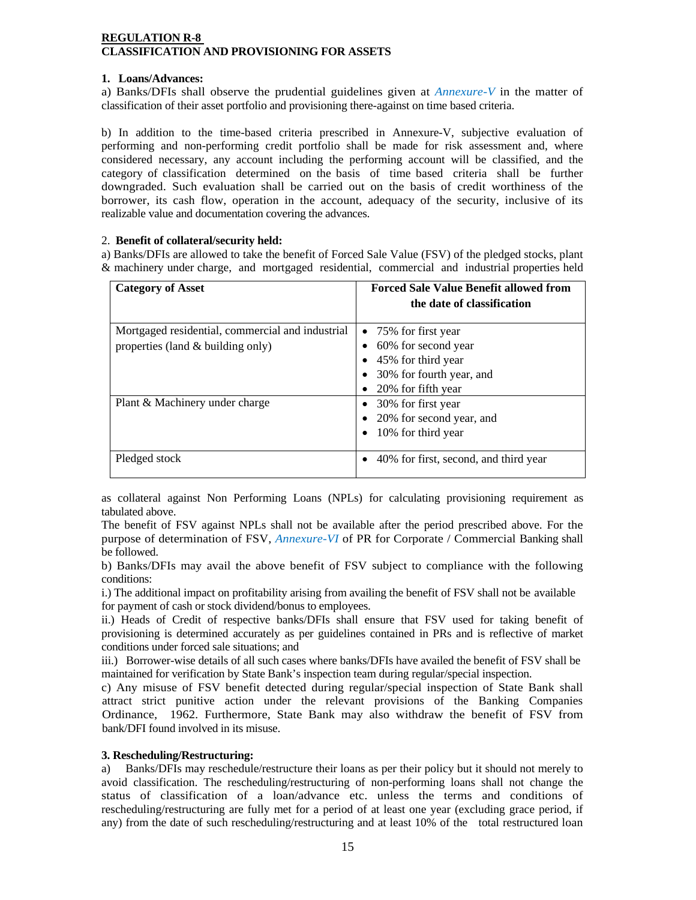### **REGULATION R-8 CLASSIFICATION AND PROVISIONING FOR ASSETS**

### **1. Loans/Advances:**

a) Banks/DFIs shall observe the prudential guidelines given at *Annexure-V* in the matter of classification of their asset portfolio and provisioning there-against on time based criteria.

b) In addition to the time-based criteria prescribed in Annexure-V, subjective evaluation of performing and non-performing credit portfolio shall be made for risk assessment and, where considered necessary, any account including the performing account will be classified, and the category of classification determined on the basis of time based criteria shall be further downgraded. Such evaluation shall be carried out on the basis of credit worthiness of the borrower, its cash flow, operation in the account, adequacy of the security, inclusive of its realizable value and documentation covering the advances.

### 2. **Benefit of collateral/security held:**

a) Banks/DFIs are allowed to take the benefit of Forced Sale Value (FSV) of the pledged stocks, plant & machinery under charge, and mortgaged residential, commercial and industrial properties held

| <b>Category of Asset</b>                                                              | <b>Forced Sale Value Benefit allowed from</b><br>the date of classification                                         |
|---------------------------------------------------------------------------------------|---------------------------------------------------------------------------------------------------------------------|
| Mortgaged residential, commercial and industrial<br>properties (land & building only) | • 75% for first year<br>60% for second year<br>45% for third year<br>30% for fourth year, and<br>20% for fifth year |
| Plant & Machinery under charge                                                        | 30% for first year<br>20% for second year, and<br>10% for third year                                                |
| Pledged stock                                                                         | 40% for first, second, and third year                                                                               |

as collateral against Non Performing Loans (NPLs) for calculating provisioning requirement as tabulated above.

The benefit of FSV against NPLs shall not be available after the period prescribed above. For the purpose of determination of FSV, *Annexure-VI* of PR for Corporate / Commercial Banking shall be followed.

b) Banks/DFIs may avail the above benefit of FSV subject to compliance with the following conditions:

i.) The additional impact on profitability arising from availing the benefit of FSV shall not be available for payment of cash or stock dividend/bonus to employees.

ii.) Heads of Credit of respective banks/DFIs shall ensure that FSV used for taking benefit of provisioning is determined accurately as per guidelines contained in PRs and is reflective of market conditions under forced sale situations; and

iii.) Borrower-wise details of all such cases where banks/DFIs have availed the benefit of FSV shall be maintained for verification by State Bank's inspection team during regular/special inspection.

c) Any misuse of FSV benefit detected during regular/special inspection of State Bank shall attract strict punitive action under the relevant provisions of the Banking Companies Ordinance, 1962. Furthermore, State Bank may also withdraw the benefit of FSV from bank/DFI found involved in its misuse.

### **3. Rescheduling/Restructuring:**

a) Banks/DFIs may reschedule/restructure their loans as per their policy but it should not merely to avoid classification. The rescheduling/restructuring of non-performing loans shall not change the status of classification of a loan/advance etc. unless the terms and conditions of rescheduling/restructuring are fully met for a period of at least one year (excluding grace period, if any) from the date of such rescheduling/restructuring and at least 10% of the total restructured loan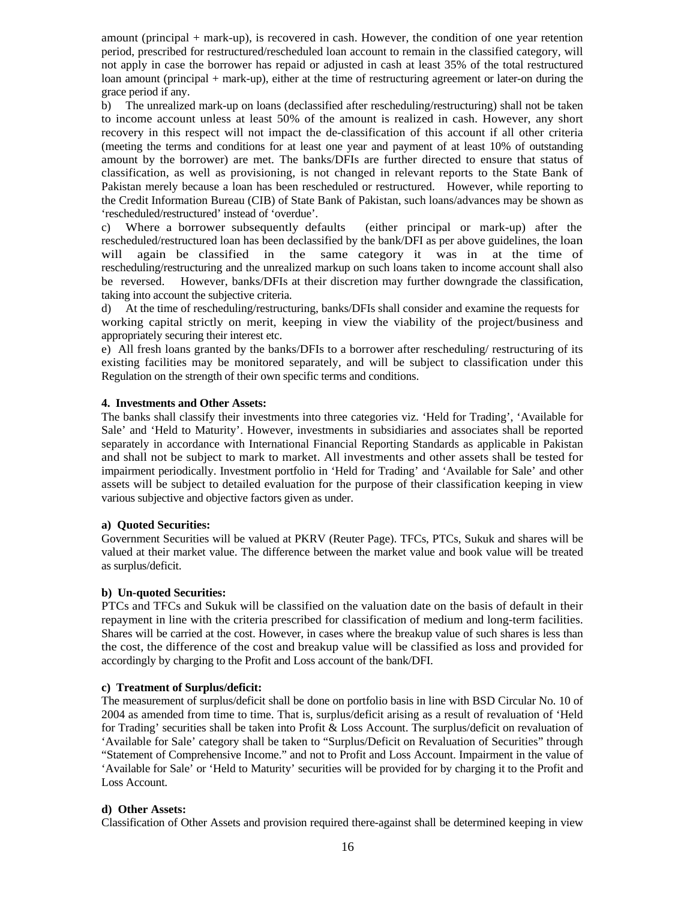amount (principal + mark-up), is recovered in cash. However, the condition of one year retention period, prescribed for restructured/rescheduled loan account to remain in the classified category, will not apply in case the borrower has repaid or adjusted in cash at least 35% of the total restructured loan amount (principal + mark-up), either at the time of restructuring agreement or later-on during the grace period if any.

b) The unrealized mark-up on loans (declassified after rescheduling/restructuring) shall not be taken to income account unless at least 50% of the amount is realized in cash. However, any short recovery in this respect will not impact the de-classification of this account if all other criteria (meeting the terms and conditions for at least one year and payment of at least 10% of outstanding amount by the borrower) are met. The banks/DFIs are further directed to ensure that status of classification, as well as provisioning, is not changed in relevant reports to the State Bank of Pakistan merely because a loan has been rescheduled or restructured. However, while reporting to the Credit Information Bureau (CIB) of State Bank of Pakistan, such loans/advances may be shown as 'rescheduled/restructured' instead of 'overdue'.

c) Where a borrower subsequently defaults (either principal or mark-up) after the rescheduled/restructured loan has been declassified by the bank/DFI as per above guidelines, the loan will again be classified in the same category it was in at the time of rescheduling/restructuring and the unrealized markup on such loans taken to income account shall also be reversed. However, banks/DFIs at their discretion may further downgrade the classification, taking into account the subjective criteria.

d) At the time of rescheduling/restructuring, banks/DFIs shall consider and examine the requests for working capital strictly on merit, keeping in view the viability of the project/business and appropriately securing their interest etc.

e) All fresh loans granted by the banks/DFIs to a borrower after rescheduling/ restructuring of its existing facilities may be monitored separately, and will be subject to classification under this Regulation on the strength of their own specific terms and conditions.

#### **4. Investments and Other Assets:**

The banks shall classify their investments into three categories viz. 'Held for Trading', 'Available for Sale' and 'Held to Maturity'. However, investments in subsidiaries and associates shall be reported separately in accordance with International Financial Reporting Standards as applicable in Pakistan and shall not be subject to mark to market. All investments and other assets shall be tested for impairment periodically. Investment portfolio in 'Held for Trading' and 'Available for Sale' and other assets will be subject to detailed evaluation for the purpose of their classification keeping in view various subjective and objective factors given as under.

#### **a) Quoted Securities:**

Government Securities will be valued at PKRV (Reuter Page). TFCs, PTCs, Sukuk and shares will be valued at their market value. The difference between the market value and book value will be treated as surplus/deficit.

### **b) Un-quoted Securities:**

PTCs and TFCs and Sukuk will be classified on the valuation date on the basis of default in their repayment in line with the criteria prescribed for classification of medium and long-term facilities. Shares will be carried at the cost. However, in cases where the breakup value of such shares is less than the cost, the difference of the cost and breakup value will be classified as loss and provided for accordingly by charging to the Profit and Loss account of the bank/DFI.

### **c) Treatment of Surplus/deficit:**

The measurement of surplus/deficit shall be done on portfolio basis in line with BSD Circular No. 10 of 2004 as amended from time to time. That is, surplus/deficit arising as a result of revaluation of 'Held for Trading' securities shall be taken into Profit & Loss Account. The surplus/deficit on revaluation of 'Available for Sale' category shall be taken to "Surplus/Deficit on Revaluation of Securities" through "Statement of Comprehensive Income." and not to Profit and Loss Account. Impairment in the value of 'Available for Sale' or 'Held to Maturity' securities will be provided for by charging it to the Profit and Loss Account.

### **d) Other Assets:**

Classification of Other Assets and provision required there-against shall be determined keeping in view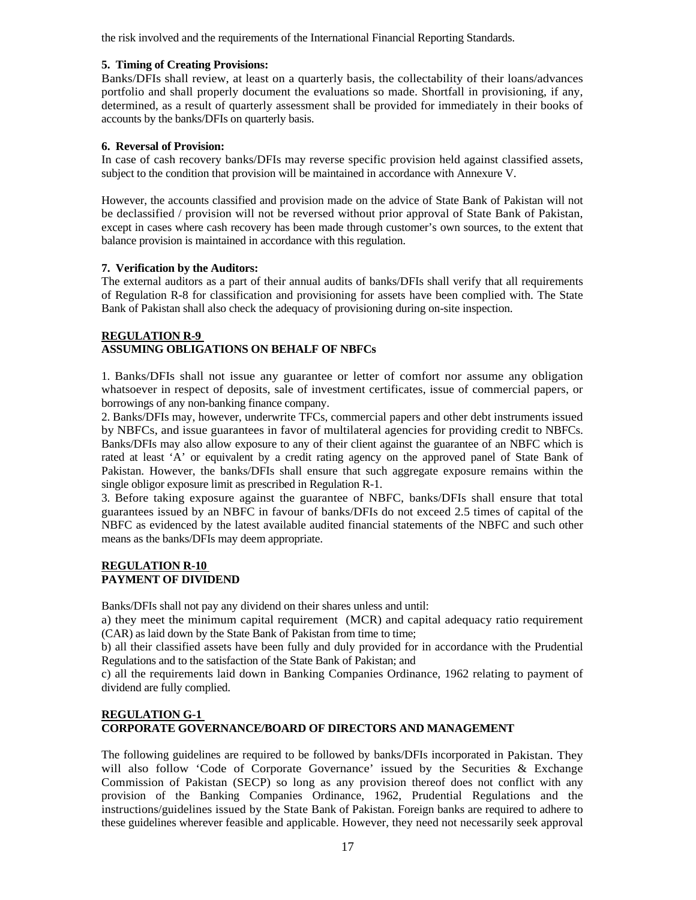the risk involved and the requirements of the International Financial Reporting Standards.

### **5. Timing of Creating Provisions:**

Banks/DFIs shall review, at least on a quarterly basis, the collectability of their loans/advances portfolio and shall properly document the evaluations so made. Shortfall in provisioning, if any, determined, as a result of quarterly assessment shall be provided for immediately in their books of accounts by the banks/DFIs on quarterly basis.

### **6. Reversal of Provision:**

In case of cash recovery banks/DFIs may reverse specific provision held against classified assets, subject to the condition that provision will be maintained in accordance with Annexure V.

However, the accounts classified and provision made on the advice of State Bank of Pakistan will not be declassified / provision will not be reversed without prior approval of State Bank of Pakistan, except in cases where cash recovery has been made through customer's own sources, to the extent that balance provision is maintained in accordance with this regulation.

### **7. Verification by the Auditors:**

The external auditors as a part of their annual audits of banks/DFIs shall verify that all requirements of Regulation R-8 for classification and provisioning for assets have been complied with. The State Bank of Pakistan shall also check the adequacy of provisioning during on-site inspection.

### **REGULATION R-9 ASSUMING OBLIGATIONS ON BEHALF OF NBFCs**

1. Banks/DFIs shall not issue any guarantee or letter of comfort nor assume any obligation whatsoever in respect of deposits, sale of investment certificates, issue of commercial papers, or borrowings of any non-banking finance company.

2. Banks/DFIs may, however, underwrite TFCs, commercial papers and other debt instruments issued by NBFCs, and issue guarantees in favor of multilateral agencies for providing credit to NBFCs. Banks/DFIs may also allow exposure to any of their client against the guarantee of an NBFC which is rated at least 'A' or equivalent by a credit rating agency on the approved panel of State Bank of Pakistan. However, the banks/DFIs shall ensure that such aggregate exposure remains within the single obligor exposure limit as prescribed in Regulation R-1.

3. Before taking exposure against the guarantee of NBFC, banks/DFIs shall ensure that total guarantees issued by an NBFC in favour of banks/DFIs do not exceed 2.5 times of capital of the NBFC as evidenced by the latest available audited financial statements of the NBFC and such other means as the banks/DFIs may deem appropriate.

### **REGULATION R-10 PAYMENT OF DIVIDEND**

Banks/DFIs shall not pay any dividend on their shares unless and until:

a) they meet the minimum capital requirement (MCR) and capital adequacy ratio requirement (CAR) as laid down by the State Bank of Pakistan from time to time;

b) all their classified assets have been fully and duly provided for in accordance with the Prudential Regulations and to the satisfaction of the State Bank of Pakistan; and

c) all the requirements laid down in Banking Companies Ordinance, 1962 relating to payment of dividend are fully complied.

### **REGULATION G-1 CORPORATE GOVERNANCE/BOARD OF DIRECTORS AND MANAGEMENT**

The following guidelines are required to be followed by banks/DFIs incorporated in Pakistan. They will also follow 'Code of Corporate Governance' issued by the Securities & Exchange Commission of Pakistan (SECP) so long as any provision thereof does not conflict with any provision of the Banking Companies Ordinance, 1962, Prudential Regulations and the instructions/guidelines issued by the State Bank of Pakistan. Foreign banks are required to adhere to these guidelines wherever feasible and applicable. However, they need not necessarily seek approval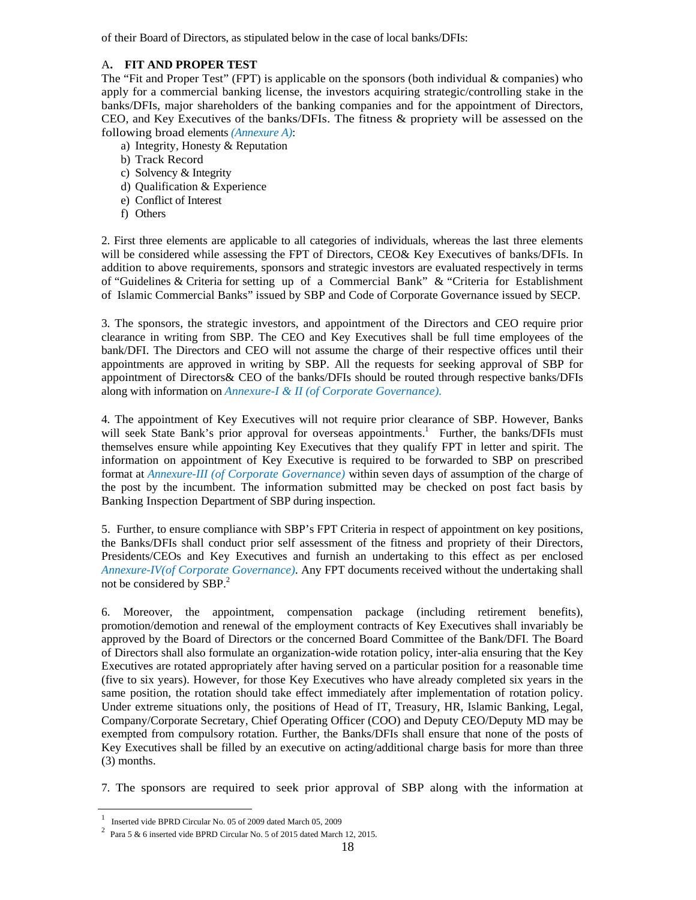of their Board of Directors, as stipulated below in the case of local banks/DFIs:

### A**. FIT AND PROPER TEST**

The "Fit and Proper Test" (FPT) is applicable on the sponsors (both individual & companies) who apply for a commercial banking license, the investors acquiring strategic/controlling stake in the banks/DFIs, major shareholders of the banking companies and for the appointment of Directors, CEO, and Key Executives of the banks/DFIs. The fitness & propriety will be assessed on the following broad elements *(Annexure A)*:

- a) Integrity, Honesty & Reputation
- b) Track Record
- c) Solvency & Integrity
- d) Qualification & Experience
- e) Conflict of Interest
- f) Others

2. First three elements are applicable to all categories of individuals, whereas the last three elements will be considered while assessing the FPT of Directors, CEO& Key Executives of banks/DFIs. In addition to above requirements, sponsors and strategic investors are evaluated respectively in terms of "Guidelines & Criteria for setting up of a Commercial Bank" & "Criteria for Establishment of Islamic Commercial Banks" issued by SBP and Code of Corporate Governance issued by SECP.

3. The sponsors, the strategic investors, and appointment of the Directors and CEO require prior clearance in writing from SBP. The CEO and Key Executives shall be full time employees of the bank/DFI. The Directors and CEO will not assume the charge of their respective offices until their appointments are approved in writing by SBP. All the requests for seeking approval of SBP for appointment of Directors& CEO of the banks/DFIs should be routed through respective banks/DFIs along with information on *Annexure-I & II (of Corporate Governance).*

4. The appointment of Key Executives will not require prior clearance of SBP. However, Banks will seek State Bank's prior approval for overseas appointments.<sup>1</sup> Further, the banks/DFIs must themselves ensure while appointing Key Executives that they qualify FPT in letter and spirit. The information on appointment of Key Executive is required to be forwarded to SBP on prescribed format at *Annexure-III (of Corporate Governance)* within seven days of assumption of the charge of the post by the incumbent. The information submitted may be checked on post fact basis by Banking Inspection Department of SBP during inspection.

5. Further, to ensure compliance with SBP's FPT Criteria in respect of appointment on key positions, the Banks/DFIs shall conduct prior self assessment of the fitness and propriety of their Directors, Presidents/CEOs and Key Executives and furnish an undertaking to this effect as per enclosed *Annexure-IV(of Corporate Governance)*. Any FPT documents received without the undertaking shall not be considered by SBP.<sup>2</sup>

6. Moreover, the appointment, compensation package (including retirement benefits), promotion/demotion and renewal of the employment contracts of Key Executives shall invariably be approved by the Board of Directors or the concerned Board Committee of the Bank/DFI. The Board of Directors shall also formulate an organization-wide rotation policy, inter-alia ensuring that the Key Executives are rotated appropriately after having served on a particular position for a reasonable time (five to six years). However, for those Key Executives who have already completed six years in the same position, the rotation should take effect immediately after implementation of rotation policy. Under extreme situations only, the positions of Head of IT, Treasury, HR, Islamic Banking, Legal, Company/Corporate Secretary, Chief Operating Officer (COO) and Deputy CEO/Deputy MD may be exempted from compulsory rotation. Further, the Banks/DFIs shall ensure that none of the posts of Key Executives shall be filled by an executive on acting/additional charge basis for more than three (3) months.

7. The sponsors are required to seek prior approval of SBP along with the information at

 1 Inserted vide BPRD Circular No. 05 of 2009 dated March 05, 2009

<sup>&</sup>lt;sup>2</sup> Para 5 & 6 inserted vide BPRD Circular No. 5 of 2015 dated March 12, 2015.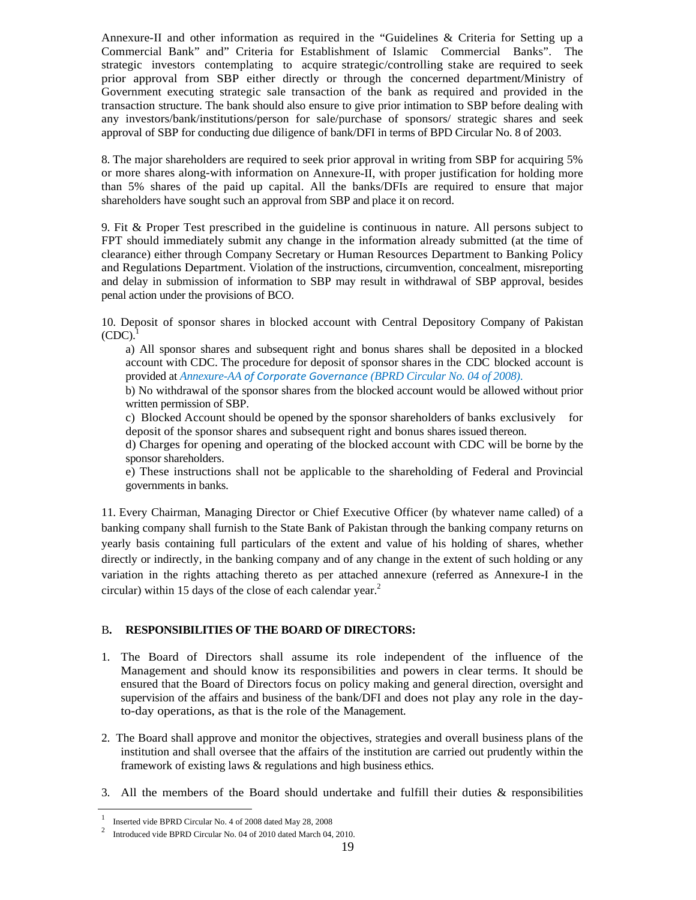Annexure-II and other information as required in the "Guidelines & Criteria for Setting up a Commercial Bank" and" Criteria for Establishment of Islamic Commercial Banks". The strategic investors contemplating to acquire strategic/controlling stake are required to seek prior approval from SBP either directly or through the concerned department/Ministry of Government executing strategic sale transaction of the bank as required and provided in the transaction structure. The bank should also ensure to give prior intimation to SBP before dealing with any investors/bank/institutions/person for sale/purchase of sponsors/ strategic shares and seek approval of SBP for conducting due diligence of bank/DFI in terms of BPD Circular No. 8 of 2003.

8. The major shareholders are required to seek prior approval in writing from SBP for acquiring 5% or more shares along-with information on Annexure-II, with proper justification for holding more than 5% shares of the paid up capital. All the banks/DFIs are required to ensure that major shareholders have sought such an approval from SBP and place it on record.

9. Fit & Proper Test prescribed in the guideline is continuous in nature. All persons subject to FPT should immediately submit any change in the information already submitted (at the time of clearance) either through Company Secretary or Human Resources Department to Banking Policy and Regulations Department. Violation of the instructions, circumvention, concealment, misreporting and delay in submission of information to SBP may result in withdrawal of SBP approval, besides penal action under the provisions of BCO.

10. Deposit of sponsor shares in blocked account with Central Depository Company of Pakistan  $(CDC)$ .

a) All sponsor shares and subsequent right and bonus shares shall be deposited in a blocked account with CDC. The procedure for deposit of sponsor shares in the CDC blocked account is provided at *Annexure-AA of Corporate Governance (BPRD Circular No. 04 of 2008)*.

b) No withdrawal of the sponsor shares from the blocked account would be allowed without prior written permission of SBP.

c) Blocked Account should be opened by the sponsor shareholders of banks exclusively for deposit of the sponsor shares and subsequent right and bonus shares issued thereon.

d) Charges for opening and operating of the blocked account with CDC will be borne by the sponsor shareholders.

e) These instructions shall not be applicable to the shareholding of Federal and Provincial governments in banks.

11. Every Chairman, Managing Director or Chief Executive Officer (by whatever name called) of a banking company shall furnish to the State Bank of Pakistan through the banking company returns on yearly basis containing full particulars of the extent and value of his holding of shares, whether directly or indirectly, in the banking company and of any change in the extent of such holding or any variation in the rights attaching thereto as per attached annexure (referred as Annexure-I in the circular) within 15 days of the close of each calendar year.<sup>2</sup>

### B**. RESPONSIBILITIES OF THE BOARD OF DIRECTORS:**

- 1. The Board of Directors shall assume its role independent of the influence of the Management and should know its responsibilities and powers in clear terms. It should be ensured that the Board of Directors focus on policy making and general direction, oversight and supervision of the affairs and business of the bank/DFI and does not play any role in the dayto-day operations, as that is the role of the Management.
- 2. The Board shall approve and monitor the objectives, strategies and overall business plans of the institution and shall oversee that the affairs of the institution are carried out prudently within the framework of existing laws & regulations and high business ethics.
- 3. All the members of the Board should undertake and fulfill their duties & responsibilities

<sup>1&</sup>lt;br>
Inserted vide BPRD Circular No. 4 of 2008 dated May 28, 2008<br>
<sup>2</sup> Interduced vide BPBD Circular Ne. 04 of 2010 dated Marsh 04

<sup>&</sup>lt;sup>2</sup> Introduced vide BPRD Circular No. 04 of 2010 dated March 04, 2010.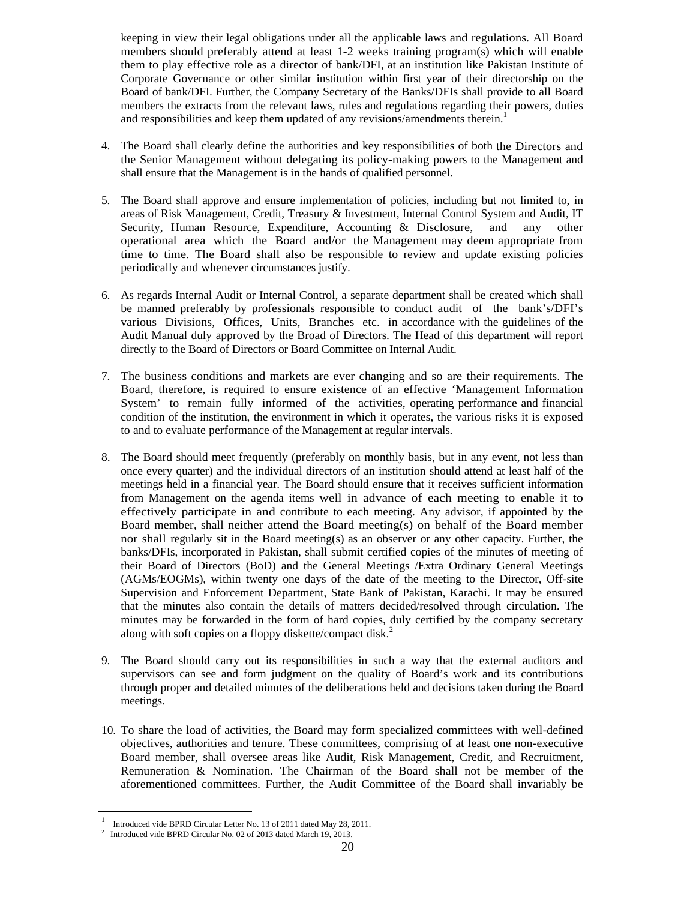keeping in view their legal obligations under all the applicable laws and regulations. All Board members should preferably attend at least 1-2 weeks training program(s) which will enable them to play effective role as a director of bank/DFI, at an institution like Pakistan Institute of Corporate Governance or other similar institution within first year of their directorship on the Board of bank/DFI. Further, the Company Secretary of the Banks/DFIs shall provide to all Board members the extracts from the relevant laws, rules and regulations regarding their powers, duties and responsibilities and keep them updated of any revisions/amendments therein.<sup>1</sup>

- 4. The Board shall clearly define the authorities and key responsibilities of both the Directors and the Senior Management without delegating its policy-making powers to the Management and shall ensure that the Management is in the hands of qualified personnel.
- 5. The Board shall approve and ensure implementation of policies, including but not limited to, in areas of Risk Management, Credit, Treasury & Investment, Internal Control System and Audit, IT Security, Human Resource, Expenditure, Accounting & Disclosure, and any other operational area which the Board and/or the Management may deem appropriate from time to time. The Board shall also be responsible to review and update existing policies periodically and whenever circumstances justify.
- 6. As regards Internal Audit or Internal Control, a separate department shall be created which shall be manned preferably by professionals responsible to conduct audit of the bank's/DFI's various Divisions, Offices, Units, Branches etc. in accordance with the guidelines of the Audit Manual duly approved by the Broad of Directors. The Head of this department will report directly to the Board of Directors or Board Committee on Internal Audit.
- 7. The business conditions and markets are ever changing and so are their requirements. The Board, therefore, is required to ensure existence of an effective 'Management Information System' to remain fully informed of the activities, operating performance and financial condition of the institution, the environment in which it operates, the various risks it is exposed to and to evaluate performance of the Management at regular intervals.
- 8. The Board should meet frequently (preferably on monthly basis, but in any event, not less than once every quarter) and the individual directors of an institution should attend at least half of the meetings held in a financial year. The Board should ensure that it receives sufficient information from Management on the agenda items well in advance of each meeting to enable it to effectively participate in and contribute to each meeting. Any advisor, if appointed by the Board member, shall neither attend the Board meeting(s) on behalf of the Board member nor shall regularly sit in the Board meeting(s) as an observer or any other capacity. Further, the banks/DFIs, incorporated in Pakistan, shall submit certified copies of the minutes of meeting of their Board of Directors (BoD) and the General Meetings /Extra Ordinary General Meetings (AGMs/EOGMs), within twenty one days of the date of the meeting to the Director, Off-site Supervision and Enforcement Department, State Bank of Pakistan, Karachi. It may be ensured that the minutes also contain the details of matters decided/resolved through circulation. The minutes may be forwarded in the form of hard copies, duly certified by the company secretary along with soft copies on a floppy diskette/compact disk.<sup>2</sup>
- 9. The Board should carry out its responsibilities in such a way that the external auditors and supervisors can see and form judgment on the quality of Board's work and its contributions through proper and detailed minutes of the deliberations held and decisions taken during the Board meetings.
- 10. To share the load of activities, the Board may form specialized committees with well-defined objectives, authorities and tenure. These committees, comprising of at least one non-executive Board member, shall oversee areas like Audit, Risk Management, Credit, and Recruitment, Remuneration & Nomination. The Chairman of the Board shall not be member of the aforementioned committees. Further, the Audit Committee of the Board shall invariably be

<sup>1</sup> Introduced vide BPRD Circular Letter No. 13 of 2011 dated May 28, 2011. 2

Introduced vide BPRD Circular No. 02 of 2013 dated March 19, 2013.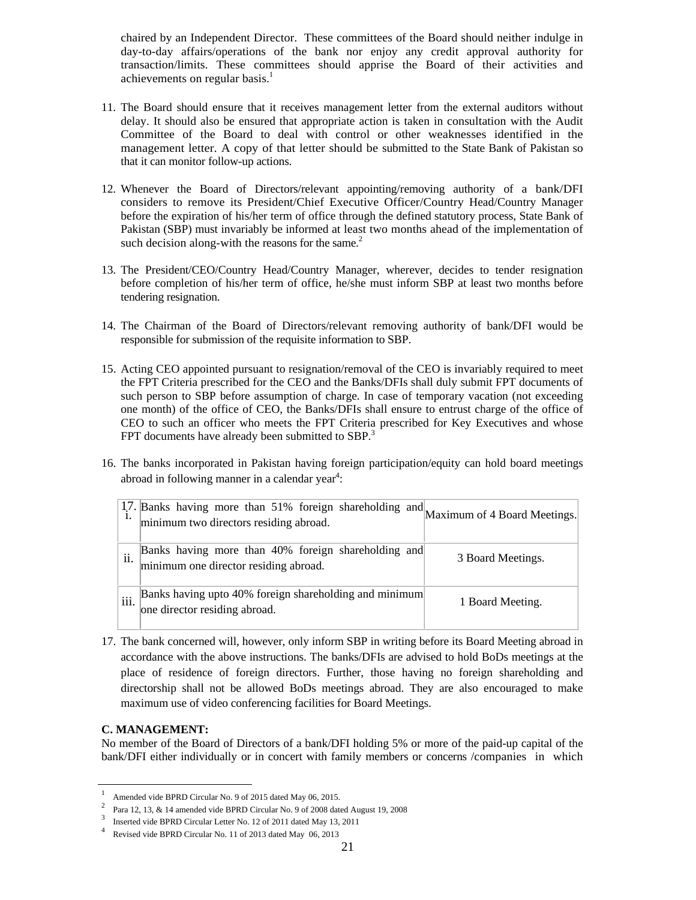chaired by an Independent Director. These committees of the Board should neither indulge in day-to-day affairs/operations of the bank nor enjoy any credit approval authority for transaction/limits. These committees should apprise the Board of their activities and achievements on regular basis.<sup>1</sup>

- 11. The Board should ensure that it receives management letter from the external auditors without delay. It should also be ensured that appropriate action is taken in consultation with the Audit Committee of the Board to deal with control or other weaknesses identified in the management letter. A copy of that letter should be submitted to the State Bank of Pakistan so that it can monitor follow-up actions.
- 12. Whenever the Board of Directors/relevant appointing/removing authority of a bank/DFI considers to remove its President/Chief Executive Officer/Country Head/Country Manager before the expiration of his/her term of office through the defined statutory process, State Bank of Pakistan (SBP) must invariably be informed at least two months ahead of the implementation of such decision along-with the reasons for the same. $2$
- 13. The President/CEO/Country Head/Country Manager, wherever, decides to tender resignation before completion of his/her term of office, he/she must inform SBP at least two months before tendering resignation.
- 14. The Chairman of the Board of Directors/relevant removing authority of bank/DFI would be responsible for submission of the requisite information to SBP.
- 15. Acting CEO appointed pursuant to resignation/removal of the CEO is invariably required to meet the FPT Criteria prescribed for the CEO and the Banks/DFIs shall duly submit FPT documents of such person to SBP before assumption of charge. In case of temporary vacation (not exceeding one month) of the office of CEO, the Banks/DFIs shall ensure to entrust charge of the office of CEO to such an officer who meets the FPT Criteria prescribed for Key Executives and whose FPT documents have already been submitted to SBP. $3$
- 16. The banks incorporated in Pakistan having foreign participation/equity can hold board meetings abroad in following manner in a calendar year $4$ :

|      | 17. Banks having more than 51% foreign shareholding and<br>minimum two directors residing abroad. | Maximum of 4 Board Meetings. |
|------|---------------------------------------------------------------------------------------------------|------------------------------|
| 11.  | Banks having more than 40% foreign shareholding and<br>minimum one director residing abroad.      | 3 Board Meetings.            |
| iii. | Banks having upto 40% foreign shareholding and minimum<br>one director residing abroad.           | 1 Board Meeting.             |

17. The bank concerned will, however, only inform SBP in writing before its Board Meeting abroad in accordance with the above instructions. The banks/DFIs are advised to hold BoDs meetings at the place of residence of foreign directors. Further, those having no foreign shareholding and directorship shall not be allowed BoDs meetings abroad. They are also encouraged to make maximum use of video conferencing facilities for Board Meetings.

### **C. MANAGEMENT:**

No member of the Board of Directors of a bank/DFI holding 5% or more of the paid-up capital of the bank/DFI either individually or in concert with family members or concerns /companies in which

<sup>1</sup> Amended vide BPRD Circular No. 9 of 2015 dated May 06, 2015.

Para 12, 13, & 14 amended vide BPRD Circular No. 9 of 2008 dated August 19, 2008

Inserted vide BPRD Circular Letter No. 12 of 2011 dated May 13, 2011

Revised vide BPRD Circular No. 11 of 2013 dated May 06, 2013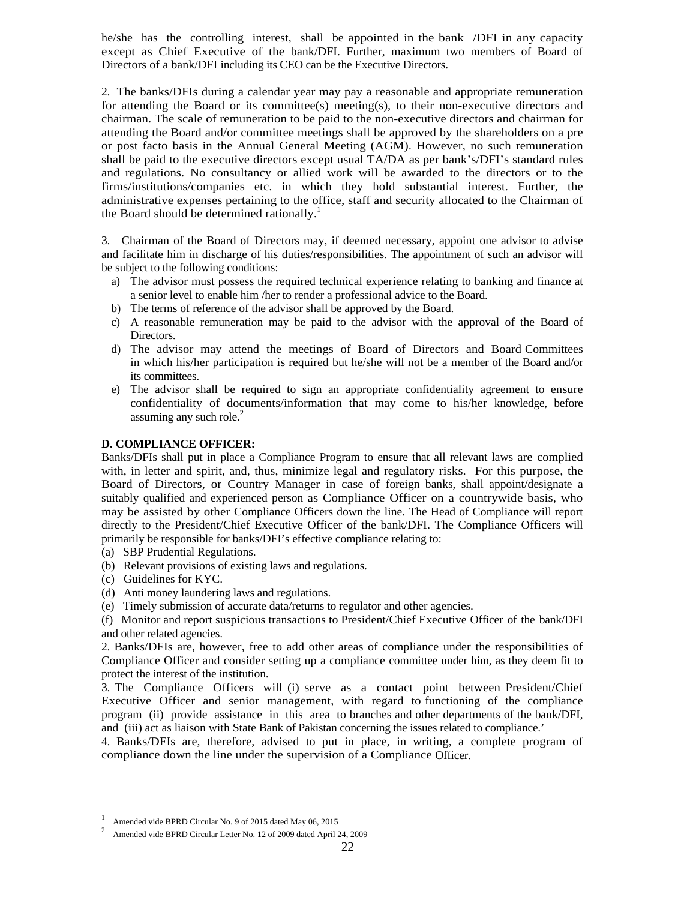he/she has the controlling interest, shall be appointed in the bank /DFI in any capacity except as Chief Executive of the bank/DFI. Further, maximum two members of Board of Directors of a bank/DFI including its CEO can be the Executive Directors.

2. The banks/DFIs during a calendar year may pay a reasonable and appropriate remuneration for attending the Board or its committee(s) meeting(s), to their non-executive directors and chairman. The scale of remuneration to be paid to the non-executive directors and chairman for attending the Board and/or committee meetings shall be approved by the shareholders on a pre or post facto basis in the Annual General Meeting (AGM). However, no such remuneration shall be paid to the executive directors except usual TA/DA as per bank's/DFI's standard rules and regulations. No consultancy or allied work will be awarded to the directors or to the firms/institutions/companies etc. in which they hold substantial interest. Further, the administrative expenses pertaining to the office, staff and security allocated to the Chairman of the Board should be determined rationally.<sup>1</sup>

3. Chairman of the Board of Directors may, if deemed necessary, appoint one advisor to advise and facilitate him in discharge of his duties/responsibilities. The appointment of such an advisor will be subject to the following conditions:

- a) The advisor must possess the required technical experience relating to banking and finance at a senior level to enable him /her to render a professional advice to the Board.
- b) The terms of reference of the advisor shall be approved by the Board.
- c) A reasonable remuneration may be paid to the advisor with the approval of the Board of Directors.
- d) The advisor may attend the meetings of Board of Directors and Board Committees in which his/her participation is required but he/she will not be a member of the Board and/or its committees.
- e) The advisor shall be required to sign an appropriate confidentiality agreement to ensure confidentiality of documents/information that may come to his/her knowledge, before assuming any such role. $2$

#### **D. COMPLIANCE OFFICER:**

Banks/DFIs shall put in place a Compliance Program to ensure that all relevant laws are complied with, in letter and spirit, and, thus, minimize legal and regulatory risks. For this purpose, the Board of Directors, or Country Manager in case of foreign banks, shall appoint/designate a suitably qualified and experienced person as Compliance Officer on a countrywide basis, who may be assisted by other Compliance Officers down the line. The Head of Compliance will report directly to the President/Chief Executive Officer of the bank/DFI. The Compliance Officers will primarily be responsible for banks/DFI's effective compliance relating to:

- (a) SBP Prudential Regulations.
- (b) Relevant provisions of existing laws and regulations.
- (c) Guidelines for KYC.
- (d) Anti money laundering laws and regulations.
- (e) Timely submission of accurate data/returns to regulator and other agencies.

(f) Monitor and report suspicious transactions to President/Chief Executive Officer of the bank/DFI and other related agencies.

2. Banks/DFIs are, however, free to add other areas of compliance under the responsibilities of Compliance Officer and consider setting up a compliance committee under him, as they deem fit to protect the interest of the institution.

3. The Compliance Officers will (i) serve as a contact point between President/Chief Executive Officer and senior management, with regard to functioning of the compliance program (ii) provide assistance in this area to branches and other departments of the bank/DFI, and (iii) act as liaison with State Bank of Pakistan concerning the issues related to compliance.'

4. Banks/DFIs are, therefore, advised to put in place, in writing, a complete program of compliance down the line under the supervision of a Compliance Officer.

<sup>1</sup> Amended vide BPRD Circular No. 9 of 2015 dated May 06, 2015

Amended vide BPRD Circular Letter No. 12 of 2009 dated April 24, 2009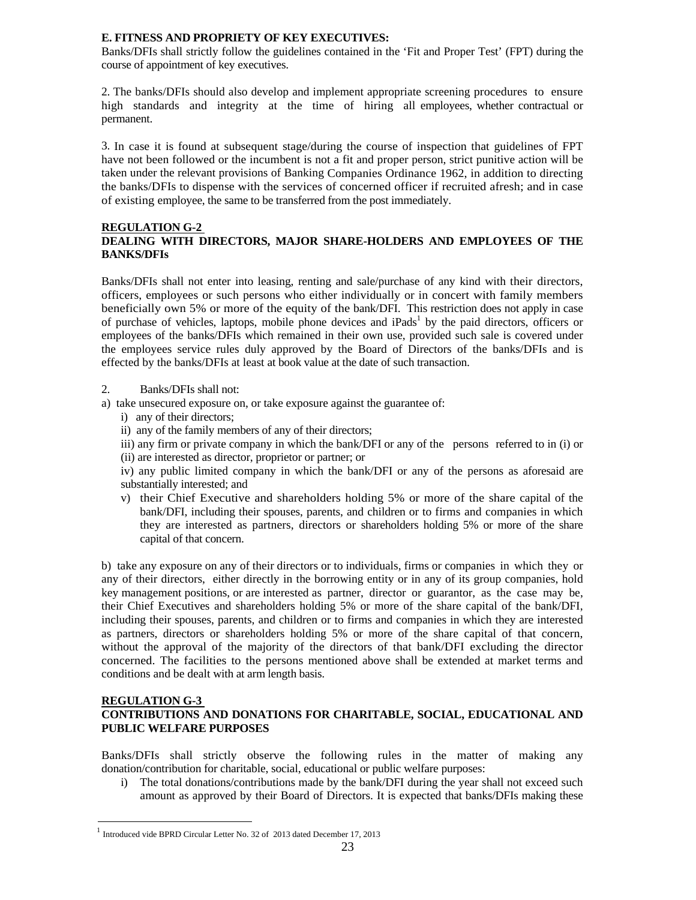### **E. FITNESS AND PROPRIETY OF KEY EXECUTIVES:**

Banks/DFIs shall strictly follow the guidelines contained in the 'Fit and Proper Test' (FPT) during the course of appointment of key executives.

2. The banks/DFIs should also develop and implement appropriate screening procedures to ensure high standards and integrity at the time of hiring all employees, whether contractual or permanent.

3. In case it is found at subsequent stage/during the course of inspection that guidelines of FPT have not been followed or the incumbent is not a fit and proper person, strict punitive action will be taken under the relevant provisions of Banking Companies Ordinance 1962, in addition to directing the banks/DFIs to dispense with the services of concerned officer if recruited afresh; and in case of existing employee, the same to be transferred from the post immediately.

### **REGULATION G-2 DEALING WITH DIRECTORS, MAJOR SHARE-HOLDERS AND EMPLOYEES OF THE BANKS/DFIs**

Banks/DFIs shall not enter into leasing, renting and sale/purchase of any kind with their directors, officers, employees or such persons who either individually or in concert with family members beneficially own 5% or more of the equity of the bank/DFI. This restriction does not apply in case of purchase of vehicles, laptops, mobile phone devices and iPads<sup>1</sup> by the paid directors, officers or employees of the banks/DFIs which remained in their own use, provided such sale is covered under the employees service rules duly approved by the Board of Directors of the banks/DFIs and is effected by the banks/DFIs at least at book value at the date of such transaction.

### 2. Banks/DFIs shall not:

- a) take unsecured exposure on, or take exposure against the guarantee of:
	- i) any of their directors;
	- ii) any of the family members of any of their directors;
	- iii) any firm or private company in which the bank/DFI or any of the persons referred to in (i) or (ii) are interested as director, proprietor or partner; or

iv) any public limited company in which the bank/DFI or any of the persons as aforesaid are substantially interested; and

v) their Chief Executive and shareholders holding 5% or more of the share capital of the bank/DFI, including their spouses, parents, and children or to firms and companies in which they are interested as partners, directors or shareholders holding 5% or more of the share capital of that concern.

b) take any exposure on any of their directors or to individuals, firms or companies in which they or any of their directors, either directly in the borrowing entity or in any of its group companies, hold key management positions, or are interested as partner, director or guarantor, as the case may be, their Chief Executives and shareholders holding 5% or more of the share capital of the bank/DFI, including their spouses, parents, and children or to firms and companies in which they are interested as partners, directors or shareholders holding 5% or more of the share capital of that concern, without the approval of the majority of the directors of that bank/DFI excluding the director concerned. The facilities to the persons mentioned above shall be extended at market terms and conditions and be dealt with at arm length basis.

### **REGULATION G-3**

### **CONTRIBUTIONS AND DONATIONS FOR CHARITABLE, SOCIAL, EDUCATIONAL AND PUBLIC WELFARE PURPOSES**

Banks/DFIs shall strictly observe the following rules in the matter of making any donation/contribution for charitable, social, educational or public welfare purposes:

i) The total donations/contributions made by the bank/DFI during the year shall not exceed such amount as approved by their Board of Directors. It is expected that banks/DFIs making these

<sup>&</sup>lt;sup>1</sup> Introduced vide BPRD Circular Letter No. 32 of 2013 dated December 17, 2013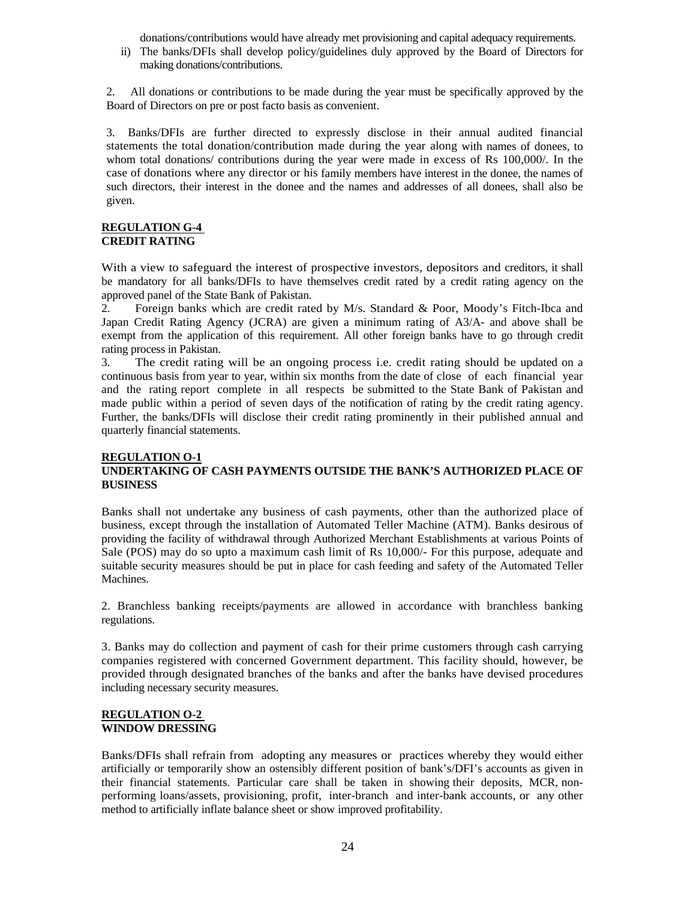donations/contributions would have already met provisioning and capital adequacy requirements.

ii) The banks/DFIs shall develop policy/guidelines duly approved by the Board of Directors for making donations/contributions.

2. All donations or contributions to be made during the year must be specifically approved by the Board of Directors on pre or post facto basis as convenient.

3. Banks/DFIs are further directed to expressly disclose in their annual audited financial statements the total donation/contribution made during the year along with names of donees, to whom total donations/ contributions during the year were made in excess of Rs 100,000/. In the case of donations where any director or his family members have interest in the donee, the names of such directors, their interest in the donee and the names and addresses of all donees, shall also be given.

#### **REGULATION G-4 CREDIT RATING**

With a view to safeguard the interest of prospective investors, depositors and creditors, it shall be mandatory for all banks/DFIs to have themselves credit rated by a credit rating agency on the approved panel of the State Bank of Pakistan.

2. Foreign banks which are credit rated by M/s. Standard & Poor, Moody's Fitch-Ibca and Japan Credit Rating Agency (JCRA) are given a minimum rating of A3/A- and above shall be exempt from the application of this requirement. All other foreign banks have to go through credit rating process in Pakistan.

3. The credit rating will be an ongoing process i.e. credit rating should be updated on a continuous basis from year to year, within six months from the date of close of each financial year and the rating report complete in all respects be submitted to the State Bank of Pakistan and made public within a period of seven days of the notification of rating by the credit rating agency. Further, the banks/DFIs will disclose their credit rating prominently in their published annual and quarterly financial statements.

#### **REGULATION O-1 UNDERTAKING OF CASH PAYMENTS OUTSIDE THE BANK'S AUTHORIZED PLACE OF BUSINESS**

Banks shall not undertake any business of cash payments, other than the authorized place of business, except through the installation of Automated Teller Machine (ATM). Banks desirous of providing the facility of withdrawal through Authorized Merchant Establishments at various Points of Sale (POS) may do so upto a maximum cash limit of Rs 10,000/- For this purpose, adequate and suitable security measures should be put in place for cash feeding and safety of the Automated Teller Machines.

2. Branchless banking receipts/payments are allowed in accordance with branchless banking regulations.

3. Banks may do collection and payment of cash for their prime customers through cash carrying companies registered with concerned Government department. This facility should, however, be provided through designated branches of the banks and after the banks have devised procedures including necessary security measures.

### **REGULATION O-2 WINDOW DRESSING**

Banks/DFIs shall refrain from adopting any measures or practices whereby they would either artificially or temporarily show an ostensibly different position of bank's/DFI's accounts as given in their financial statements. Particular care shall be taken in showing their deposits, MCR, nonperforming loans/assets, provisioning, profit, inter-branch and inter-bank accounts, or any other method to artificially inflate balance sheet or show improved profitability.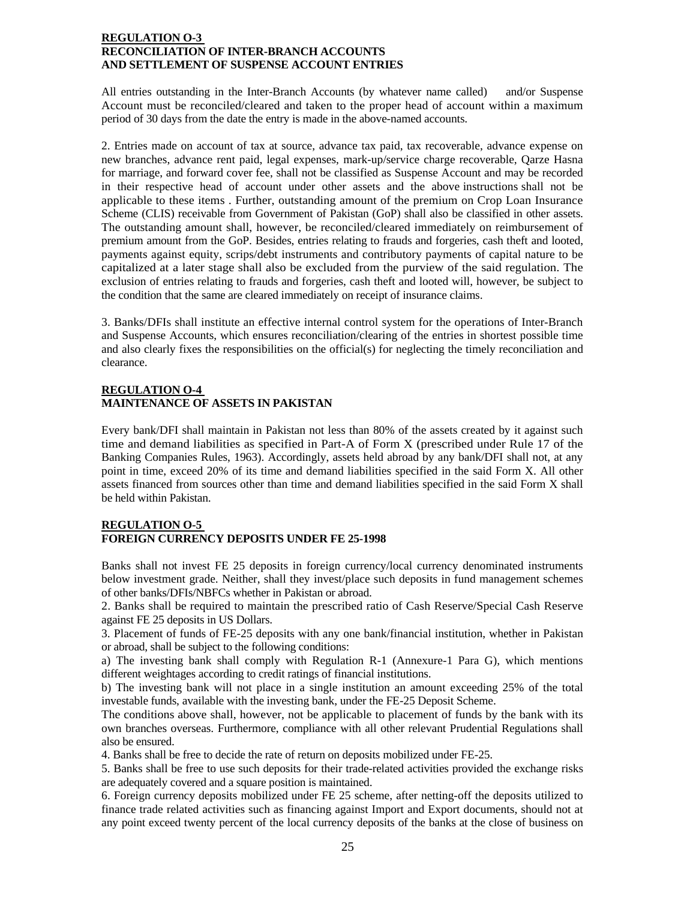### **REGULATION O-3 RECONCILIATION OF INTER-BRANCH ACCOUNTS AND SETTLEMENT OF SUSPENSE ACCOUNT ENTRIES**

All entries outstanding in the Inter-Branch Accounts (by whatever name called) and/or Suspense Account must be reconciled/cleared and taken to the proper head of account within a maximum period of 30 days from the date the entry is made in the above-named accounts.

2. Entries made on account of tax at source, advance tax paid, tax recoverable, advance expense on new branches, advance rent paid, legal expenses, mark-up/service charge recoverable, Qarze Hasna for marriage, and forward cover fee, shall not be classified as Suspense Account and may be recorded in their respective head of account under other assets and the above instructions shall not be applicable to these items . Further, outstanding amount of the premium on Crop Loan Insurance Scheme (CLIS) receivable from Government of Pakistan (GoP) shall also be classified in other assets. The outstanding amount shall, however, be reconciled/cleared immediately on reimbursement of premium amount from the GoP. Besides, entries relating to frauds and forgeries, cash theft and looted, payments against equity, scrips/debt instruments and contributory payments of capital nature to be capitalized at a later stage shall also be excluded from the purview of the said regulation. The exclusion of entries relating to frauds and forgeries, cash theft and looted will, however, be subject to the condition that the same are cleared immediately on receipt of insurance claims.

3. Banks/DFIs shall institute an effective internal control system for the operations of Inter-Branch and Suspense Accounts, which ensures reconciliation/clearing of the entries in shortest possible time and also clearly fixes the responsibilities on the official(s) for neglecting the timely reconciliation and clearance.

### **REGULATION O-4 MAINTENANCE OF ASSETS IN PAKISTAN**

Every bank/DFI shall maintain in Pakistan not less than 80% of the assets created by it against such time and demand liabilities as specified in Part-A of Form X (prescribed under Rule 17 of the Banking Companies Rules, 1963). Accordingly, assets held abroad by any bank/DFI shall not, at any point in time, exceed 20% of its time and demand liabilities specified in the said Form X. All other assets financed from sources other than time and demand liabilities specified in the said Form X shall be held within Pakistan.

### **REGULATION O-5 FOREIGN CURRENCY DEPOSITS UNDER FE 25-1998**

Banks shall not invest FE 25 deposits in foreign currency/local currency denominated instruments below investment grade. Neither, shall they invest/place such deposits in fund management schemes of other banks/DFIs/NBFCs whether in Pakistan or abroad.

2. Banks shall be required to maintain the prescribed ratio of Cash Reserve/Special Cash Reserve against FE 25 deposits in US Dollars.

3. Placement of funds of FE-25 deposits with any one bank/financial institution, whether in Pakistan or abroad, shall be subject to the following conditions:

a) The investing bank shall comply with Regulation R-1 (Annexure-1 Para G), which mentions different weightages according to credit ratings of financial institutions.

b) The investing bank will not place in a single institution an amount exceeding 25% of the total investable funds, available with the investing bank, under the FE-25 Deposit Scheme.

The conditions above shall, however, not be applicable to placement of funds by the bank with its own branches overseas. Furthermore, compliance with all other relevant Prudential Regulations shall also be ensured.

4. Banks shall be free to decide the rate of return on deposits mobilized under FE-25.

5. Banks shall be free to use such deposits for their trade-related activities provided the exchange risks are adequately covered and a square position is maintained.

6. Foreign currency deposits mobilized under FE 25 scheme, after netting-off the deposits utilized to finance trade related activities such as financing against Import and Export documents, should not at any point exceed twenty percent of the local currency deposits of the banks at the close of business on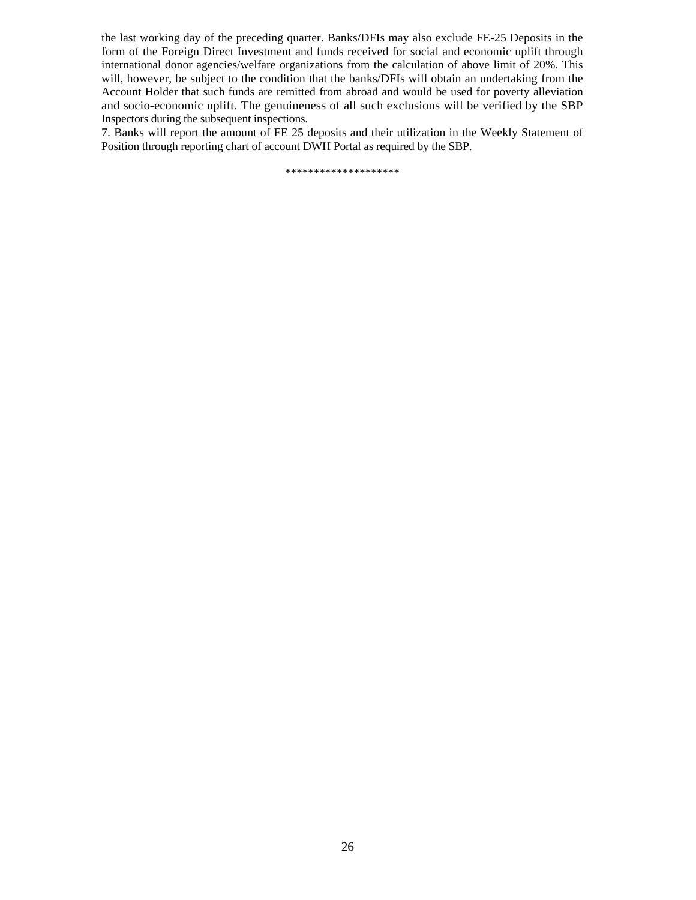the last working day of the preceding quarter. Banks/DFIs may also exclude FE-25 Deposits in the form of the Foreign Direct Investment and funds received for social and economic uplift through international donor agencies/welfare organizations from the calculation of above limit of 20%. This will, however, be subject to the condition that the banks/DFIs will obtain an undertaking from the Account Holder that such funds are remitted from abroad and would be used for poverty alleviation and socio-economic uplift. The genuineness of all such exclusions will be verified by the SBP Inspectors during the subsequent inspections.

7. Banks will report the amount of FE 25 deposits and their utilization in the Weekly Statement of Position through reporting chart of account DWH Portal as required by the SBP.

\*\*\*\*\*\*\*\*\*\*\*\*\*\*\*\*\*\*\*\*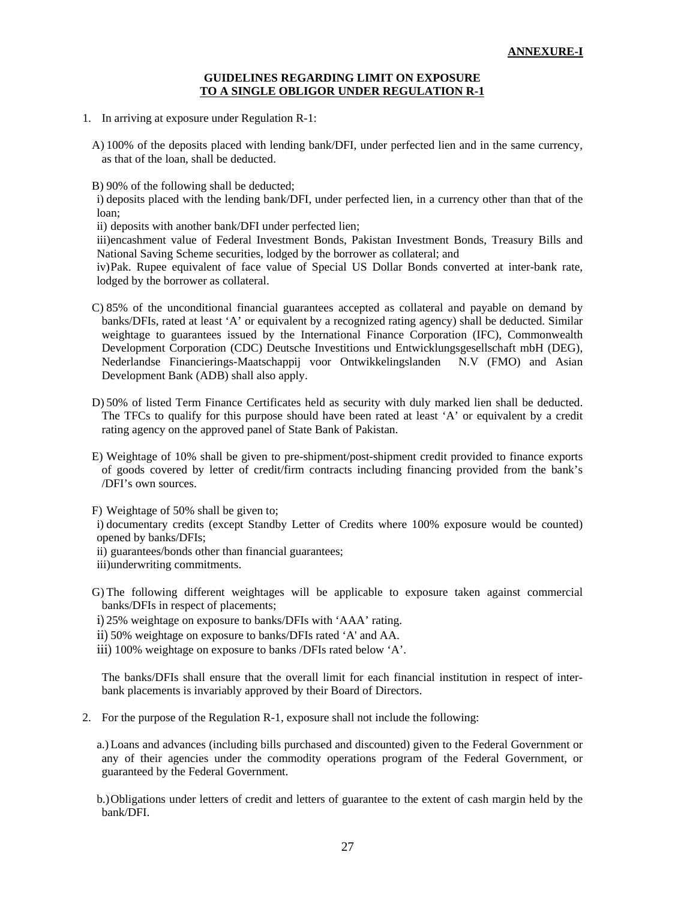#### **GUIDELINES REGARDING LIMIT ON EXPOSURE TO A SINGLE OBLIGOR UNDER REGULATION R-1**

- 1. In arriving at exposure under Regulation R-1:
	- A) 100% of the deposits placed with lending bank/DFI, under perfected lien and in the same currency, as that of the loan, shall be deducted.

B) 90% of the following shall be deducted;

i) deposits placed with the lending bank/DFI, under perfected lien, in a currency other than that of the loan;

ii) deposits with another bank/DFI under perfected lien;

iii)encashment value of Federal Investment Bonds, Pakistan Investment Bonds, Treasury Bills and National Saving Scheme securities, lodged by the borrower as collateral; and

iv)Pak. Rupee equivalent of face value of Special US Dollar Bonds converted at inter-bank rate, lodged by the borrower as collateral.

- C) 85% of the unconditional financial guarantees accepted as collateral and payable on demand by banks/DFIs, rated at least 'A' or equivalent by a recognized rating agency) shall be deducted. Similar weightage to guarantees issued by the International Finance Corporation (IFC), Commonwealth Development Corporation (CDC) Deutsche Investitions und Entwicklungsgesellschaft mbH (DEG), Nederlandse Financierings-Maatschappij voor Ontwikkelingslanden N.V (FMO) and Asian Development Bank (ADB) shall also apply.
- D) 50% of listed Term Finance Certificates held as security with duly marked lien shall be deducted. The TFCs to qualify for this purpose should have been rated at least 'A' or equivalent by a credit rating agency on the approved panel of State Bank of Pakistan.
- E) Weightage of 10% shall be given to pre-shipment/post-shipment credit provided to finance exports of goods covered by letter of credit/firm contracts including financing provided from the bank's /DFI's own sources.

F) Weightage of 50% shall be given to;

i) documentary credits (except Standby Letter of Credits where 100% exposure would be counted) opened by banks/DFIs;

- ii) guarantees/bonds other than financial guarantees;
- iii)underwriting commitments.
- G) The following different weightages will be applicable to exposure taken against commercial banks/DFIs in respect of placements;
- i) 25% weightage on exposure to banks/DFIs with 'AAA' rating.
- ii) 50% weightage on exposure to banks/DFIs rated 'A' and AA.
- iii) 100% weightage on exposure to banks /DFIs rated below 'A'.

The banks/DFIs shall ensure that the overall limit for each financial institution in respect of interbank placements is invariably approved by their Board of Directors.

- 2. For the purpose of the Regulation R-1, exposure shall not include the following:
	- a.) Loans and advances (including bills purchased and discounted) given to the Federal Government or any of their agencies under the commodity operations program of the Federal Government, or guaranteed by the Federal Government.
	- b.)Obligations under letters of credit and letters of guarantee to the extent of cash margin held by the bank/DFI.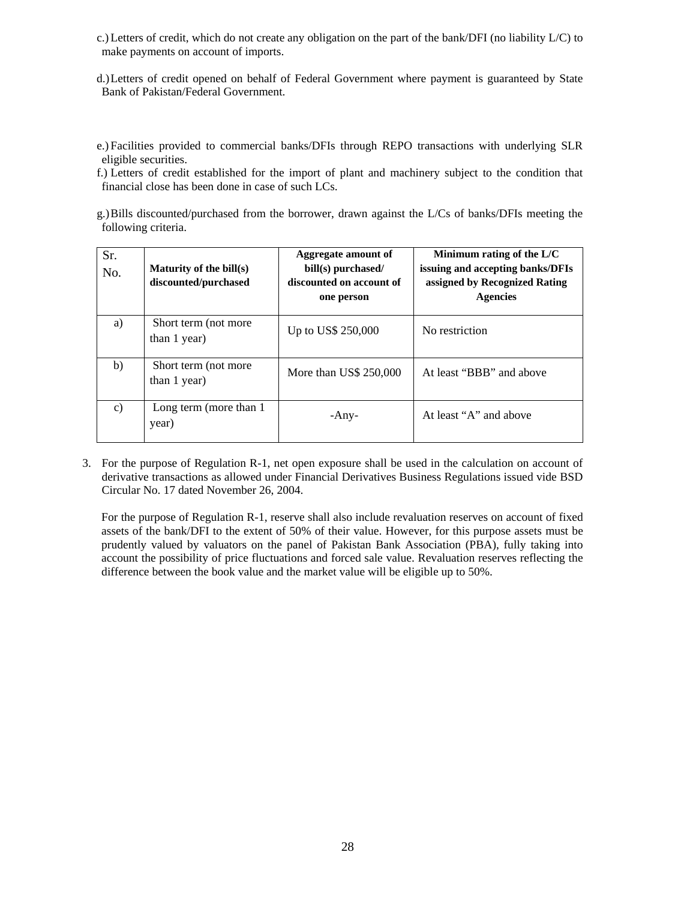- c.) Letters of credit, which do not create any obligation on the part of the bank/DFI (no liability L/C) to make payments on account of imports.
- d.)Letters of credit opened on behalf of Federal Government where payment is guaranteed by State Bank of Pakistan/Federal Government.
- e.) Facilities provided to commercial banks/DFIs through REPO transactions with underlying SLR eligible securities.
- f.) Letters of credit established for the import of plant and machinery subject to the condition that financial close has been done in case of such LCs.
- g.)Bills discounted/purchased from the borrower, drawn against the L/Cs of banks/DFIs meeting the following criteria.

| Sr.<br>No. | Maturity of the bill(s)<br>discounted/purchased | Aggregate amount of<br>bill(s) purchased/<br>discounted on account of<br>one person | Minimum rating of the $L/C$<br>issuing and accepting banks/DFIs<br>assigned by Recognized Rating<br><b>Agencies</b> |
|------------|-------------------------------------------------|-------------------------------------------------------------------------------------|---------------------------------------------------------------------------------------------------------------------|
| a)         | Short term (not more<br>than 1 year)            | Up to US\$ 250,000                                                                  | No restriction                                                                                                      |
| b)         | Short term (not more<br>than 1 year)            | More than $\text{US}\$~250,000$                                                     | At least "BBB" and above                                                                                            |
| c)         | Long term (more than 1)<br>year)                | -Any-                                                                               | At least "A" and above                                                                                              |

3. For the purpose of Regulation R-1, net open exposure shall be used in the calculation on account of derivative transactions as allowed under Financial Derivatives Business Regulations issued vide BSD Circular No. 17 dated November 26, 2004.

For the purpose of Regulation R-1, reserve shall also include revaluation reserves on account of fixed assets of the bank/DFI to the extent of 50% of their value. However, for this purpose assets must be prudently valued by valuators on the panel of Pakistan Bank Association (PBA), fully taking into account the possibility of price fluctuations and forced sale value. Revaluation reserves reflecting the difference between the book value and the market value will be eligible up to 50%.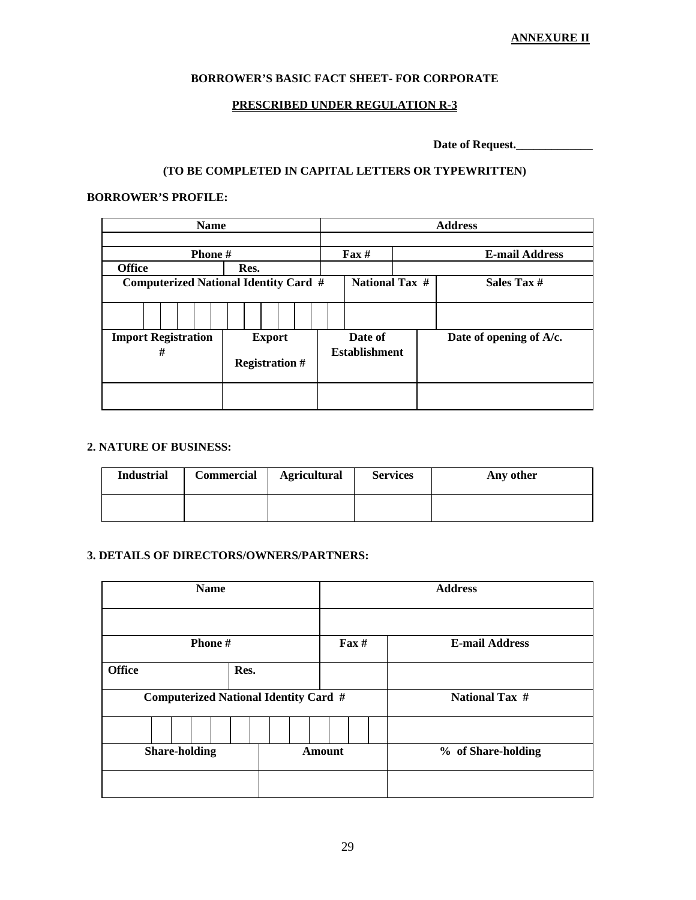### **ANNEXURE II**

### **BORROWER'S BASIC FACT SHEET- FOR CORPORATE**

### **PRESCRIBED UNDER REGULATION R-3**

Date of Request.

# **(TO BE COMPLETED IN CAPITAL LETTERS OR TYPEWRITTEN)**

### **BORROWER'S PROFILE:**

| <b>Name</b>                                  | <b>Address</b>           |                      |                                            |                         |
|----------------------------------------------|--------------------------|----------------------|--------------------------------------------|-------------------------|
| Phone#                                       |                          |                      | $\mathbf{F}$ ax #<br><b>E-mail Address</b> |                         |
| <b>Office</b>                                | Res.                     |                      |                                            |                         |
| <b>Computerized National Identity Card #</b> |                          |                      | <b>National Tax #</b>                      | Sales Tax #             |
|                                              |                          |                      |                                            |                         |
|                                              |                          |                      |                                            |                         |
| <b>Import Registration</b>                   | Date of<br><b>Export</b> |                      |                                            | Date of opening of A/c. |
| #                                            | <b>Registration #</b>    | <b>Establishment</b> |                                            |                         |
|                                              |                          |                      |                                            |                         |

### **2. NATURE OF BUSINESS:**

| <b>Industrial</b> | Commercial | <b>Agricultural</b> | <b>Services</b> | Any other |
|-------------------|------------|---------------------|-----------------|-----------|
|                   |            |                     |                 |           |

### **3. DETAILS OF DIRECTORS/OWNERS/PARTNERS:**

|                      | <b>Name</b>                                  | <b>Address</b>    |                       |  |
|----------------------|----------------------------------------------|-------------------|-----------------------|--|
|                      |                                              |                   |                       |  |
|                      | Phone #                                      | $\textbf{Fax} \#$ | <b>E-mail Address</b> |  |
| <b>Office</b>        | Res.                                         |                   |                       |  |
|                      | <b>Computerized National Identity Card #</b> |                   | <b>National Tax #</b> |  |
|                      |                                              |                   |                       |  |
| <b>Share-holding</b> |                                              | <b>Amount</b>     | % of Share-holding    |  |
|                      |                                              |                   |                       |  |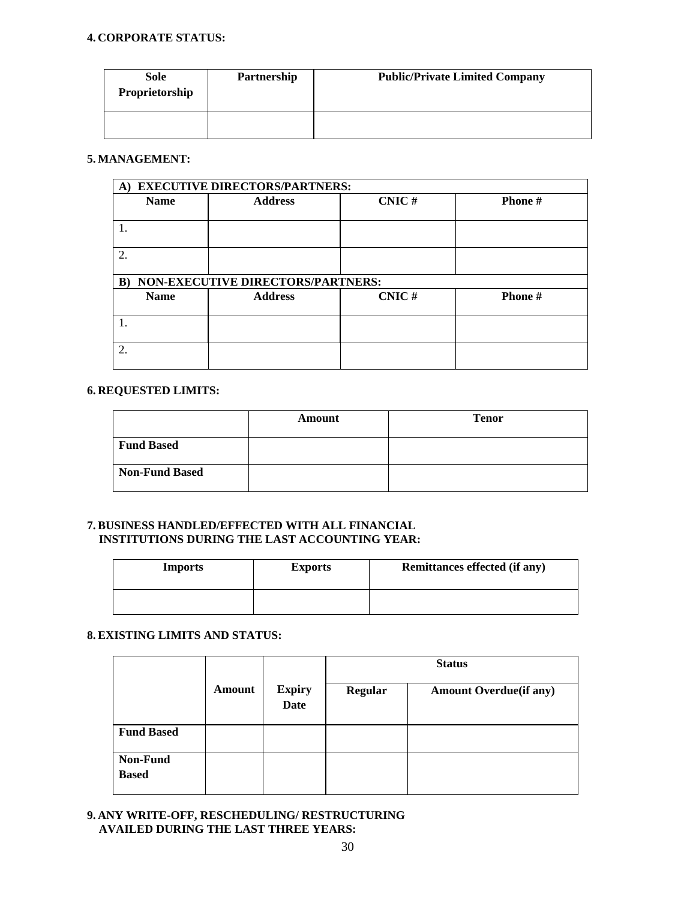### **4. CORPORATE STATUS:**

| Sole<br>Proprietorship | Partnership | <b>Public/Private Limited Company</b> |
|------------------------|-------------|---------------------------------------|
|                        |             |                                       |

### **5. MANAGEMENT:**

|                                   | A) EXECUTIVE DIRECTORS/PARTNERS: |       |                |  |  |  |  |  |
|-----------------------------------|----------------------------------|-------|----------------|--|--|--|--|--|
| <b>Name</b>                       | <b>Address</b>                   | CNIC# | <b>Phone</b> # |  |  |  |  |  |
|                                   |                                  |       |                |  |  |  |  |  |
|                                   |                                  |       |                |  |  |  |  |  |
|                                   |                                  |       |                |  |  |  |  |  |
| $\overline{2}$                    |                                  |       |                |  |  |  |  |  |
|                                   |                                  |       |                |  |  |  |  |  |
| NON-EXECUTIVE DIRECTORS/PARTNERS: |                                  |       |                |  |  |  |  |  |
| $\bf{B}$                          |                                  |       |                |  |  |  |  |  |
| <b>Name</b>                       | <b>Address</b>                   | CNIC# | <b>Phone</b> # |  |  |  |  |  |
|                                   |                                  |       |                |  |  |  |  |  |
|                                   |                                  |       |                |  |  |  |  |  |
|                                   |                                  |       |                |  |  |  |  |  |
| $\overline{2}$                    |                                  |       |                |  |  |  |  |  |

### **6. REQUESTED LIMITS:**

|                   | Amount | <b>Tenor</b> |
|-------------------|--------|--------------|
| <b>Fund Based</b> |        |              |
| Non-Fund Based    |        |              |

### **7. BUSINESS HANDLED/EFFECTED WITH ALL FINANCIAL INSTITUTIONS DURING THE LAST ACCOUNTING YEAR:**

| <b>Imports</b> | <b>Exports</b> | <b>Remittances effected (if any)</b> |
|----------------|----------------|--------------------------------------|
|                |                |                                      |

### **8. EXISTING LIMITS AND STATUS:**

|                          |        |                              | <b>Status</b> |                               |  |
|--------------------------|--------|------------------------------|---------------|-------------------------------|--|
|                          | Amount | <b>Expiry</b><br><b>Date</b> | Regular       | <b>Amount Overdue(if any)</b> |  |
| <b>Fund Based</b>        |        |                              |               |                               |  |
| Non-Fund<br><b>Based</b> |        |                              |               |                               |  |

### **9. ANY WRITE-OFF, RESCHEDULING/ RESTRUCTURING AVAILED DURING THE LAST THREE YEARS:**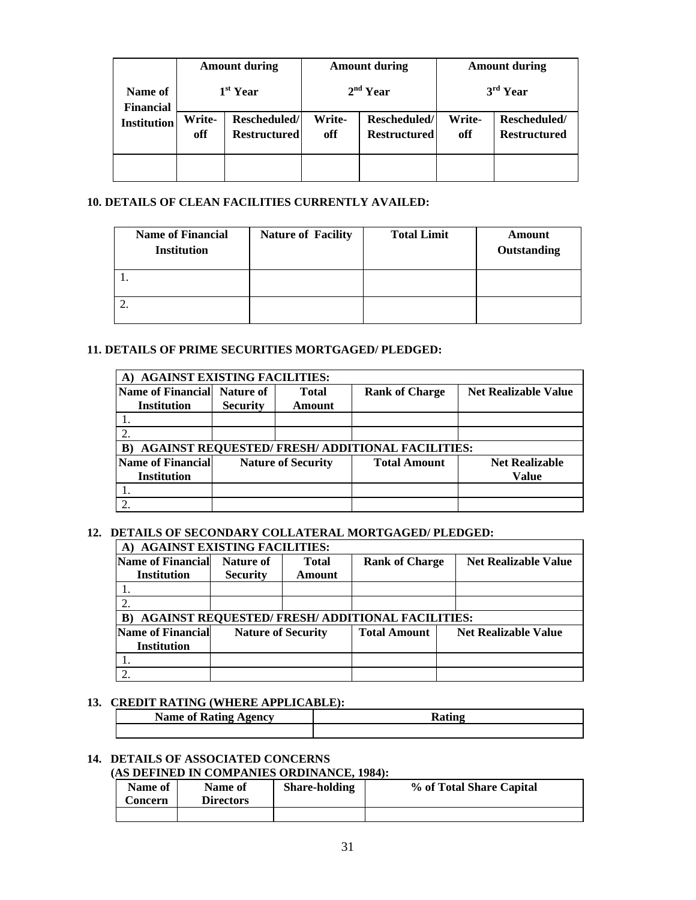|                             | <b>Amount during</b><br>$1st$ Year |                                     | <b>Amount during</b><br>$2nd$ Year |                                     | <b>Amount during</b><br>$3rd$ Year |                                     |
|-----------------------------|------------------------------------|-------------------------------------|------------------------------------|-------------------------------------|------------------------------------|-------------------------------------|
| Name of<br><b>Financial</b> |                                    |                                     |                                    |                                     |                                    |                                     |
| <b>Institution</b>          | Write-<br>off                      | Rescheduled/<br><b>Restructured</b> | Write-<br>off                      | Rescheduled/<br><b>Restructured</b> | <b>Write-</b><br>off               | Rescheduled/<br><b>Restructured</b> |
|                             |                                    |                                     |                                    |                                     |                                    |                                     |

### **10. DETAILS OF CLEAN FACILITIES CURRENTLY AVAILED:**

| <b>Name of Financial</b><br><b>Institution</b> | <b>Nature of Facility</b> | <b>Total Limit</b> | Amount<br>Outstanding |
|------------------------------------------------|---------------------------|--------------------|-----------------------|
|                                                |                           |                    |                       |
|                                                |                           |                    |                       |

### **11. DETAILS OF PRIME SECURITIES MORTGAGED/ PLEDGED:**

| <b>AGAINST EXISTING FACILITIES:</b> |                 |                           |                                                         |                             |  |  |  |
|-------------------------------------|-----------------|---------------------------|---------------------------------------------------------|-----------------------------|--|--|--|
| <b>Name of Financial</b>            | Nature of       | <b>Total</b>              | <b>Rank of Charge</b>                                   | <b>Net Realizable Value</b> |  |  |  |
| Institution                         | <b>Security</b> | Amount                    |                                                         |                             |  |  |  |
|                                     |                 |                           |                                                         |                             |  |  |  |
|                                     |                 |                           |                                                         |                             |  |  |  |
| B)                                  |                 |                           | <b>AGAINST REQUESTED/ FRESH/ ADDITIONAL FACILITIES:</b> |                             |  |  |  |
| <b>Name of Financial</b>            |                 | <b>Nature of Security</b> | <b>Total Amount</b>                                     | <b>Net Realizable</b>       |  |  |  |
| Institution                         |                 |                           |                                                         | Value                       |  |  |  |
|                                     |                 |                           |                                                         |                             |  |  |  |
|                                     |                 |                           |                                                         |                             |  |  |  |

### **12. DETAILS OF SECONDARY COLLATERAL MORTGAGED/ PLEDGED:**

| A)                       | <b>AGAINST EXISTING FACILITIES:</b> |              |                                                         |                             |  |  |  |  |  |
|--------------------------|-------------------------------------|--------------|---------------------------------------------------------|-----------------------------|--|--|--|--|--|
| <b>Name of Financial</b> | Nature of                           | <b>Total</b> | <b>Rank of Charge</b>                                   | <b>Net Realizable Value</b> |  |  |  |  |  |
| <b>Institution</b>       | <b>Security</b>                     | Amount       |                                                         |                             |  |  |  |  |  |
|                          |                                     |              |                                                         |                             |  |  |  |  |  |
|                          |                                     |              |                                                         |                             |  |  |  |  |  |
| B)                       |                                     |              | <b>AGAINST REQUESTED/ FRESH/ ADDITIONAL FACILITIES:</b> |                             |  |  |  |  |  |
| <b>Name of Financial</b> | <b>Nature of Security</b>           |              | <b>Total Amount</b>                                     | <b>Net Realizable Value</b> |  |  |  |  |  |
| <b>Institution</b>       |                                     |              |                                                         |                             |  |  |  |  |  |
|                          |                                     |              |                                                         |                             |  |  |  |  |  |
|                          |                                     |              |                                                         |                             |  |  |  |  |  |

### **13. CREDIT RATING (WHERE APPLICABLE):**

| $\overline{\phantom{a}}$<br>Name of<br>gency<br>лпу<br>. |  |
|----------------------------------------------------------|--|
|                                                          |  |

# **14. DETAILS OF ASSOCIATED CONCERNS**

### **(AS DEFINED IN COMPANIES ORDINANCE, 1984):**

| <b>Name of</b><br><b>Concern</b> | Name of<br><b>Directors</b> | <b>Share-holding</b> | % of Total Share Capital |
|----------------------------------|-----------------------------|----------------------|--------------------------|
|                                  |                             |                      |                          |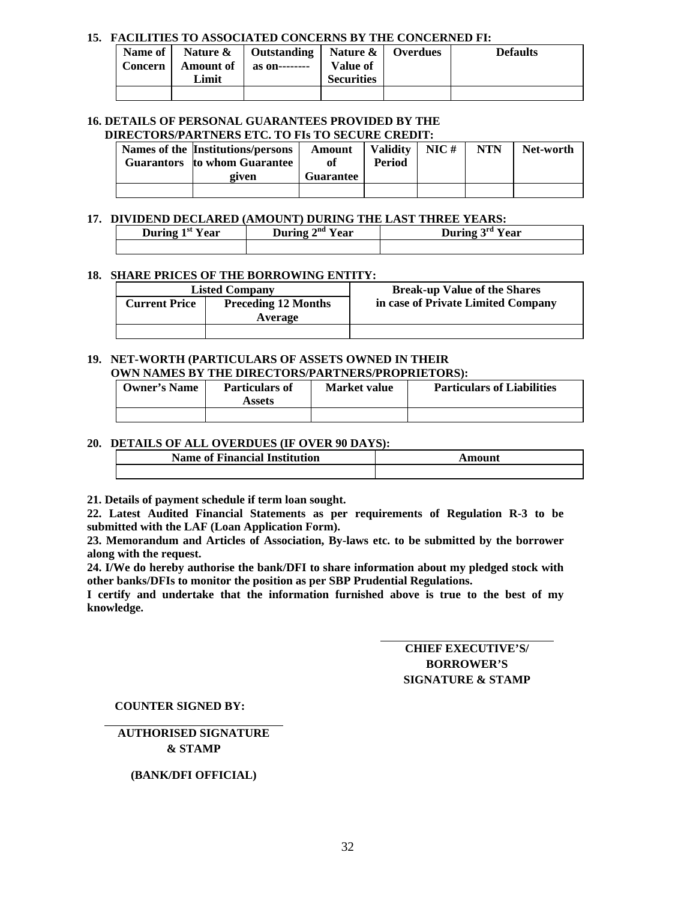### **15. FACILITIES TO ASSOCIATED CONCERNS BY THE CONCERNED FI:**

| Name of        |             | Nature $\&$   Outstanding   Nature $\&$   Overdues |                   | <b>Defaults</b> |
|----------------|-------------|----------------------------------------------------|-------------------|-----------------|
| <b>Concern</b> | Amount of 1 | as on--------                                      | <b>Value of</b>   |                 |
|                | Limit       |                                                    | <b>Securities</b> |                 |
|                |             |                                                    |                   |                 |

#### **16. DETAILS OF PERSONAL GUARANTEES PROVIDED BY THE DIRECTORS/PARTNERS ETC. TO FIs TO SECURE CREDIT:**

| Names of the Institutions/persons<br>Guarantors to whom Guarantee | Amount           | <b>Validity</b><br><b>Period</b> | NIC# | <b>NTN</b> | Net-worth |
|-------------------------------------------------------------------|------------------|----------------------------------|------|------------|-----------|
| given                                                             | <b>Guarantee</b> |                                  |      |            |           |
|                                                                   |                  |                                  |      |            |           |

### **17. DIVIDEND DECLARED (AMOUNT) DURING THE LAST THREE YEARS:**

| 13 U<br>r ear<br>$\mathbf{r}$<br>тю | $\rightarrow$ nd<br>During<br>0.03<br>еаг | ∍rd<br>$\mathbf{L}$<br>∩ear |
|-------------------------------------|-------------------------------------------|-----------------------------|
|                                     |                                           |                             |

### **18. SHARE PRICES OF THE BORROWING ENTITY:**

| <b>Listed Company</b> |                            | <b>Break-up Value of the Shares</b> |
|-----------------------|----------------------------|-------------------------------------|
| <b>Current Price</b>  | <b>Preceding 12 Months</b> | in case of Private Limited Company  |
|                       | Average                    |                                     |
|                       |                            |                                     |

#### **19. NET-WORTH (PARTICULARS OF ASSETS OWNED IN THEIR OWN NAMES BY THE DIRECTORS/PARTNERS/PROPRIETORS):**

| <b>Owner's Name</b> | <b>Particulars of</b><br>Assets | <b>Market value</b> | <b>Particulars of Liabilities</b> |
|---------------------|---------------------------------|---------------------|-----------------------------------|
|                     |                                 |                     |                                   |

### **20. DETAILS OF ALL OVERDUES (IF OVER 90 DAYS):**

| <b>Name of Financial Institution</b> | Amount |
|--------------------------------------|--------|
|                                      |        |

**21. Details of payment schedule if term loan sought.** 

**22. Latest Audited Financial Statements as per requirements of Regulation R-3 to be submitted with the LAF (Loan Application Form).** 

**23. Memorandum and Articles of Association, By-laws etc. to be submitted by the borrower along with the request.** 

**24. I/We do hereby authorise the bank/DFI to share information about my pledged stock with other banks/DFIs to monitor the position as per SBP Prudential Regulations.** 

**I certify and undertake that the information furnished above is true to the best of my knowledge.** 

> **CHIEF EXECUTIVE'S/ BORROWER'S SIGNATURE & STAMP**

**COUNTER SIGNED BY:** 

**AUTHORISED SIGNATURE & STAMP** 

### **(BANK/DFI OFFICIAL)**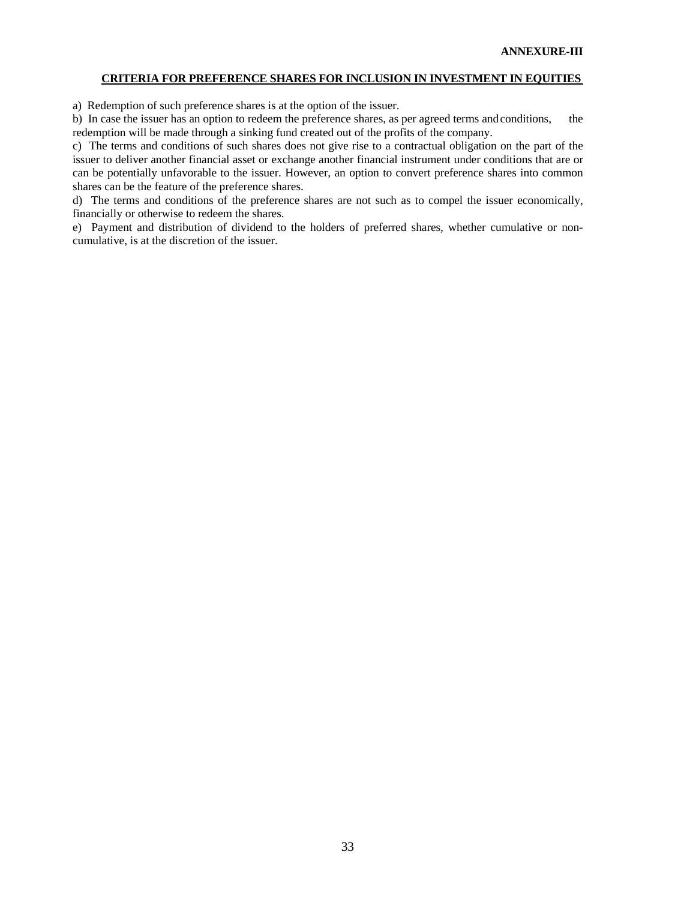### **CRITERIA FOR PREFERENCE SHARES FOR INCLUSION IN INVESTMENT IN EQUITIES**

a) Redemption of such preference shares is at the option of the issuer.

b) In case the issuer has an option to redeem the preference shares, as per agreed terms and conditions, the redemption will be made through a sinking fund created out of the profits of the company.

c) The terms and conditions of such shares does not give rise to a contractual obligation on the part of the issuer to deliver another financial asset or exchange another financial instrument under conditions that are or can be potentially unfavorable to the issuer. However, an option to convert preference shares into common shares can be the feature of the preference shares.

d) The terms and conditions of the preference shares are not such as to compel the issuer economically, financially or otherwise to redeem the shares.

e) Payment and distribution of dividend to the holders of preferred shares, whether cumulative or noncumulative, is at the discretion of the issuer.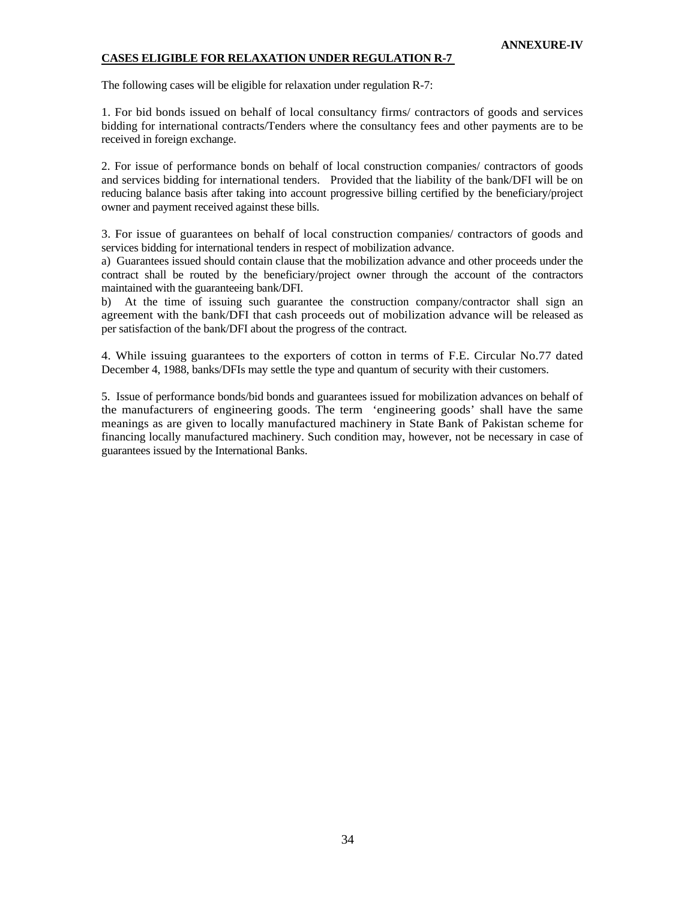### **CASES ELIGIBLE FOR RELAXATION UNDER REGULATION R-7**

The following cases will be eligible for relaxation under regulation R-7:

1. For bid bonds issued on behalf of local consultancy firms/ contractors of goods and services bidding for international contracts/Tenders where the consultancy fees and other payments are to be received in foreign exchange.

2. For issue of performance bonds on behalf of local construction companies/ contractors of goods and services bidding for international tenders. Provided that the liability of the bank/DFI will be on reducing balance basis after taking into account progressive billing certified by the beneficiary/project owner and payment received against these bills.

3. For issue of guarantees on behalf of local construction companies/ contractors of goods and services bidding for international tenders in respect of mobilization advance.

a) Guarantees issued should contain clause that the mobilization advance and other proceeds under the contract shall be routed by the beneficiary/project owner through the account of the contractors maintained with the guaranteeing bank/DFI.

b) At the time of issuing such guarantee the construction company/contractor shall sign an agreement with the bank/DFI that cash proceeds out of mobilization advance will be released as per satisfaction of the bank/DFI about the progress of the contract.

4. While issuing guarantees to the exporters of cotton in terms of F.E. Circular No.77 dated December 4, 1988, banks/DFIs may settle the type and quantum of security with their customers.

5. Issue of performance bonds/bid bonds and guarantees issued for mobilization advances on behalf of the manufacturers of engineering goods. The term 'engineering goods' shall have the same meanings as are given to locally manufactured machinery in State Bank of Pakistan scheme for financing locally manufactured machinery. Such condition may, however, not be necessary in case of guarantees issued by the International Banks.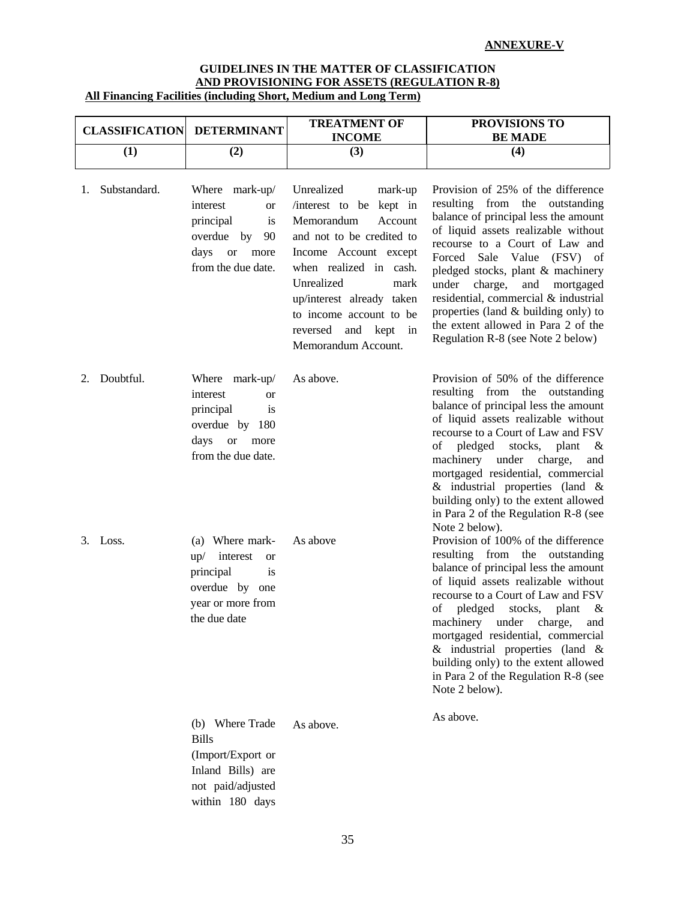### **GUIDELINES IN THE MATTER OF CLASSIFICATION AND PROVISIONING FOR ASSETS (REGULATION R-8) All Financing Facilities (including Short, Medium and Long Term)**

|    | <b>CLASSIFICATION</b> | <b>DETERMINANT</b>                                                                                                                  | <b>TREATMENT OF</b><br><b>INCOME</b>                                                                                                                                                                                                                                                     | PROVISIONS TO<br><b>BE MADE</b>                                                                                                                                                                                                                                                                                                                                                                                                                        |
|----|-----------------------|-------------------------------------------------------------------------------------------------------------------------------------|------------------------------------------------------------------------------------------------------------------------------------------------------------------------------------------------------------------------------------------------------------------------------------------|--------------------------------------------------------------------------------------------------------------------------------------------------------------------------------------------------------------------------------------------------------------------------------------------------------------------------------------------------------------------------------------------------------------------------------------------------------|
|    | (1)                   | (2)                                                                                                                                 | (3)                                                                                                                                                                                                                                                                                      | (4)                                                                                                                                                                                                                                                                                                                                                                                                                                                    |
| 1. | Substandard.          | Where mark-up/<br>interest<br>or<br>principal<br>is<br>overdue by<br>90<br>days<br><b>or</b><br>more<br>from the due date.          | Unrealized<br>mark-up<br>interest to be kept in<br>Memorandum<br>Account<br>and not to be credited to<br>Income Account except<br>when realized in cash.<br>Unrealized<br>mark<br>up/interest already taken<br>to income account to be<br>reversed<br>and kept in<br>Memorandum Account. | Provision of 25% of the difference<br>resulting from the outstanding<br>balance of principal less the amount<br>of liquid assets realizable without<br>recourse to a Court of Law and<br>Forced Sale Value (FSV) of<br>pledged stocks, plant & machinery<br>under charge,<br>and mortgaged<br>residential, commercial & industrial<br>properties (land & building only) to<br>the extent allowed in Para 2 of the<br>Regulation R-8 (see Note 2 below) |
| 2. | Doubtful.             | Where mark-up/<br>interest<br><b>or</b><br>principal<br>is<br>overdue by 180<br>days<br><sub>or</sub><br>more<br>from the due date. | As above.                                                                                                                                                                                                                                                                                | Provision of 50% of the difference<br>resulting from the outstanding<br>balance of principal less the amount<br>of liquid assets realizable without<br>recourse to a Court of Law and FSV<br>pledged<br>stocks, plant<br>of<br>&<br>machinery under charge,<br>and<br>mortgaged residential, commercial<br>$\&$ industrial properties (land $\&$<br>building only) to the extent allowed<br>in Para 2 of the Regulation R-8 (see<br>Note 2 below).     |
|    | 3. Loss.              | (a) Where mark-<br>$up/$ interest<br><sub>or</sub><br>principal<br>is<br>overdue by one<br>year or more from<br>the due date        | As above                                                                                                                                                                                                                                                                                 | Provision of 100% of the difference<br>resulting from the outstanding<br>balance of principal less the amount<br>of liquid assets realizable without<br>recourse to a Court of Law and FSV<br>pledged<br>stocks, plant<br>οf<br>&<br>machinery under charge, and<br>mortgaged residential, commercial<br>$\&$ industrial properties (land $\&$<br>building only) to the extent allowed<br>in Para 2 of the Regulation R-8 (see<br>Note 2 below).       |
|    |                       | (b) Where Trade<br><b>Bills</b><br>(Import/Export or<br>Inland Bills) are<br>not paid/adjusted<br>within 180 days                   | As above.                                                                                                                                                                                                                                                                                | As above.                                                                                                                                                                                                                                                                                                                                                                                                                                              |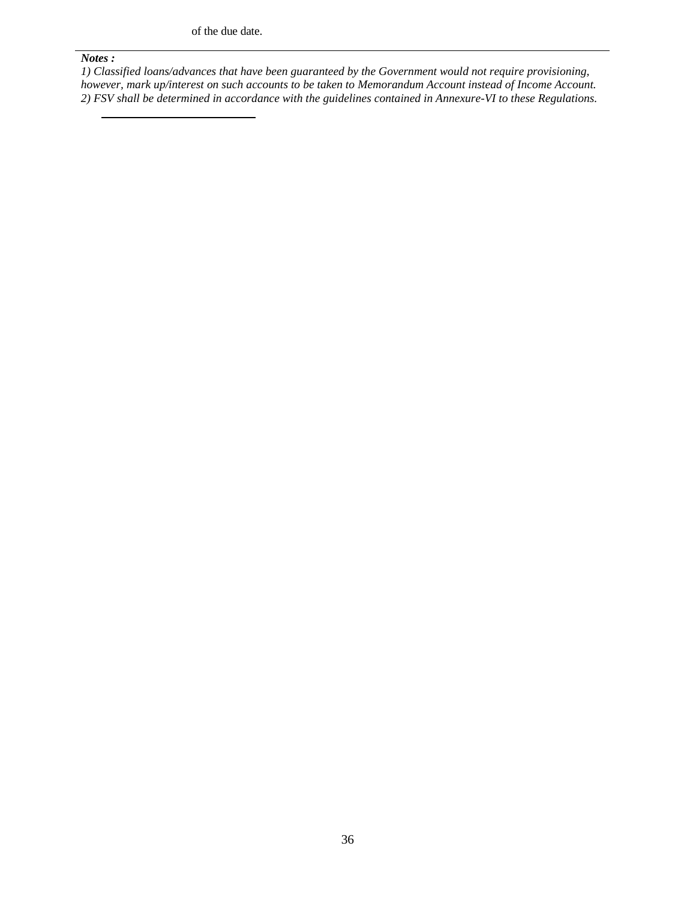of the due date.

#### *Notes :*

*1) Classified loans/advances that have been guaranteed by the Government would not require provisioning, however, mark up/interest on such accounts to be taken to Memorandum Account instead of Income Account. 2) FSV shall be determined in accordance with the guidelines contained in Annexure-VI to these Regulations.*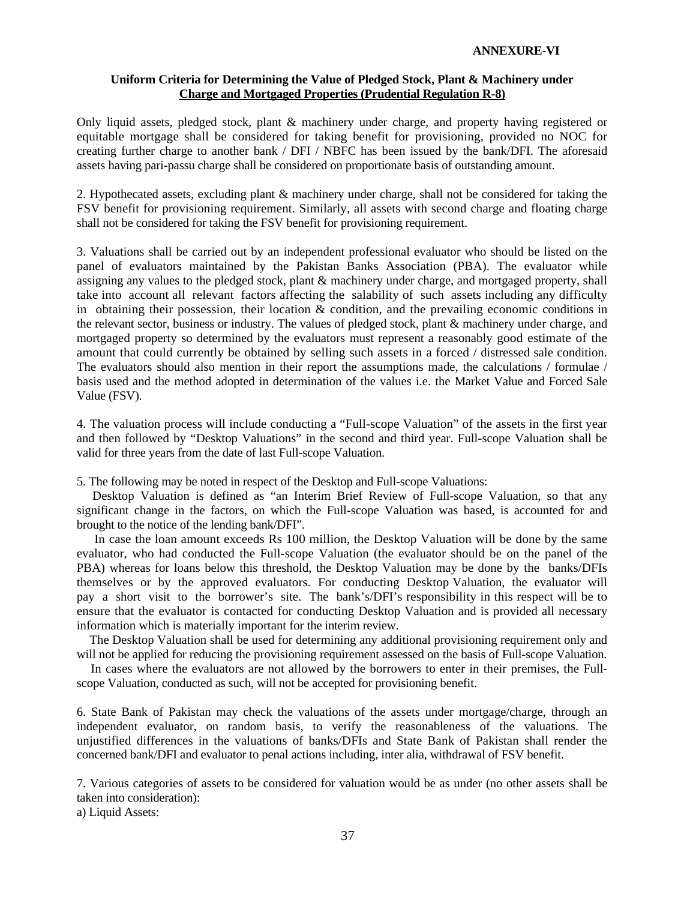### **ANNEXURE-VI**

### **Uniform Criteria for Determining the Value of Pledged Stock, Plant & Machinery under Charge and Mortgaged Properties (Prudential Regulation R-8)**

Only liquid assets, pledged stock, plant & machinery under charge, and property having registered or equitable mortgage shall be considered for taking benefit for provisioning, provided no NOC for creating further charge to another bank / DFI / NBFC has been issued by the bank/DFI. The aforesaid assets having pari-passu charge shall be considered on proportionate basis of outstanding amount.

2. Hypothecated assets, excluding plant & machinery under charge, shall not be considered for taking the FSV benefit for provisioning requirement. Similarly, all assets with second charge and floating charge shall not be considered for taking the FSV benefit for provisioning requirement.

3. Valuations shall be carried out by an independent professional evaluator who should be listed on the panel of evaluators maintained by the Pakistan Banks Association (PBA). The evaluator while assigning any values to the pledged stock, plant & machinery under charge, and mortgaged property, shall take into account all relevant factors affecting the salability of such assets including any difficulty in obtaining their possession, their location  $\&$  condition, and the prevailing economic conditions in the relevant sector, business or industry. The values of pledged stock, plant & machinery under charge, and mortgaged property so determined by the evaluators must represent a reasonably good estimate of the amount that could currently be obtained by selling such assets in a forced / distressed sale condition. The evaluators should also mention in their report the assumptions made, the calculations / formulae / basis used and the method adopted in determination of the values i.e. the Market Value and Forced Sale Value (FSV).

4. The valuation process will include conducting a "Full-scope Valuation" of the assets in the first year and then followed by "Desktop Valuations" in the second and third year. Full-scope Valuation shall be valid for three years from the date of last Full-scope Valuation.

5. The following may be noted in respect of the Desktop and Full-scope Valuations:

 Desktop Valuation is defined as "an Interim Brief Review of Full-scope Valuation, so that any significant change in the factors, on which the Full-scope Valuation was based, is accounted for and brought to the notice of the lending bank/DFI".

 In case the loan amount exceeds Rs 100 million, the Desktop Valuation will be done by the same evaluator, who had conducted the Full-scope Valuation (the evaluator should be on the panel of the PBA) whereas for loans below this threshold, the Desktop Valuation may be done by the banks/DFIs themselves or by the approved evaluators. For conducting Desktop Valuation, the evaluator will pay a short visit to the borrower's site. The bank's/DFI's responsibility in this respect will be to ensure that the evaluator is contacted for conducting Desktop Valuation and is provided all necessary information which is materially important for the interim review.

 The Desktop Valuation shall be used for determining any additional provisioning requirement only and will not be applied for reducing the provisioning requirement assessed on the basis of Full-scope Valuation.

 In cases where the evaluators are not allowed by the borrowers to enter in their premises, the Fullscope Valuation, conducted as such, will not be accepted for provisioning benefit.

6. State Bank of Pakistan may check the valuations of the assets under mortgage/charge, through an independent evaluator, on random basis, to verify the reasonableness of the valuations. The unjustified differences in the valuations of banks/DFIs and State Bank of Pakistan shall render the concerned bank/DFI and evaluator to penal actions including, inter alia, withdrawal of FSV benefit.

7. Various categories of assets to be considered for valuation would be as under (no other assets shall be taken into consideration):

a) Liquid Assets: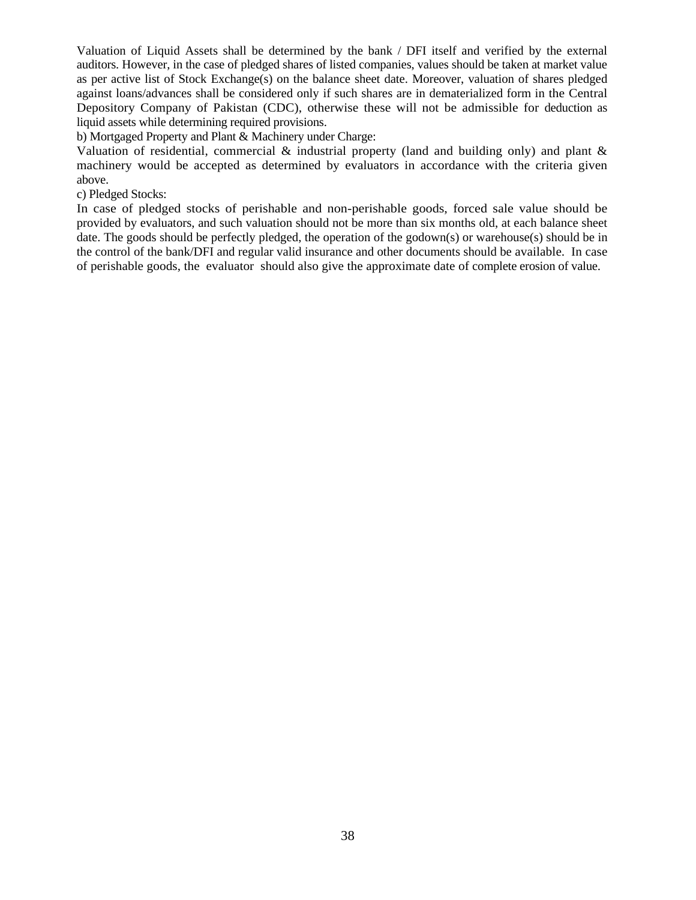Valuation of Liquid Assets shall be determined by the bank / DFI itself and verified by the external auditors. However, in the case of pledged shares of listed companies, values should be taken at market value as per active list of Stock Exchange(s) on the balance sheet date. Moreover, valuation of shares pledged against loans/advances shall be considered only if such shares are in dematerialized form in the Central Depository Company of Pakistan (CDC), otherwise these will not be admissible for deduction as liquid assets while determining required provisions.

b) Mortgaged Property and Plant & Machinery under Charge:

Valuation of residential, commercial  $\&$  industrial property (land and building only) and plant  $\&$ machinery would be accepted as determined by evaluators in accordance with the criteria given above.

c) Pledged Stocks:

In case of pledged stocks of perishable and non-perishable goods, forced sale value should be provided by evaluators, and such valuation should not be more than six months old, at each balance sheet date. The goods should be perfectly pledged, the operation of the godown(s) or warehouse(s) should be in the control of the bank/DFI and regular valid insurance and other documents should be available. In case of perishable goods, the evaluator should also give the approximate date of complete erosion of value.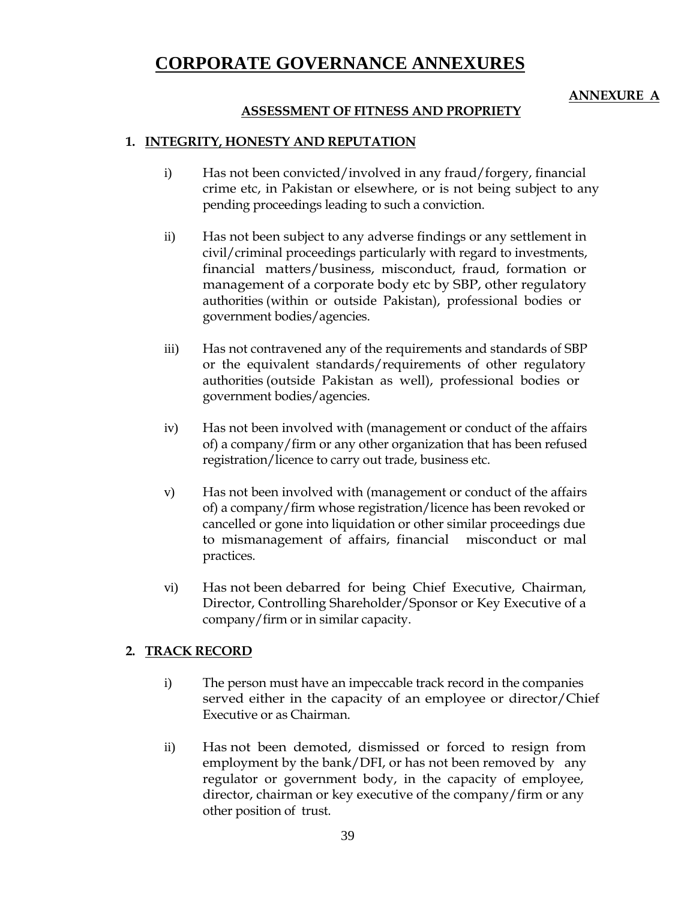# **CORPORATE GOVERNANCE ANNEXURES**

# **ANNEXURE A**

## **ASSESSMENT OF FITNESS AND PROPRIETY**

### **1. INTEGRITY, HONESTY AND REPUTATION**

- i) Has not been convicted/involved in any fraud/forgery, financial crime etc, in Pakistan or elsewhere, or is not being subject to any pending proceedings leading to such a conviction.
- ii) Has not been subject to any adverse findings or any settlement in civil/criminal proceedings particularly with regard to investments, financial matters/business, misconduct, fraud, formation or management of a corporate body etc by SBP, other regulatory authorities (within or outside Pakistan), professional bodies or government bodies/agencies.
- iii) Has not contravened any of the requirements and standards of SBP or the equivalent standards/requirements of other regulatory authorities (outside Pakistan as well), professional bodies or government bodies/agencies.
- iv) Has not been involved with (management or conduct of the affairs of) a company/firm or any other organization that has been refused registration/licence to carry out trade, business etc.
- v) Has not been involved with (management or conduct of the affairs of) a company/firm whose registration/licence has been revoked or cancelled or gone into liquidation or other similar proceedings due to mismanagement of affairs, financial misconduct or mal practices.
- vi) Has not been debarred for being Chief Executive, Chairman, Director, Controlling Shareholder/Sponsor or Key Executive of a company/firm or in similar capacity.

### **2. TRACK RECORD**

- i) The person must have an impeccable track record in the companies served either in the capacity of an employee or director/Chief Executive or as Chairman.
- ii) Has not been demoted, dismissed or forced to resign from employment by the bank/DFI, or has not been removed by any regulator or government body, in the capacity of employee, director, chairman or key executive of the company/firm or any other position of trust.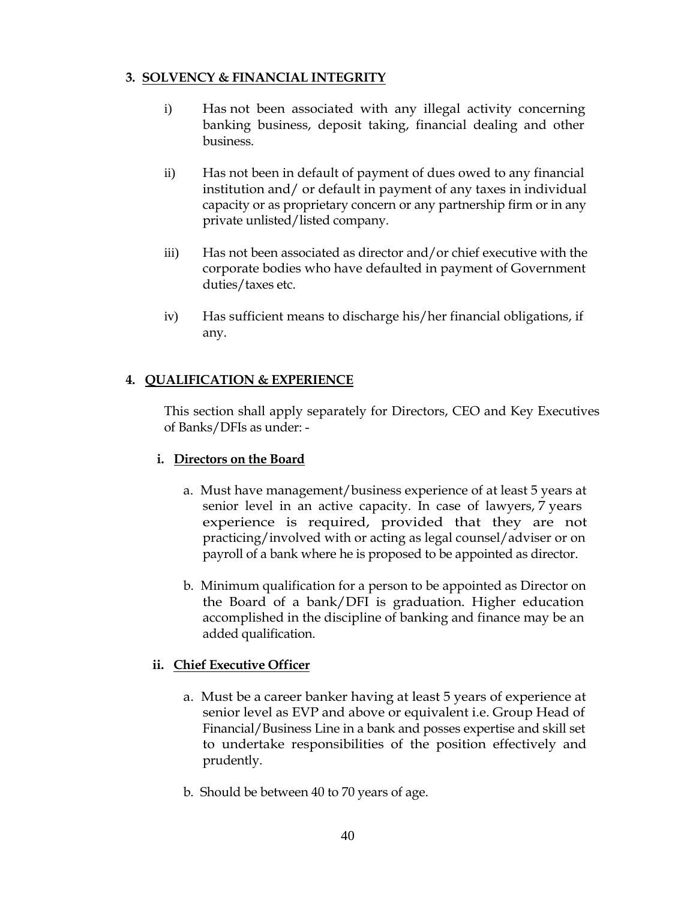# **3. SOLVENCY & FINANCIAL INTEGRITY**

- i) Has not been associated with any illegal activity concerning banking business, deposit taking, financial dealing and other business.
- ii) Has not been in default of payment of dues owed to any financial institution and/ or default in payment of any taxes in individual capacity or as proprietary concern or any partnership firm or in any private unlisted/listed company.
- iii) Has not been associated as director and/or chief executive with the corporate bodies who have defaulted in payment of Government duties/taxes etc.
- iv) Has sufficient means to discharge his/her financial obligations, if any.

# **4. QUALIFICATION & EXPERIENCE**

This section shall apply separately for Directors, CEO and Key Executives of Banks/DFIs as under: -

# **i. Directors on the Board**

- a. Must have management/business experience of at least 5 years at senior level in an active capacity. In case of lawyers, 7 years experience is required, provided that they are not practicing/involved with or acting as legal counsel/adviser or on payroll of a bank where he is proposed to be appointed as director.
- b. Minimum qualification for a person to be appointed as Director on the Board of a bank/DFI is graduation. Higher education accomplished in the discipline of banking and finance may be an added qualification.

# **ii. Chief Executive Officer**

- a. Must be a career banker having at least 5 years of experience at senior level as EVP and above or equivalent i.e. Group Head of Financial/Business Line in a bank and posses expertise and skill set to undertake responsibilities of the position effectively and prudently.
- b. Should be between 40 to 70 years of age.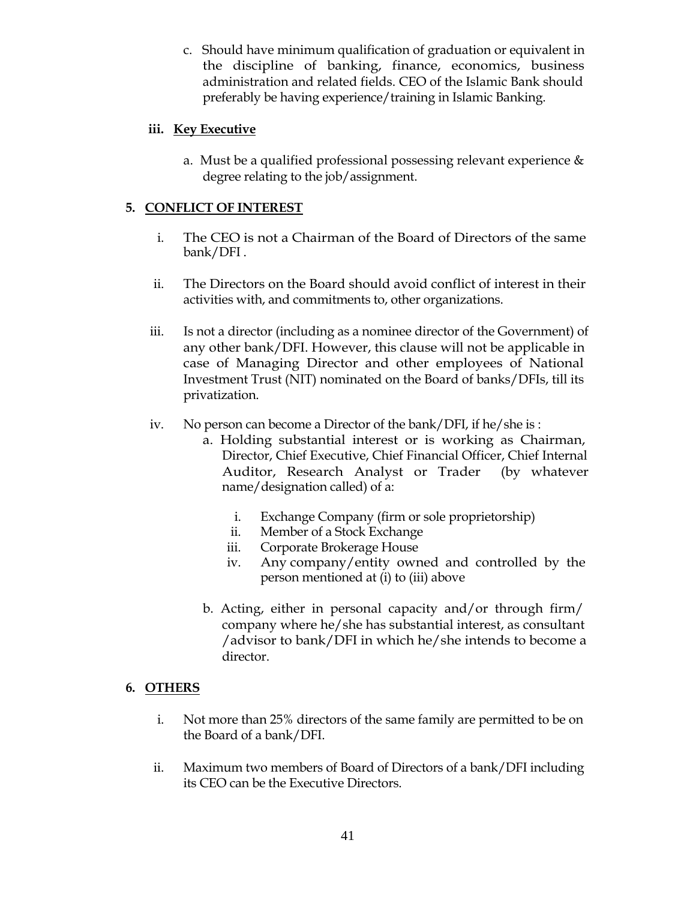c. Should have minimum qualification of graduation or equivalent in the discipline of banking, finance, economics, business administration and related fields. CEO of the Islamic Bank should preferably be having experience/training in Islamic Banking.

# **iii. Key Executive**

a. Must be a qualified professional possessing relevant experience & degree relating to the job/assignment.

# **5. CONFLICT OF INTEREST**

- i. The CEO is not a Chairman of the Board of Directors of the same bank/DFI .
- ii. The Directors on the Board should avoid conflict of interest in their activities with, and commitments to, other organizations.
- iii. Is not a director (including as a nominee director of the Government) of any other bank/DFI. However, this clause will not be applicable in case of Managing Director and other employees of National Investment Trust (NIT) nominated on the Board of banks/DFIs, till its privatization.
- iv. No person can become a Director of the bank/DFI, if he/she is :
	- a. Holding substantial interest or is working as Chairman, Director, Chief Executive, Chief Financial Officer, Chief Internal Auditor, Research Analyst or Trader (by whatever name/designation called) of a:
		- i. Exchange Company (firm or sole proprietorship)
		- ii. Member of a Stock Exchange
		- iii. Corporate Brokerage House
		- iv. Any company/entity owned and controlled by the person mentioned at (i) to (iii) above
	- b. Acting, either in personal capacity and/or through firm/ company where he/she has substantial interest, as consultant /advisor to bank/DFI in which he/she intends to become a director.

# **6. OTHERS**

- i. Not more than 25% directors of the same family are permitted to be on the Board of a bank/DFI.
- ii. Maximum two members of Board of Directors of a bank/DFI including its CEO can be the Executive Directors.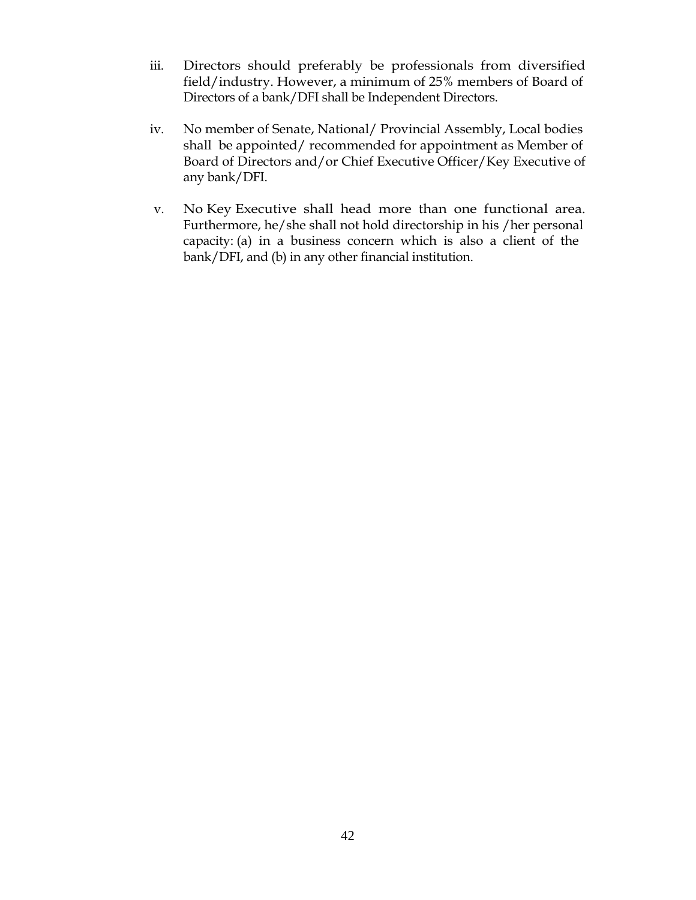- iii. Directors should preferably be professionals from diversified field/industry. However, a minimum of 25% members of Board of Directors of a bank/DFI shall be Independent Directors.
- iv. No member of Senate, National/ Provincial Assembly, Local bodies shall be appointed/ recommended for appointment as Member of Board of Directors and/or Chief Executive Officer/Key Executive of any bank/DFI.
- v. No Key Executive shall head more than one functional area. Furthermore, he/she shall not hold directorship in his /her personal capacity: (a) in a business concern which is also a client of the bank/DFI, and (b) in any other financial institution.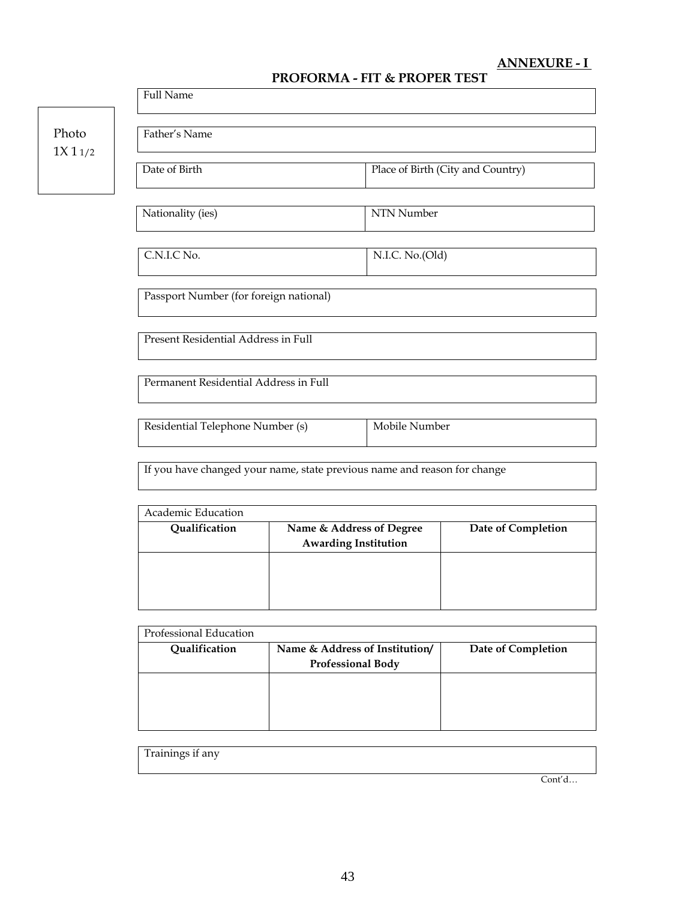# **ANNEXURE - I**

# **PROFORMA - FIT & PROPER TEST**

|                                        | <b>Full Name</b>                                                         |                                                         |                 |                                   |
|----------------------------------------|--------------------------------------------------------------------------|---------------------------------------------------------|-----------------|-----------------------------------|
| Photo<br>1X11/2                        | Father's Name                                                            |                                                         |                 |                                   |
|                                        | Date of Birth                                                            |                                                         |                 | Place of Birth (City and Country) |
|                                        | Nationality (ies)                                                        |                                                         | NTN Number      |                                   |
|                                        | C.N.I.C No.                                                              |                                                         | N.I.C. No.(Old) |                                   |
| Passport Number (for foreign national) |                                                                          |                                                         |                 |                                   |
|                                        | Present Residential Address in Full                                      |                                                         |                 |                                   |
|                                        | Permanent Residential Address in Full                                    |                                                         |                 |                                   |
|                                        | Mobile Number<br>Residential Telephone Number (s)                        |                                                         |                 |                                   |
|                                        | If you have changed your name, state previous name and reason for change |                                                         |                 |                                   |
|                                        | Academic Education                                                       |                                                         |                 |                                   |
|                                        | Qualification                                                            | Name & Address of Degree<br><b>Awarding Institution</b> |                 | Date of Completion                |
|                                        |                                                                          |                                                         |                 |                                   |

| Professional Education |                                                            |                    |
|------------------------|------------------------------------------------------------|--------------------|
| Qualification          | Name & Address of Institution/<br><b>Professional Body</b> | Date of Completion |
|                        |                                                            |                    |
|                        |                                                            |                    |
|                        |                                                            |                    |
|                        |                                                            |                    |

Cont'd…

Trainings if any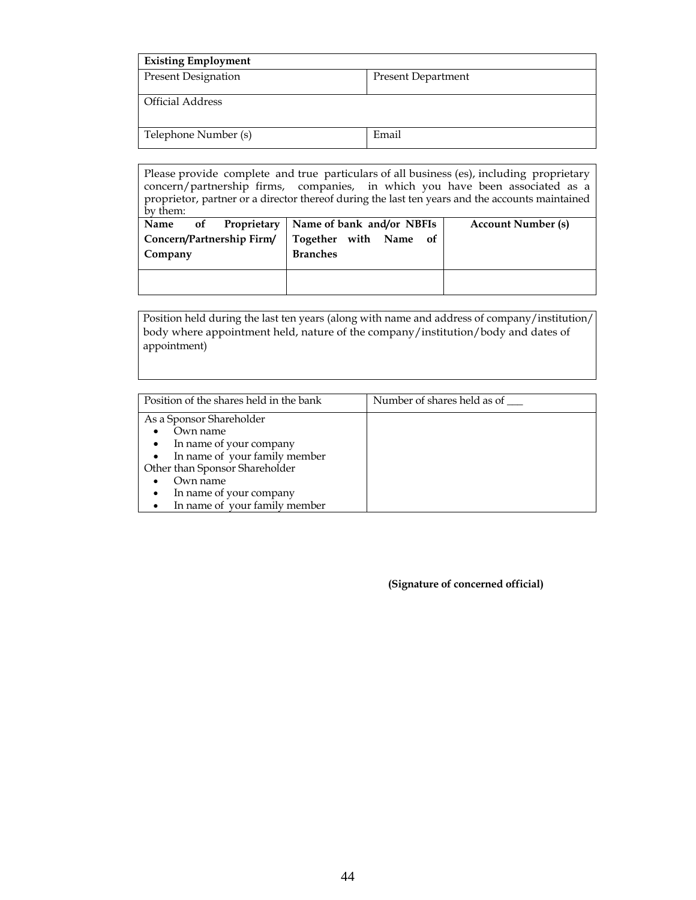| <b>Existing Employment</b> |                           |
|----------------------------|---------------------------|
| <b>Present Designation</b> | <b>Present Department</b> |
| <b>Official Address</b>    |                           |
| Telephone Number (s)       | Email                     |

| Please provide complete and true particulars of all business (es), including proprietary<br>concern/partnership firms, companies, in which you have been associated as a<br>proprietor, partner or a director thereof during the last ten years and the accounts maintained<br>by them: |                                                                       |                           |  |
|-----------------------------------------------------------------------------------------------------------------------------------------------------------------------------------------------------------------------------------------------------------------------------------------|-----------------------------------------------------------------------|---------------------------|--|
| Name<br>Proprietary<br>of<br>Concern/Partnership Firm/                                                                                                                                                                                                                                  | Name of bank and/or NBFIs<br>Together with Name of<br><b>Branches</b> | <b>Account Number (s)</b> |  |
| Company                                                                                                                                                                                                                                                                                 |                                                                       |                           |  |

Position held during the last ten years (along with name and address of company/institution/ body where appointment held, nature of the company/institution/body and dates of appointment)

| Position of the shares held in the bank | Number of shares held as of |
|-----------------------------------------|-----------------------------|
|                                         |                             |
| As a Sponsor Shareholder                |                             |
| Own name                                |                             |
| • In name of your company               |                             |
| • In name of your family member         |                             |
| Other than Sponsor Shareholder          |                             |
| Own name                                |                             |
| In name of your company                 |                             |
| In name of your family member           |                             |

**(Signature of concerned official)**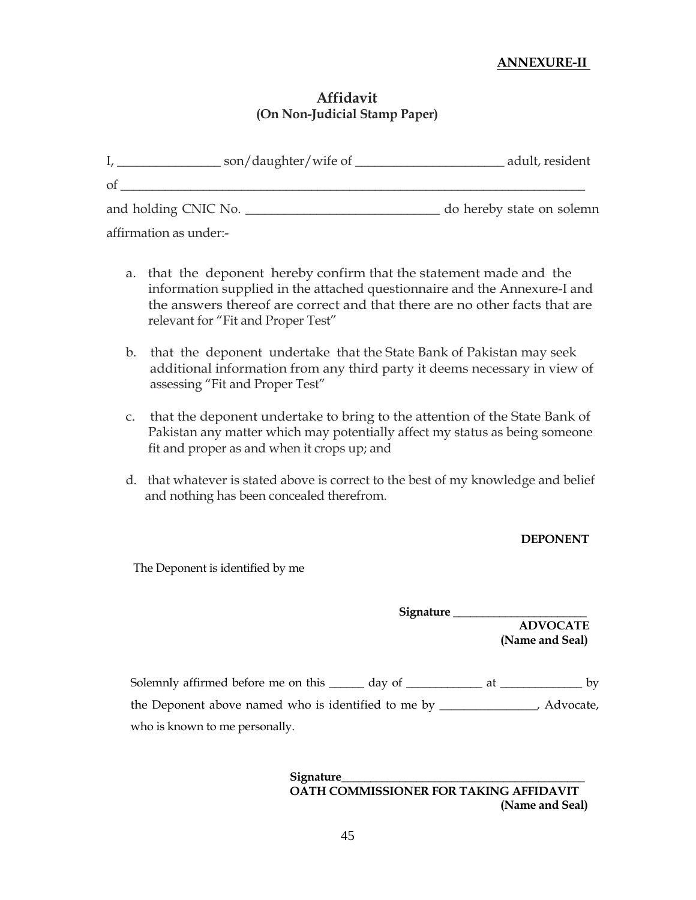# **ANNEXURE-II**

# **Affidavit (On Non-Judicial Stamp Paper)**

| son/daughter/wife of | adult, resident           |
|----------------------|---------------------------|
| -ot                  |                           |
| and holding CNIC No. | do hereby state on solemn |

affirmation as under:-

- a. that the deponent hereby confirm that the statement made and the information supplied in the attached questionnaire and the Annexure-I and the answers thereof are correct and that there are no other facts that are relevant for "Fit and Proper Test"
- b. that the deponent undertake that the State Bank of Pakistan may seek additional information from any third party it deems necessary in view of assessing "Fit and Proper Test"
- c. that the deponent undertake to bring to the attention of the State Bank of Pakistan any matter which may potentially affect my status as being someone fit and proper as and when it crops up; and
- d. that whatever is stated above is correct to the best of my knowledge and belief and nothing has been concealed therefrom.

**DEPONENT** 

The Deponent is identified by me

**Signature \_\_\_\_\_\_\_\_\_\_\_\_\_\_\_\_\_\_\_\_\_\_\_ ADVOCATE (Name and Seal)** 

Solemnly affirmed before me on this \_\_\_\_\_\_ day of \_\_\_\_\_\_\_\_\_\_\_ at \_\_\_\_\_\_\_\_\_\_\_\_\_ by the Deponent above named who is identified to me by \_\_\_\_\_\_\_\_\_\_\_\_\_\_\_, Advocate, who is known to me personally.

> **Signature\_\_\_\_\_\_\_\_\_\_\_\_\_\_\_\_\_\_\_\_\_\_\_\_\_\_\_\_\_\_\_\_\_\_\_\_\_\_\_\_\_\_ OATH COMMISSIONER FOR TAKING AFFIDAVIT (Name and Seal)**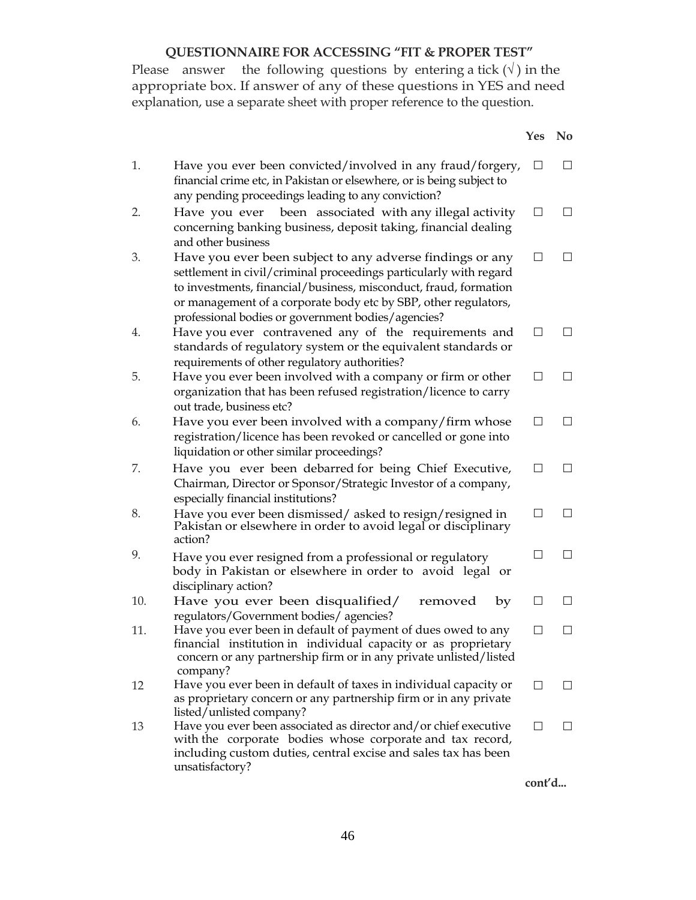# **QUESTIONNAIRE FOR ACCESSING "FIT & PROPER TEST"**

Please answer the following questions by entering a tick  $(\sqrt{})$  in the appropriate box. If answer of any of these questions in YES and need explanation, use a separate sheet with proper reference to the question.

|     |                                                                                                                                                                                                                                                                                                                             | <b>Yes</b>   | N <sub>0</sub> |
|-----|-----------------------------------------------------------------------------------------------------------------------------------------------------------------------------------------------------------------------------------------------------------------------------------------------------------------------------|--------------|----------------|
| 1.  | Have you ever been convicted/involved in any fraud/forgery,<br>financial crime etc, in Pakistan or elsewhere, or is being subject to<br>any pending proceedings leading to any conviction?                                                                                                                                  | $\Box$       | П              |
| 2.  | been associated with any illegal activity<br>Have you ever<br>concerning banking business, deposit taking, financial dealing<br>and other business                                                                                                                                                                          | $\mathsf{L}$ | $\Box$         |
| 3.  | Have you ever been subject to any adverse findings or any<br>settlement in civil/criminal proceedings particularly with regard<br>to investments, financial/business, misconduct, fraud, formation<br>or management of a corporate body etc by SBP, other regulators,<br>professional bodies or government bodies/agencies? | $\perp$      | $\Box$         |
| 4.  | Have you ever contravened any of the requirements and<br>standards of regulatory system or the equivalent standards or<br>requirements of other regulatory authorities?                                                                                                                                                     | $\mathsf{L}$ | $\Box$         |
| 5.  | Have you ever been involved with a company or firm or other<br>organization that has been refused registration/licence to carry<br>out trade, business etc?                                                                                                                                                                 | $\perp$      | П              |
| 6.  | Have you ever been involved with a company/firm whose<br>registration/licence has been revoked or cancelled or gone into<br>liquidation or other similar proceedings?                                                                                                                                                       |              | $\Box$         |
| 7.  | Have you ever been debarred for being Chief Executive,<br>Chairman, Director or Sponsor/Strategic Investor of a company,<br>especially financial institutions?                                                                                                                                                              | П            | $\Box$         |
| 8.  | Have you ever been dismissed/asked to resign/resigned in<br>Pakistan or elsewhere in order to avoid legal or disciplinary<br>action?                                                                                                                                                                                        | ΙI           | П              |
| 9.  | Have you ever resigned from a professional or regulatory<br>body in Pakistan or elsewhere in order to avoid legal or<br>disciplinary action?                                                                                                                                                                                |              | П              |
| 10. | Have you ever been disqualified/<br>removed<br>by<br>regulators/Government bodies/ agencies?                                                                                                                                                                                                                                | $\perp$      | П              |
| 11. | Have you ever been in default of payment of dues owed to any<br>financial institution in individual capacity or as proprietary<br>concern or any partnership firm or in any private unlisted/listed<br>company?                                                                                                             | П            | $\Box$         |
| 12  | Have you ever been in default of taxes in individual capacity or<br>as proprietary concern or any partnership firm or in any private<br>listed/unlisted company?                                                                                                                                                            | ΙI           | П              |
| 13  | Have you ever been associated as director and/or chief executive<br>with the corporate bodies whose corporate and tax record,<br>including custom duties, central excise and sales tax has been<br>unsatisfactory?                                                                                                          | ΙI           | $\perp$        |

**cont'd...**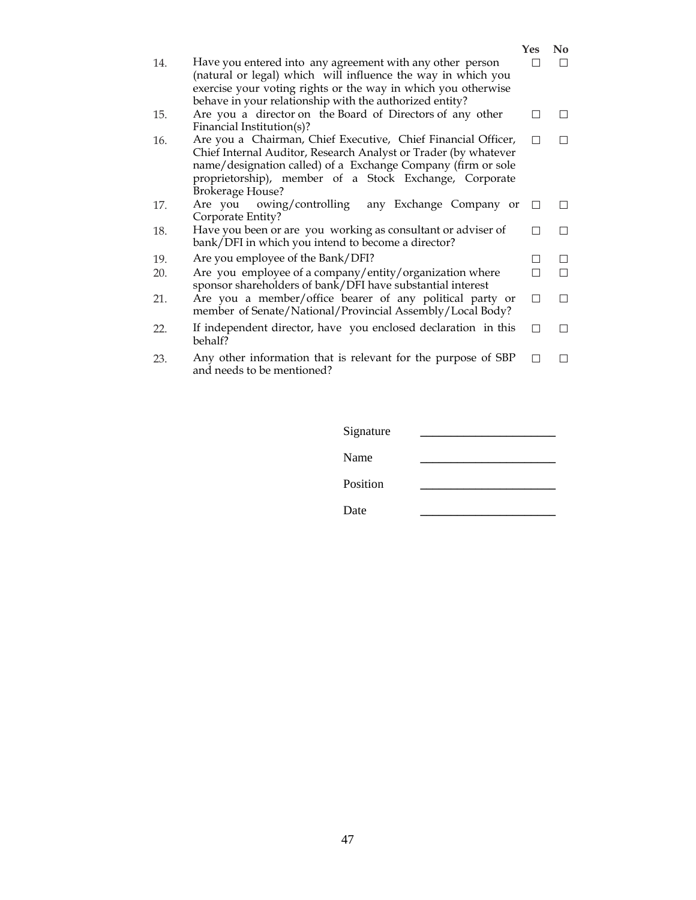|     |                                                                                                                                                                                                                                                                                       | Yes | N <sub>0</sub> |
|-----|---------------------------------------------------------------------------------------------------------------------------------------------------------------------------------------------------------------------------------------------------------------------------------------|-----|----------------|
| 14. | Have you entered into any agreement with any other person<br>(natural or legal) which will influence the way in which you<br>exercise your voting rights or the way in which you otherwise                                                                                            |     |                |
|     | behave in your relationship with the authorized entity?                                                                                                                                                                                                                               |     |                |
| 15. | Are you a director on the Board of Directors of any other<br>Financial Institution(s)?                                                                                                                                                                                                |     |                |
| 16. | Are you a Chairman, Chief Executive, Chief Financial Officer,<br>Chief Internal Auditor, Research Analyst or Trader (by whatever<br>name/designation called) of a Exchange Company (firm or sole<br>proprietorship), member of a Stock Exchange, Corporate<br><b>Brokerage House?</b> |     | $\mathsf{L}$   |
| 17. | Are you owing/controlling<br>any Exchange Company or<br>Corporate Entity?                                                                                                                                                                                                             |     | $\Box$         |
| 18. | Have you been or are you working as consultant or adviser of<br>bank/DFI in which you intend to become a director?                                                                                                                                                                    |     |                |
| 19. | Are you employee of the Bank/DFI?                                                                                                                                                                                                                                                     |     | $\Box$         |
| 20. | Are you employee of a company/entity/organization where<br>sponsor shareholders of bank/DFI have substantial interest                                                                                                                                                                 |     |                |
| 21. | Are you a member/office bearer of any political party or<br>member of Senate/National/Provincial Assembly/Local Body?                                                                                                                                                                 |     | П              |
| 22. | If independent director, have you enclosed declaration in this<br>behalf?                                                                                                                                                                                                             |     |                |
| 23. | Any other information that is relevant for the purpose of SBP<br>and needs to be mentioned?                                                                                                                                                                                           |     |                |

| Signature |  |
|-----------|--|
| Name      |  |
| Position  |  |
| Date      |  |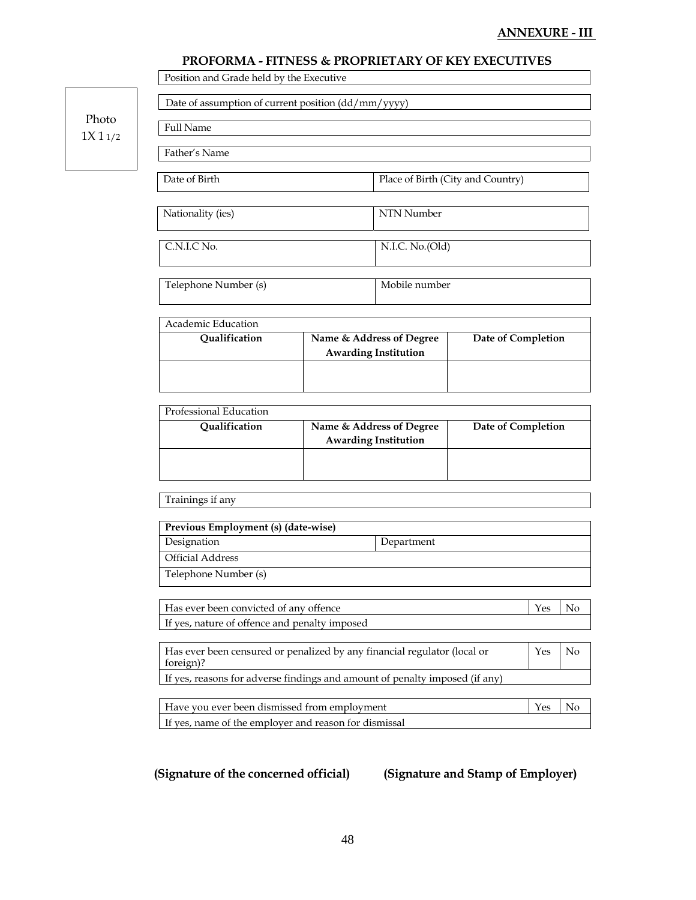# **ANNEXURE - III**

|        | Date of assumption of current position (dd/mm/yyyy)                                   |                                                         |                                   |                    |     |    |  |
|--------|---------------------------------------------------------------------------------------|---------------------------------------------------------|-----------------------------------|--------------------|-----|----|--|
| Photo  | <b>Full Name</b>                                                                      |                                                         |                                   |                    |     |    |  |
| 1X11/2 | Father's Name                                                                         |                                                         |                                   |                    |     |    |  |
|        | Date of Birth                                                                         |                                                         |                                   |                    |     |    |  |
|        |                                                                                       |                                                         | Place of Birth (City and Country) |                    |     |    |  |
|        | Nationality (ies)                                                                     |                                                         | NTN Number                        |                    |     |    |  |
|        | C.N.I.C No.                                                                           |                                                         | N.I.C. No.(Old)<br>Mobile number  |                    |     |    |  |
|        | Telephone Number (s)                                                                  |                                                         |                                   |                    |     |    |  |
|        | Academic Education                                                                    |                                                         |                                   |                    |     |    |  |
|        | Qualification                                                                         | Name & Address of Degree                                |                                   | Date of Completion |     |    |  |
|        |                                                                                       | <b>Awarding Institution</b>                             |                                   |                    |     |    |  |
|        |                                                                                       |                                                         |                                   |                    |     |    |  |
|        | Professional Education                                                                |                                                         |                                   |                    |     |    |  |
|        | Qualification                                                                         | Name & Address of Degree<br><b>Awarding Institution</b> |                                   | Date of Completion |     |    |  |
|        |                                                                                       |                                                         |                                   |                    |     |    |  |
|        | Trainings if any                                                                      |                                                         |                                   |                    |     |    |  |
|        | Previous Employment (s) (date-wise)                                                   |                                                         |                                   |                    |     |    |  |
|        | Designation                                                                           | Department                                              |                                   |                    |     |    |  |
|        | <b>Official Address</b>                                                               |                                                         |                                   |                    |     |    |  |
|        | Telephone Number (s)                                                                  |                                                         |                                   |                    |     |    |  |
|        | Has ever been convicted of any offence                                                |                                                         |                                   |                    | Yes | No |  |
|        | If yes, nature of offence and penalty imposed                                         |                                                         |                                   |                    |     |    |  |
|        | Has ever been censured or penalized by any financial regulator (local or<br>foreign)? |                                                         |                                   |                    | Yes | No |  |
|        | If yes, reasons for adverse findings and amount of penalty imposed (if any)           |                                                         |                                   |                    |     |    |  |
|        | Have you ever been dismissed from employment<br>Yes<br>No                             |                                                         |                                   |                    |     |    |  |
|        | If yes, name of the employer and reason for dismissal                                 |                                                         |                                   |                    |     |    |  |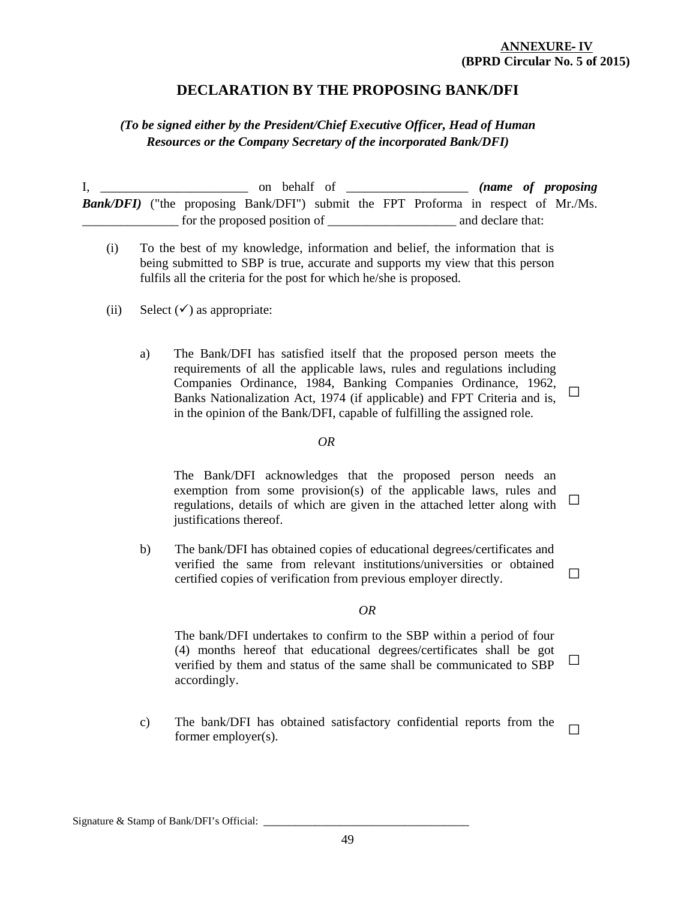### **ANNEXURE- IV (BPRD Circular No. 5 of 2015)**

**□** 

# **DECLARATION BY THE PROPOSING BANK/DFI**

# *(To be signed either by the President/Chief Executive Officer, Head of Human Resources or the Company Secretary of the incorporated Bank/DFI)*

I, \_\_\_\_\_\_\_\_\_\_\_\_\_\_\_\_\_\_\_\_\_\_\_ on behalf of \_\_\_\_\_\_\_\_\_\_\_\_\_\_\_\_\_\_\_ *(name of proposing*  **Bank/DFI)** ("the proposing Bank/DFI") submit the FPT Proforma in respect of Mr./Ms. for the proposed position of  $\Box$  and declare that:

- (i) To the best of my knowledge, information and belief, the information that is being submitted to SBP is true, accurate and supports my view that this person fulfils all the criteria for the post for which he/she is proposed.
- (ii) Select  $(\checkmark)$  as appropriate:
	- a) The Bank/DFI has satisfied itself that the proposed person meets the requirements of all the applicable laws, rules and regulations including Companies Ordinance, 1984, Banking Companies Ordinance, 1962, Banks Nationalization Act, 1974 (if applicable) and FPT Criteria and is, in the opinion of the Bank/DFI, capable of fulfilling the assigned role.

### *OR*

The Bank/DFI acknowledges that the proposed person needs an exemption from some provision(s) of the applicable laws, rules and regulations, details of which are given in the attached letter along with justifications thereof. **□**

b) The bank/DFI has obtained copies of educational degrees/certificates and verified the same from relevant institutions/universities or obtained certified copies of verification from previous employer directly. **□**

### *OR*

The bank/DFI undertakes to confirm to the SBP within a period of four (4) months hereof that educational degrees/certificates shall be got verified by them and status of the same shall be communicated to SBP accordingly. **□**

c) The bank/DFI has obtained satisfactory confidential reports from the former employer(s). **□**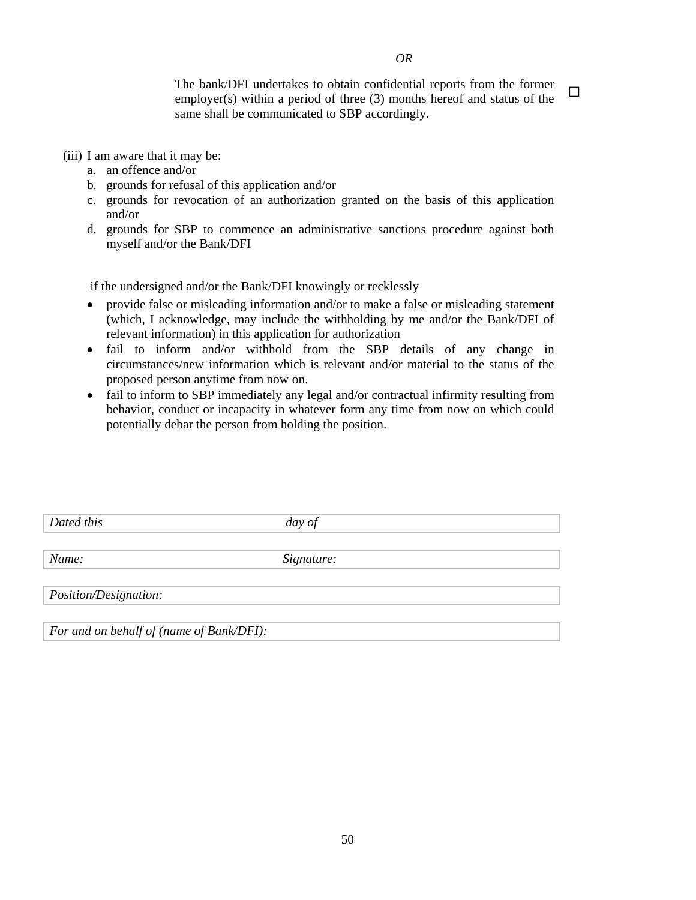The bank/DFI undertakes to obtain confidential reports from the former employer(s) within a period of three (3) months hereof and status of the same shall be communicated to SBP accordingly. **□**

(iii) I am aware that it may be:

- a. an offence and/or
- b. grounds for refusal of this application and/or
- c. grounds for revocation of an authorization granted on the basis of this application and/or
- d. grounds for SBP to commence an administrative sanctions procedure against both myself and/or the Bank/DFI

if the undersigned and/or the Bank/DFI knowingly or recklessly

- provide false or misleading information and/or to make a false or misleading statement (which, I acknowledge, may include the withholding by me and/or the Bank/DFI of relevant information) in this application for authorization
- fail to inform and/or withhold from the SBP details of any change in circumstances/new information which is relevant and/or material to the status of the proposed person anytime from now on.
- fail to inform to SBP immediately any legal and/or contractual infirmity resulting from behavior, conduct or incapacity in whatever form any time from now on which could potentially debar the person from holding the position.

| Dated this                               | day of     |  |
|------------------------------------------|------------|--|
|                                          |            |  |
| Name:                                    | Signature: |  |
|                                          |            |  |
| <i>Position/Designation:</i>             |            |  |
|                                          |            |  |
| For and on behalf of (name of Bank/DFI): |            |  |